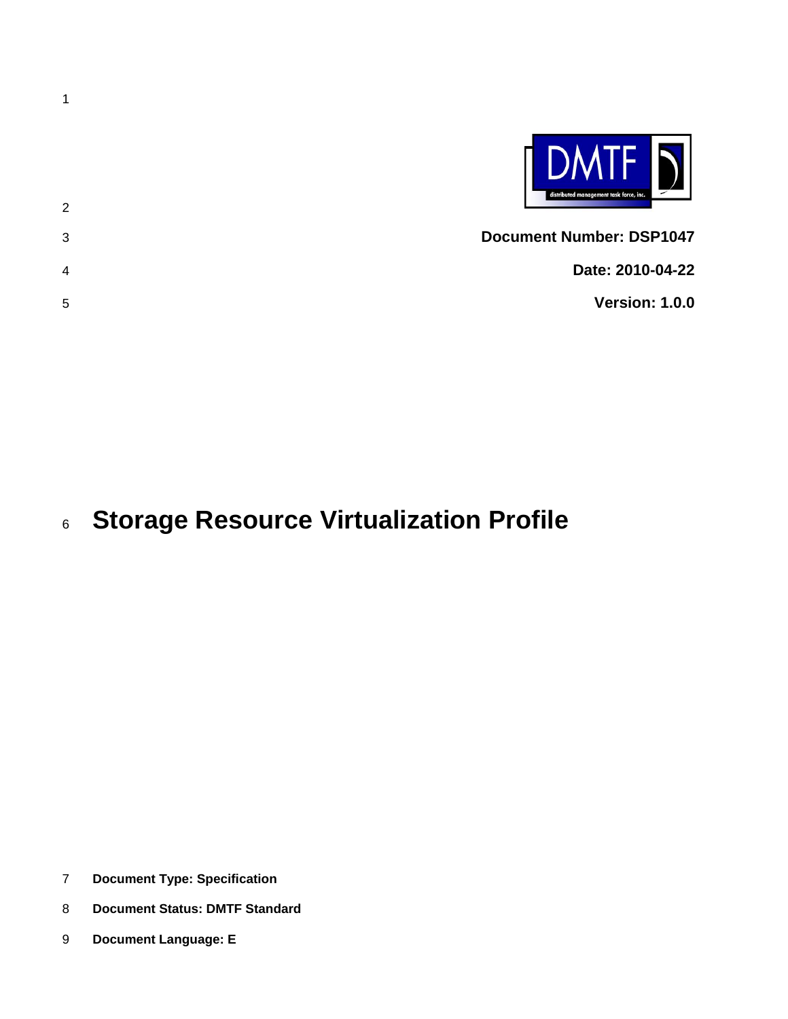

|                                 | 2              |
|---------------------------------|----------------|
| <b>Document Number: DSP1047</b> | $\mathbf{3}$   |
| Date: 2010-04-22                | $\overline{4}$ |
| <b>Version: 1.0.0</b>           | 5              |
|                                 |                |

# **Storage Resource Virtualization Profile**

- **Document Type: Specification**
- **Document Status: DMTF Standard**
- **Document Language: E**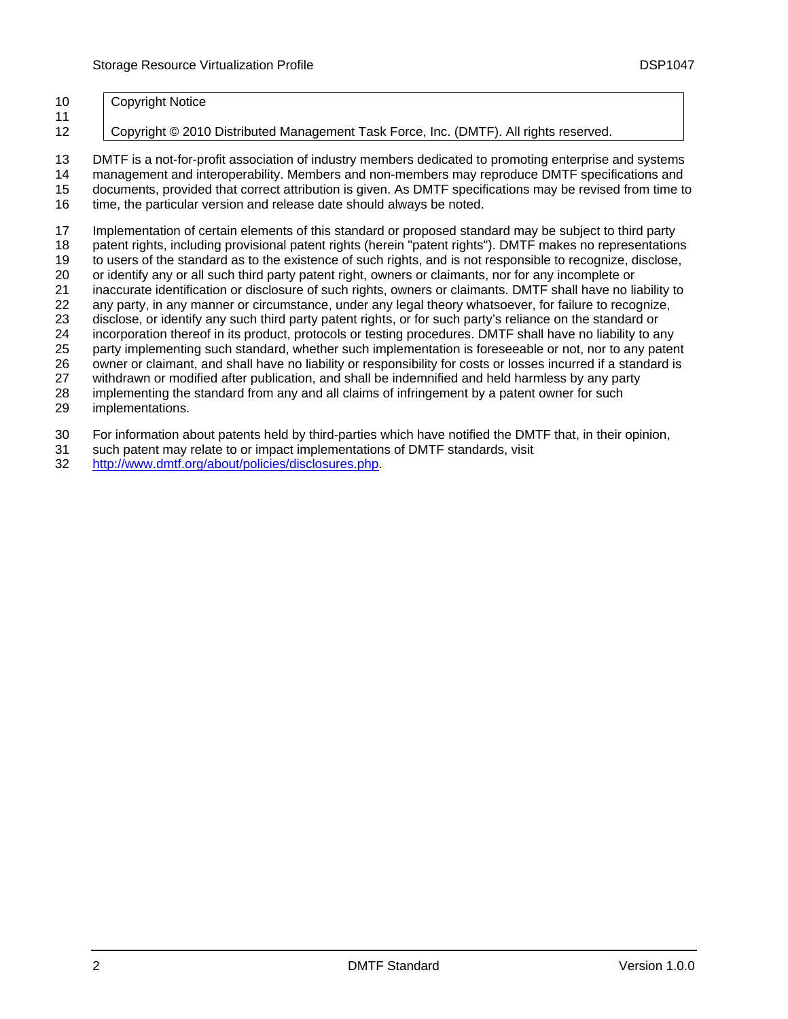#### 10 | Copyright Notice

11

12 Copyright © 2010 Distributed Management Task Force, Inc. (DMTF). All rights reserved.

13 DMTF is a not-for-profit association of industry members dedicated to promoting enterprise and systems

14 management and interoperability. Members and non-members may reproduce DMTF specifications and 15 documents, provided that correct attribution is given. As DMTF specifications may be revised from time to

16 time, the particular version and release date should always be noted.

17 Implementation of certain elements of this standard or proposed standard may be subject to third party 18 patent rights, including provisional patent rights (herein "patent rights"). DMTF makes no representations

19 to users of the standard as to the existence of such rights, and is not responsible to recognize, disclose,

20 or identify any or all such third party patent right, owners or claimants, nor for any incomplete or

21 inaccurate identification or disclosure of such rights, owners or claimants. DMTF shall have no liability to<br>22 any party, in any manner or circumstance, under any legal theory whatsoever, for failure to recognize,

any party, in any manner or circumstance, under any legal theory whatsoever, for failure to recognize,

23 disclose, or identify any such third party patent rights, or for such party's reliance on the standard or<br>24 incorporation thereof in its product, protocols or testing procedures. DMTF shall have no liability to a

24 incorporation thereof in its product, protocols or testing procedures. DMTF shall have no liability to any<br>25 party implementing such standard, whether such implementation is foreseeable or not, nor to any pater party implementing such standard, whether such implementation is foreseeable or not, nor to any patent

26 owner or claimant, and shall have no liability or responsibility for costs or losses incurred if a standard is

27 withdrawn or modified after publication, and shall be indemnified and held harmless by any party

28 implementing the standard from any and all claims of infringement by a patent owner for such

29 implementations.

30 For information about patents held by third-parties which have notified the DMTF that, in their opinion,

31 such patent may relate to or impact implementations of DMTF standards, visit

32 <http://www.dmtf.org/about/policies/disclosures.php>.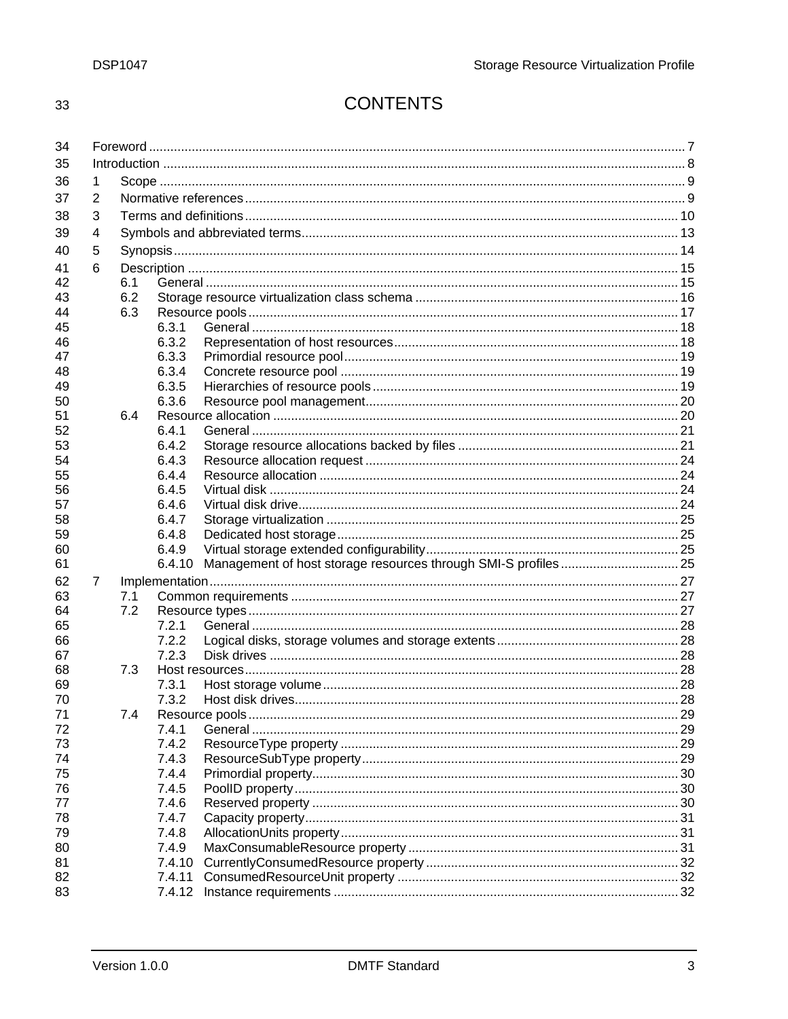## **CONTENTS**

| 34       |                |        |        |                                                                       |  |  |  |
|----------|----------------|--------|--------|-----------------------------------------------------------------------|--|--|--|
| 35       |                |        |        |                                                                       |  |  |  |
| 36       | 1              |        |        |                                                                       |  |  |  |
| 37       | 2              |        |        |                                                                       |  |  |  |
| 38       | 3              |        |        |                                                                       |  |  |  |
|          |                |        |        |                                                                       |  |  |  |
| 39       | 4              |        |        |                                                                       |  |  |  |
| 40       | 5              |        |        |                                                                       |  |  |  |
| 41       | 6              |        |        |                                                                       |  |  |  |
| 42       |                | 6.1    |        |                                                                       |  |  |  |
| 43       |                | 6.2    |        |                                                                       |  |  |  |
| 44       |                | 6.3    |        |                                                                       |  |  |  |
| 45       |                |        | 6.3.1  |                                                                       |  |  |  |
| 46       |                |        | 6.3.2  |                                                                       |  |  |  |
| 47       |                |        | 6.3.3  |                                                                       |  |  |  |
| 48       |                |        | 6.3.4  |                                                                       |  |  |  |
| 49       |                |        | 6.3.5  |                                                                       |  |  |  |
| 50       |                |        | 6.3.6  |                                                                       |  |  |  |
| 51<br>52 |                | 6.4    | 6.4.1  |                                                                       |  |  |  |
| 53       |                |        | 6.4.2  |                                                                       |  |  |  |
| 54       |                |        | 6.4.3  |                                                                       |  |  |  |
| 55       |                |        | 6.4.4  |                                                                       |  |  |  |
| 56       |                |        | 6.4.5  |                                                                       |  |  |  |
| 57       |                |        | 6.4.6  |                                                                       |  |  |  |
| 58       |                |        | 6.4.7  |                                                                       |  |  |  |
| 59       |                |        | 6.4.8  |                                                                       |  |  |  |
| 60       |                |        | 6.4.9  |                                                                       |  |  |  |
| 61       |                |        |        | 6.4.10 Management of host storage resources through SMI-S profiles 25 |  |  |  |
| 62       | $\overline{7}$ |        |        |                                                                       |  |  |  |
| 63       |                | 7.1    |        |                                                                       |  |  |  |
| 64       |                | 7.2    |        |                                                                       |  |  |  |
| 65       |                |        | 7.2.1  |                                                                       |  |  |  |
| 66       |                |        | 7.2.2  |                                                                       |  |  |  |
| 67       |                |        | 7.2.3  |                                                                       |  |  |  |
| 68       |                | 7.3    |        |                                                                       |  |  |  |
| 69       |                |        | 7.3.1  |                                                                       |  |  |  |
| 70       |                |        | 7.3.2  |                                                                       |  |  |  |
| 71       |                | 7.4    |        |                                                                       |  |  |  |
| 72       |                |        | 7.4.1  |                                                                       |  |  |  |
| 73       |                |        | 7.4.2  |                                                                       |  |  |  |
| 74       |                |        | 7.4.3  |                                                                       |  |  |  |
| 75       |                |        | 7.4.4  |                                                                       |  |  |  |
| 76       |                |        | 7.4.5  |                                                                       |  |  |  |
| 77       |                |        | 7.4.6  |                                                                       |  |  |  |
| 78       |                |        | 7.4.7  |                                                                       |  |  |  |
| 79       |                |        | 7.4.8  |                                                                       |  |  |  |
| 80       |                |        | 7.4.9  |                                                                       |  |  |  |
| 81       |                | 7.4.10 |        |                                                                       |  |  |  |
| 82       |                |        | 7.4.11 |                                                                       |  |  |  |
| 83       |                |        |        |                                                                       |  |  |  |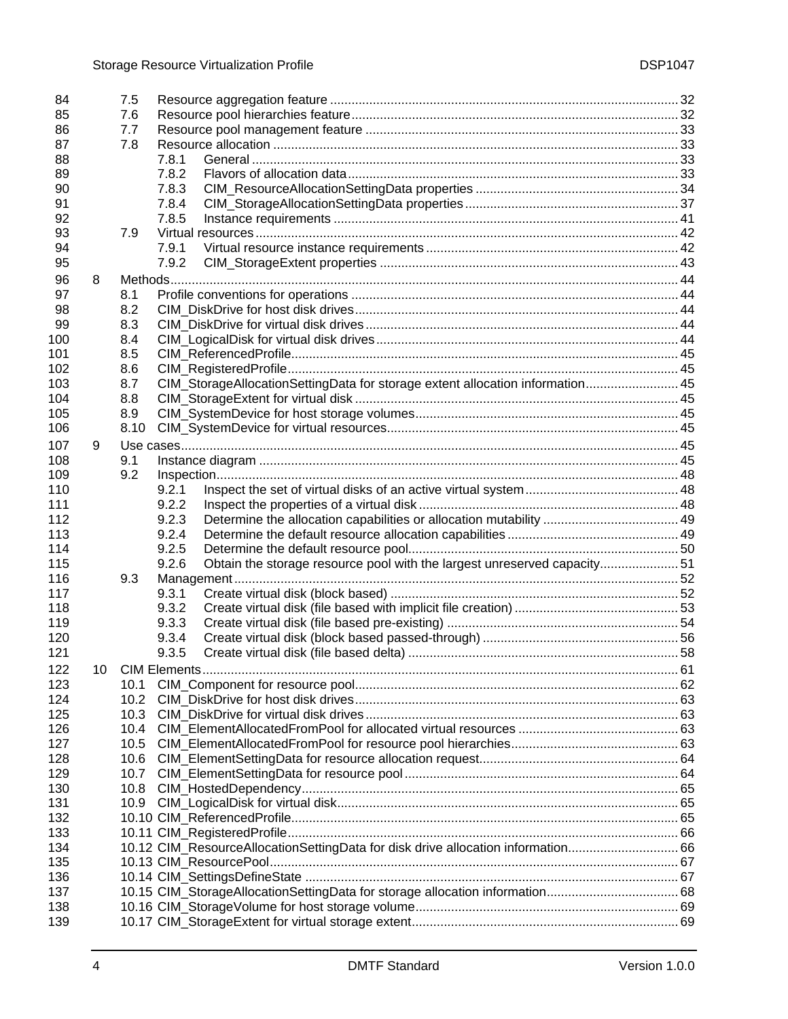| 84  |   | 7.5  |                                                                                   |  |
|-----|---|------|-----------------------------------------------------------------------------------|--|
| 85  |   | 7.6  |                                                                                   |  |
| 86  |   | 7.7  |                                                                                   |  |
|     |   |      |                                                                                   |  |
| 87  |   | 7.8  |                                                                                   |  |
| 88  |   |      | 7.8.1                                                                             |  |
| 89  |   |      | 7.8.2                                                                             |  |
| 90  |   |      | 7.8.3                                                                             |  |
| 91  |   |      | 7.8.4                                                                             |  |
| 92  |   |      | 7.8.5                                                                             |  |
|     |   |      |                                                                                   |  |
| 93  |   | 7.9  |                                                                                   |  |
| 94  |   |      | 7.9.1                                                                             |  |
| 95  |   |      | 7.9.2                                                                             |  |
| 96  | 8 |      |                                                                                   |  |
| 97  |   | 8.1  |                                                                                   |  |
|     |   | 8.2  |                                                                                   |  |
| 98  |   |      |                                                                                   |  |
| 99  |   | 8.3  |                                                                                   |  |
| 100 |   | 8.4  |                                                                                   |  |
| 101 |   | 8.5  |                                                                                   |  |
| 102 |   | 8.6  |                                                                                   |  |
| 103 |   | 8.7  | CIM_StorageAllocationSettingData for storage extent allocation information 45     |  |
| 104 |   | 8.8  |                                                                                   |  |
|     |   |      |                                                                                   |  |
| 105 |   | 8.9  |                                                                                   |  |
| 106 |   | 8.10 |                                                                                   |  |
| 107 | 9 |      |                                                                                   |  |
| 108 |   | 9.1  |                                                                                   |  |
| 109 |   | 9.2  |                                                                                   |  |
|     |   |      |                                                                                   |  |
| 110 |   |      | 9.2.1                                                                             |  |
| 111 |   |      | 9.2.2                                                                             |  |
| 112 |   |      | 9.2.3                                                                             |  |
| 113 |   |      | 9.2.4                                                                             |  |
| 114 |   |      | 9.2.5                                                                             |  |
| 115 |   |      | Obtain the storage resource pool with the largest unreserved capacity 51<br>9.2.6 |  |
| 116 |   | 9.3  |                                                                                   |  |
|     |   |      |                                                                                   |  |
| 117 |   |      | 9.3.1                                                                             |  |
| 118 |   |      | 9.3.2                                                                             |  |
| 119 |   |      | 9.3.3                                                                             |  |
| 120 |   |      | 9.3.4                                                                             |  |
| 121 |   |      | 9.3.5                                                                             |  |
|     |   |      |                                                                                   |  |
| 122 |   |      |                                                                                   |  |
| 123 |   | 10.1 |                                                                                   |  |
| 124 |   | 10.2 |                                                                                   |  |
| 125 |   | 10.3 |                                                                                   |  |
| 126 |   | 10.4 |                                                                                   |  |
| 127 |   | 10.5 |                                                                                   |  |
| 128 |   | 10.6 |                                                                                   |  |
|     |   |      |                                                                                   |  |
| 129 |   | 10.7 |                                                                                   |  |
| 130 |   | 10.8 |                                                                                   |  |
| 131 |   |      |                                                                                   |  |
| 132 |   |      |                                                                                   |  |
| 133 |   |      |                                                                                   |  |
| 134 |   |      | 10.12 CIM_ResourceAllocationSettingData for disk drive allocation information 66  |  |
| 135 |   |      |                                                                                   |  |
|     |   |      |                                                                                   |  |
| 136 |   |      |                                                                                   |  |
| 137 |   |      |                                                                                   |  |
| 138 |   |      |                                                                                   |  |
| 139 |   |      |                                                                                   |  |
|     |   |      |                                                                                   |  |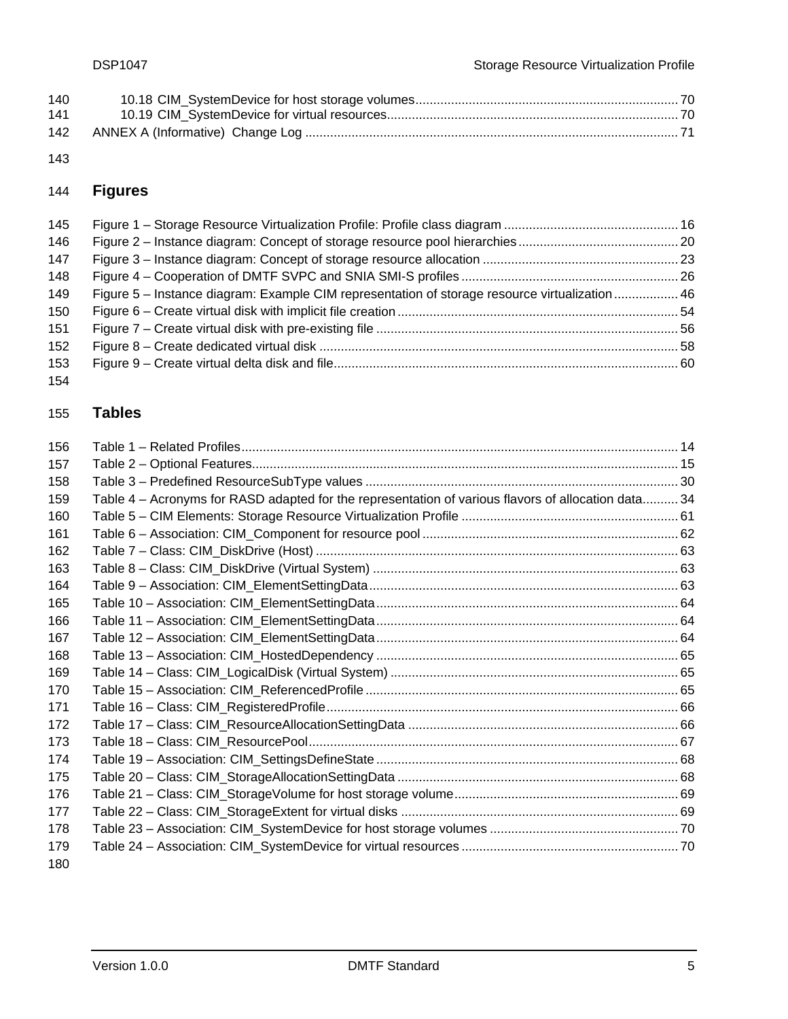| 140 |  |
|-----|--|
| 141 |  |
| 142 |  |

## 144 **Figures**

| 145 |                                                                                               |  |
|-----|-----------------------------------------------------------------------------------------------|--|
| 146 |                                                                                               |  |
| 147 |                                                                                               |  |
| 148 |                                                                                               |  |
| 149 | Figure 5 – Instance diagram: Example CIM representation of storage resource virtualization 46 |  |
| 150 |                                                                                               |  |
| 151 |                                                                                               |  |
| 152 |                                                                                               |  |
| 153 |                                                                                               |  |
| 154 |                                                                                               |  |

## 155 **Tables**

| 156 |                                                                                                     |  |
|-----|-----------------------------------------------------------------------------------------------------|--|
| 157 |                                                                                                     |  |
| 158 |                                                                                                     |  |
| 159 | Table 4 - Acronyms for RASD adapted for the representation of various flavors of allocation data 34 |  |
| 160 |                                                                                                     |  |
| 161 |                                                                                                     |  |
| 162 |                                                                                                     |  |
| 163 |                                                                                                     |  |
| 164 |                                                                                                     |  |
| 165 |                                                                                                     |  |
| 166 |                                                                                                     |  |
| 167 |                                                                                                     |  |
| 168 |                                                                                                     |  |
| 169 |                                                                                                     |  |
| 170 |                                                                                                     |  |
| 171 |                                                                                                     |  |
| 172 |                                                                                                     |  |
| 173 |                                                                                                     |  |
| 174 |                                                                                                     |  |
| 175 |                                                                                                     |  |
| 176 |                                                                                                     |  |
| 177 |                                                                                                     |  |
| 178 |                                                                                                     |  |
| 179 |                                                                                                     |  |
| 180 |                                                                                                     |  |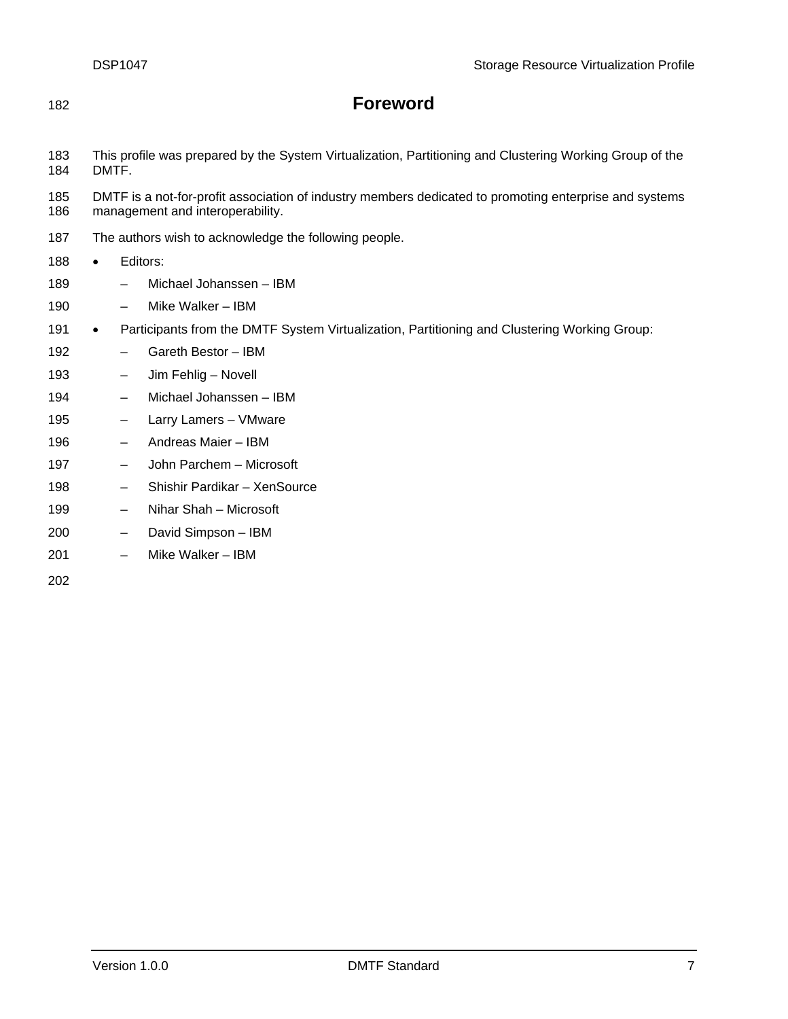## <span id="page-6-0"></span>182 **Foreword**

- 183 This profile was prepared by the System Virtualization, Partitioning and Clustering Working Group of the 184 DMTF. DMTF.
- 185 DMTF is a not-for-profit association of industry members dedicated to promoting enterprise and systems 186 management and interoperability.
- 187 The authors wish to acknowledge the following people.
- 188 · Editors:
- 189 Michael Johanssen IBM
- 190 Mike Walker IBM
- 191 Participants from the DMTF System Virtualization, Partitioning and Clustering Working Group:
- 192 Gareth Bestor IBM
- 193 Jim Fehlig Novell
- 194 Michael Johanssen IBM
- 195 Larry Lamers VMware
- 196 Andreas Maier IBM
- 197 John Parchem Microsoft
- 198 Shishir Pardikar XenSource
- 199 Nihar Shah Microsoft
- 200 David Simpson IBM
- 201 Mike Walker IBM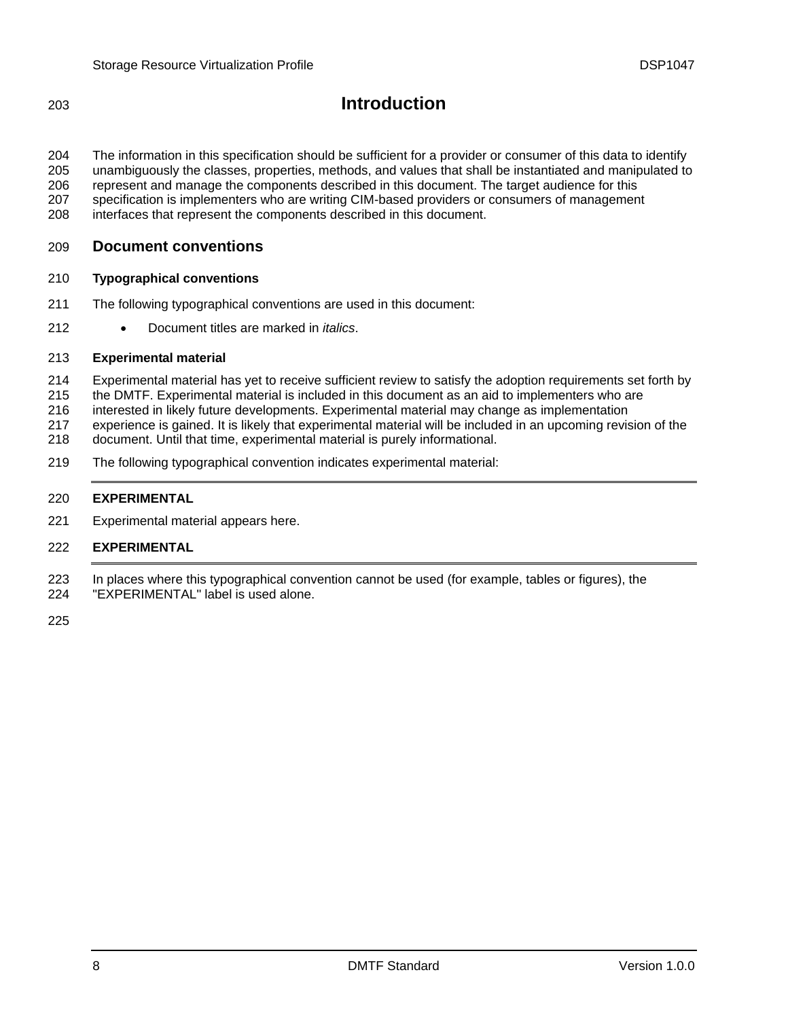<span id="page-7-0"></span>

## 203 **Introduction**

204 The information in this specification should be sufficient for a provider or consumer of this data to identify

205 unambiguously the classes, properties, methods, and values that shall be instantiated and manipulated to

206 represent and manage the components described in this document. The target audience for this

207 specification is implementers who are writing CIM-based providers or consumers of management

208 interfaces that represent the components described in this document.

#### 209 **Document conventions**

#### 210 **Typographical conventions**

- 211 The following typographical conventions are used in this document:
- 212 Document titles are marked in *italics*.

#### 213 **Experimental material**

- 214 Experimental material has yet to receive sufficient review to satisfy the adoption requirements set forth by
- 215 the DMTF. Experimental material is included in this document as an aid to implementers who are
- 216 interested in likely future developments. Experimental material may change as implementation
- 217 experience is gained. It is likely that experimental material will be included in an upcoming revision of the
- 218 document. Until that time, experimental material is purely informational.
- 219 The following typographical convention indicates experimental material:

#### 220 **EXPERIMENTAL**

221 Experimental material appears here.

#### 222 **EXPERIMENTAL**

223 In places where this typographical convention cannot be used (for example, tables or figures), the 224 "EXPERIMENTAL" label is used alone.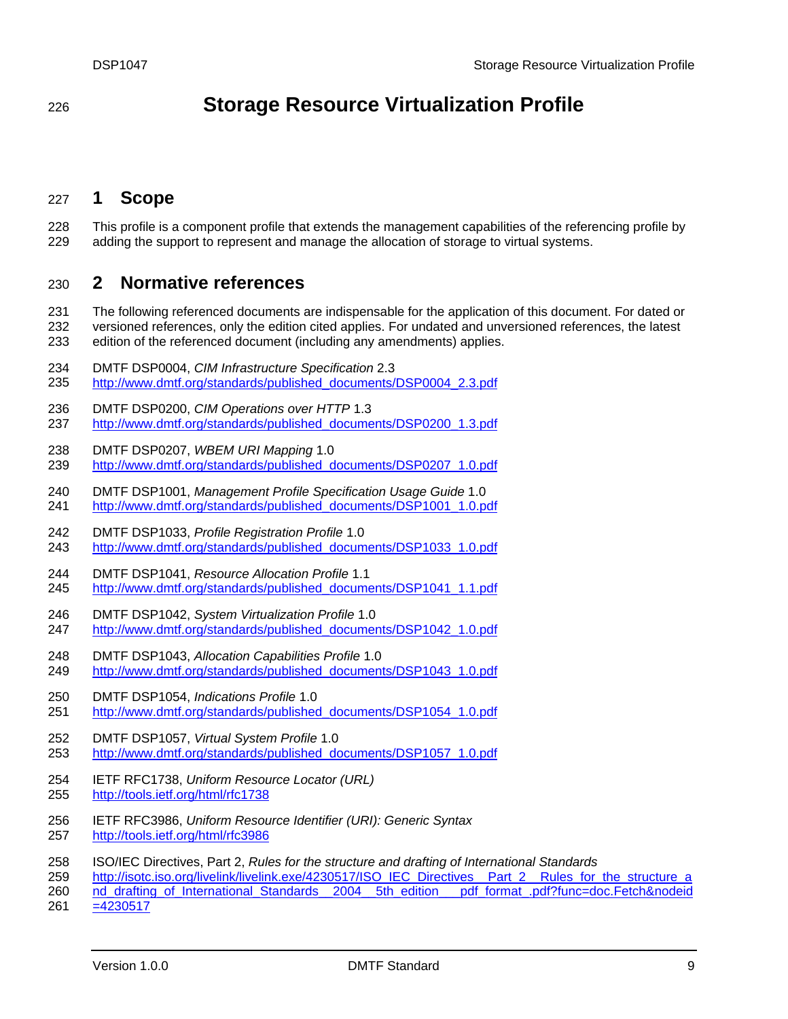<sup>226</sup>**Storage Resource Virtualization Profile**

## <span id="page-8-0"></span>227 **1 Scope**

228 This profile is a component profile that extends the management capabilities of the referencing profile by 229 adding the support to represent and manage the allocation of storage to virtual systems.

## <span id="page-8-1"></span>230 **2 Normative references**

231 The following referenced documents are indispensable for the application of this document. For dated or 232 versioned references, only the edition cited applies. For undated and unversioned references, the latest 233 edition of the referenced document (including any amendments) applies.

- 234 DMTF DSP0004, *CIM Infrastructure Specification* 2.3
- 235 [http://www.dmtf.org/standards/published\\_documents/DSP0004\\_2.3.pdf](http://www.dmtf.org/standards/published_documents/DSP0004_2.3.pdf)
- <span id="page-8-12"></span>236 DMTF DSP0200, *CIM Operations over HTTP* 1.3 237 [http://www.dmtf.org/standards/published\\_documents/DSP0200\\_1.3.pdf](http://www.dmtf.org/standards/published_documents/DSP0200_1.3.pdf)
- <span id="page-8-9"></span>238 DMTF DSP0207, *WBEM URI Mapping* 1.0 239 [http://www.dmtf.org/standards/published\\_documents/DSP0207\\_1.0.pdf](http://www.dmtf.org/standards/published_documents/DSP0207_1.0.pdf)
- <span id="page-8-3"></span>240 DMTF DSP1001, *Management Profile Specification Usage Guide* 1.0 241 [http://www.dmtf.org/standards/published\\_documents/DSP1001\\_1.0.pdf](http://www.dmtf.org/standards/published_documents/DSP1001_1.0.pdf)
- <span id="page-8-2"></span>242 DMTF DSP1033, *Profile Registration Profile* 1.0 243 [http://www.dmtf.org/standards/published\\_documents/DSP1033\\_1.0.pdf](http://www.dmtf.org/standards/published_documents/DSP1033_1.0.pdf)
- <span id="page-8-4"></span>244 DMTF DSP1041, *Resource Allocation Profile* 1.1 245 [http://www.dmtf.org/standards/published\\_documents/DSP1041\\_1.1.pdf](http://www.dmtf.org/standards/published_documents/DSP1041_1.1.pdf)
- <span id="page-8-8"></span>246 DMTF DSP1042, *System Virtualization Profile* 1.0 247 [http://www.dmtf.org/standards/published\\_documents/DSP1042\\_1.0.pdf](http://www.dmtf.org/standards/published_documents/DSP1042_1.0.pdf)
- <span id="page-8-5"></span>248 DMTF DSP1043, *Allocation Capabilities Profile* 1.0 249 [http://www.dmtf.org/standards/published\\_documents/DSP1043\\_1.0.pdf](http://www.dmtf.org/standards/published_documents/DSP1043_1.0.pdf)
- <span id="page-8-6"></span>250 DMTF DSP1054, *Indications Profile* 1.0 251 [http://www.dmtf.org/standards/published\\_documents/DSP1054\\_1.0.pdf](http://www.dmtf.org/standards/published_documents/DSP1054_1.0.pdf)
- <span id="page-8-7"></span>252 DMTF DSP1057, *Virtual System Profile* 1.0 253 [http://www.dmtf.org/standards/published\\_documents/DSP1057\\_1.0.pdf](http://www.dmtf.org/standards/published_documents/DSP1057_1.0.pdf)
- <span id="page-8-10"></span>254 IETF RFC1738, *Uniform Resource Locator (URL)*
- 255 <http://tools.ietf.org/html/rfc1738>
- <span id="page-8-11"></span>256 IETF RFC3986, *Uniform Resource Identifier (URI): Generic Syntax*  257 <http://tools.ietf.org/html/rfc3986>
- 258 ISO/IEC Directives, Part 2, *Rules for the structure and drafting of International Standards*
- 259 http://isotc.iso.org/livelink/livelink.exe/4230517/ISO\_IEC\_Directives\_Part\_2\_Rules\_for\_the\_structure\_a [260 nd\\_drafting\\_of\\_International\\_Standards\\_\\_2004\\_\\_5th\\_edition\\_\\_\\_pdf\\_format\\_.pdf?func=doc.Fetch&nodeid](http://isotc.iso.org/livelink/livelink.exe/4230517/ISO_IEC_Directives__Part_2__Rules_for_the_structure_and_drafting_of_International_Standards__2004__5th_edition___pdf_format_.pdf?func=doc.Fetch&nodeid=4230517)

261 =4230517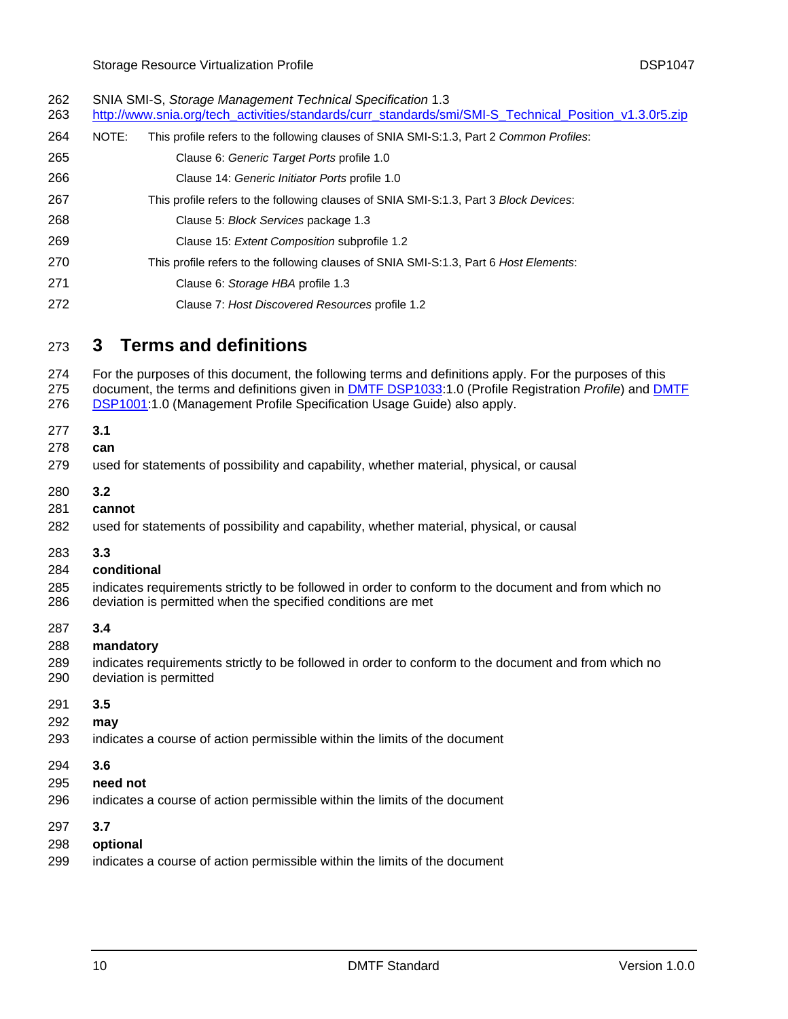- <span id="page-9-1"></span>262 SNIA SMI-S, *Storage Management Technical Specification* 1.3
- 263 [http://www.snia.org/tech\\_activities/standards/curr\\_standards/smi/SMI-S\\_Technical\\_Position\\_v1.3.0r5.zip](http://www.snia.org/tech_activities/standards/curr_standards/smi/SMI-S_Technical_Position_v1.3.0r5.zip)
- <span id="page-9-6"></span><span id="page-9-5"></span><span id="page-9-4"></span><span id="page-9-2"></span>264 NOTE: This profile refers to the following clauses of [SNIA SMI-S](#page-9-1):[1.3](#page-9-1), Part 2 *Common Profiles*: 265 Clause 6: *Generic Target Ports* profile 1.0 266 Clause 14: *Generic Initiator Ports* profile 1.0 267 This profile refers to the following clauses of [SNIA SMI-S](#page-9-1):[1.3](#page-9-1), Part 3 *Block Devices*: 268 Clause 5: *Block Services* package 1.3 269 Clause 15: *Extent Composition* subprofile 1.2 270 This profile refers to the following clauses of [SNIA SMI-S](#page-9-1):[1.3](#page-9-1), Part 6 *Host Elements*: 271 Clause 6: *Storage HBA* profile 1.3 272 Clause 7: *Host Discovered Resources* profile 1.2

## <span id="page-9-7"></span><span id="page-9-3"></span><span id="page-9-0"></span>273 **3 Terms and definitions**

274 For the purposes of this document, the following terms and definitions apply. For the purposes of this [275 document, the terms and definitions given in](#page-8-3) [DMTF DSP1033](#page-8-2)[:1](#page-8-3)[.](#page-8-2)[0 \(P](#page-8-3)[rofile Registratio](#page-8-2)[n](#page-8-3) *Profile*) and DMTF 276 [DSP1](#page-8-3)001:[1.0](#page-8-3) ([Management Profile Specification Usage Guide\)](#page-8-3) also apply.

- 277 **3.1**
- 278 **can**
- 279 used for statements of possibility and capability, whether material, physical, or causal
- 280 **3.2**
- 281 **cannot**
- 282 used for statements of possibility and capability, whether material, physical, or causal
- 283 **3.3**
- 284 **conditional**
- 285 indicates requirements strictly to be followed in order to conform to the document and from which no
- 286 deviation is permitted when the specified conditions are met
- 287 **3.4**
- 288 **mandatory**
- 289 indicates requirements strictly to be followed in order to conform to the document and from which no 290 deviation is permitted
- 291 **3.5**
- 292 **may**
- 293 indicates a course of action permissible within the limits of the document
- 294 **3.6**
- 295 **need not**
- 296 indicates a course of action permissible within the limits of the document
- 297 **3.7**
- 298 **optional**
- 299 indicates a course of action permissible within the limits of the document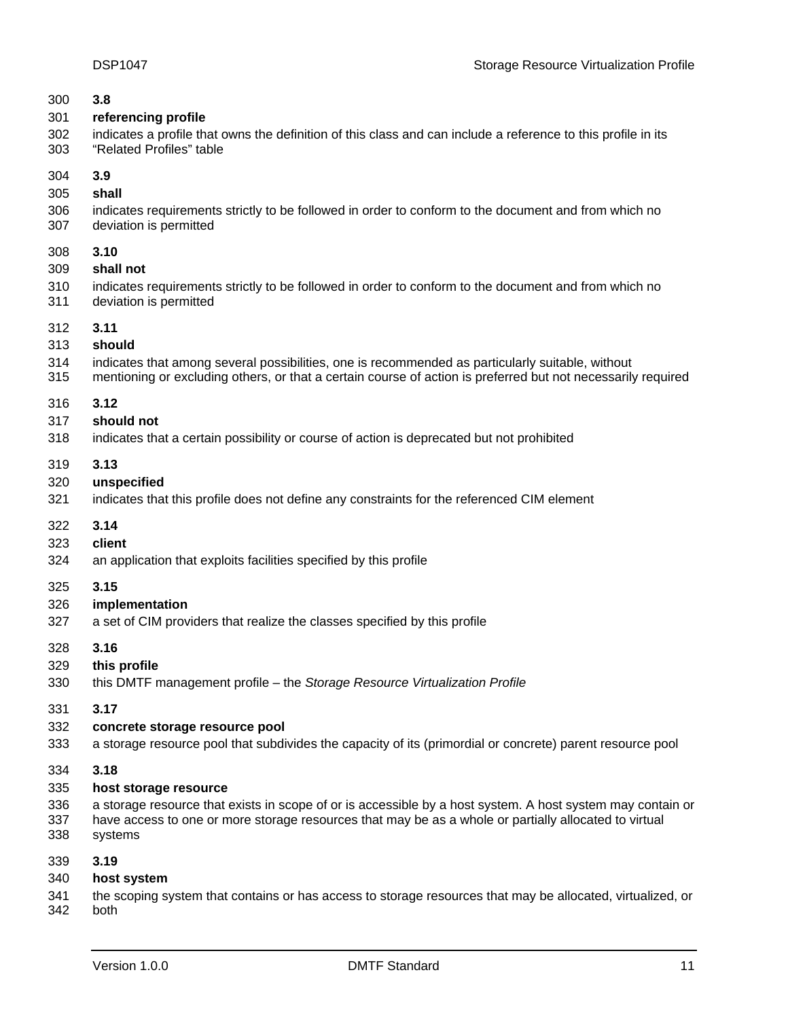300 **3.8**  301 **referencing profile**  302 indicates a profile that owns the definition of this class and can include a reference to this profile in its 303 "Related Profiles" table 304 **3.9**  305 **shall**  306 indicates requirements strictly to be followed in order to conform to the document and from which no 307 deviation is permitted 308 **3.10**  309 **shall not**  310 indicates requirements strictly to be followed in order to conform to the document and from which no 311 deviation is permitted 312 **3.11**  313 **should**  314 indicates that among several possibilities, one is recommended as particularly suitable, without 315 mentioning or excluding others, or that a certain course of action is preferred but not necessarily required 316 **3.12**  317 **should not**  318 indicates that a certain possibility or course of action is deprecated but not prohibited 319 **3.13**  320 **unspecified**  321 indicates that this profile does not define any constraints for the referenced CIM element 322 **3.14**  323 **client**  324 an application that exploits facilities specified by this profile 325 **3.15**  326 **implementation**  327 a set of CIM providers that realize the classes specified by this profile 328 **3.16**  329 **this profile**  330 this DMTF management profile – the *Storage Resource Virtualization Profile* 331 **3.17**  332 **concrete storage resource pool**  333 a storage resource pool that subdivides the capacity of its (primordial or concrete) parent resource pool 334 **3.18**  335 **host storage resource**  336 a storage resource that exists in scope of or is accessible by a host system. A host system may contain or 337 have access to one or more storage resources that may be as a whole or partially allocated to virtual 338 systems 339 **3.19**  340 **host system**  341 the scoping system that contains or has access to storage resources that may be allocated, virtualized, or 342 both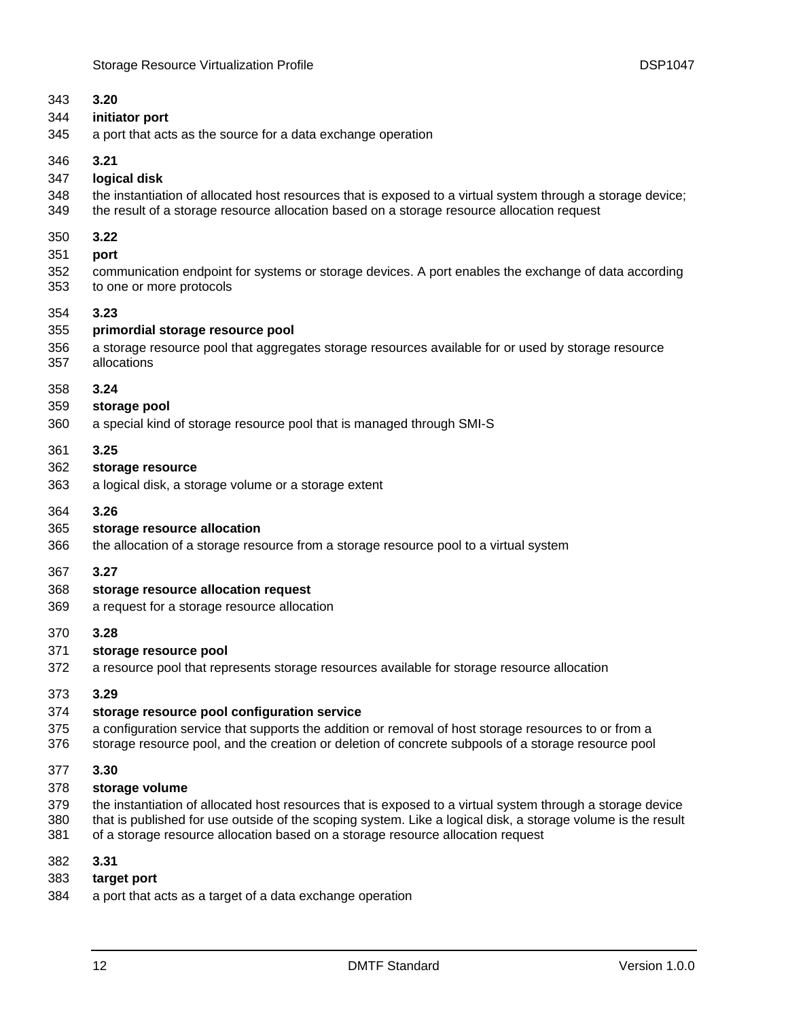| 343 | 3.20                                                                                                         |
|-----|--------------------------------------------------------------------------------------------------------------|
| 344 | initiator port                                                                                               |
| 345 | a port that acts as the source for a data exchange operation                                                 |
| 346 | 3.21                                                                                                         |
| 347 | logical disk                                                                                                 |
| 348 | the instantiation of allocated host resources that is exposed to a virtual system through a storage device;  |
| 349 | the result of a storage resource allocation based on a storage resource allocation request                   |
| 350 | 3.22                                                                                                         |
| 351 | port                                                                                                         |
| 352 | communication endpoint for systems or storage devices. A port enables the exchange of data according         |
| 353 | to one or more protocols                                                                                     |
| 354 | 3.23                                                                                                         |
| 355 | primordial storage resource pool                                                                             |
| 356 | a storage resource pool that aggregates storage resources available for or used by storage resource          |
| 357 | allocations                                                                                                  |
| 358 | 3.24                                                                                                         |
| 359 | storage pool                                                                                                 |
| 360 | a special kind of storage resource pool that is managed through SMI-S                                        |
| 361 | 3.25                                                                                                         |
| 362 | storage resource                                                                                             |
| 363 | a logical disk, a storage volume or a storage extent                                                         |
| 364 | 3.26                                                                                                         |
| 365 | storage resource allocation                                                                                  |
| 366 | the allocation of a storage resource from a storage resource pool to a virtual system                        |
| 367 | 3.27                                                                                                         |
| 368 | storage resource allocation request                                                                          |
| 369 | a request for a storage resource allocation                                                                  |
| 370 | 3.28                                                                                                         |
| 371 | storage resource pool                                                                                        |
| 372 | a resource pool that represents storage resources available for storage resource allocation                  |
| 373 | 3.29                                                                                                         |
| 374 | storage resource pool configuration service                                                                  |
| 375 | a configuration service that supports the addition or removal of host storage resources to or from a         |
| 376 | storage resource pool, and the creation or deletion of concrete subpools of a storage resource pool          |
| 377 | 3.30                                                                                                         |
| 378 | storage volume                                                                                               |
| 379 | the instantiation of allocated host resources that is exposed to a virtual system through a storage device   |
| 380 | that is published for use outside of the scoping system. Like a logical disk, a storage volume is the result |
| 381 | of a storage resource allocation based on a storage resource allocation request                              |
| 382 | 3.31                                                                                                         |
| 383 | target port                                                                                                  |

384 a port that acts as a target of a data exchange operation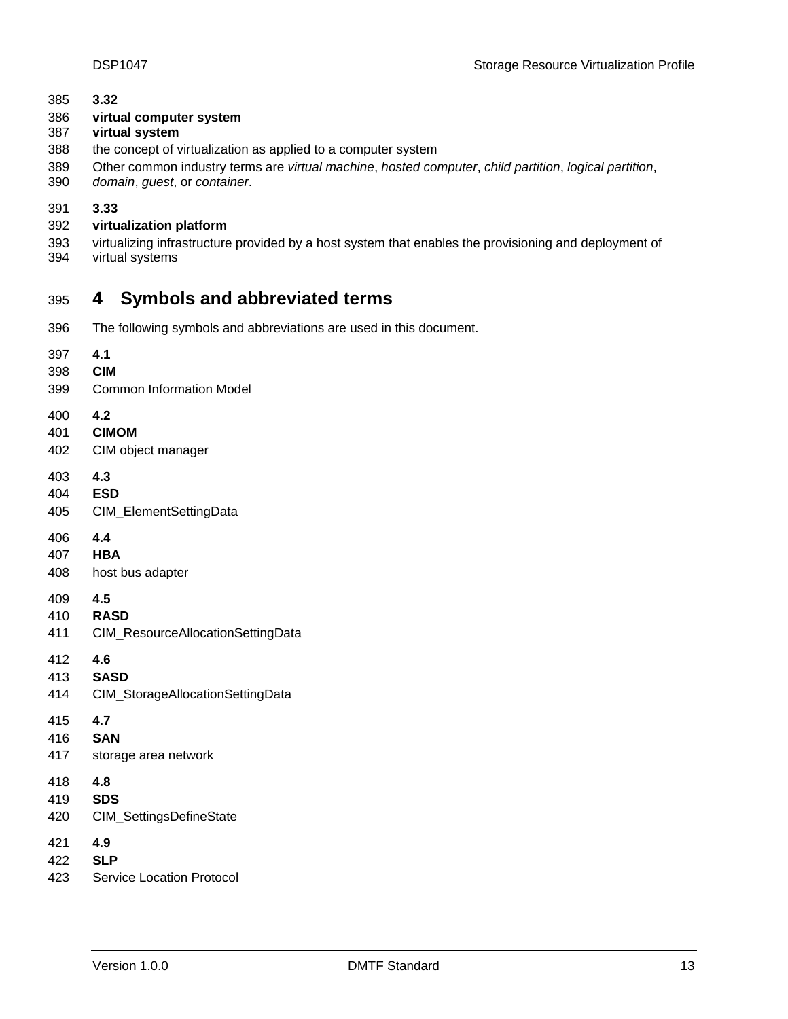#### **virtual computer system**

- **virtual system**
- 388 the concept of virtualization as applied to a computer system
- 389 Other common industry terms are *virtual machine*, *hosted computer*, *child partition*, *logical partition*,
- *domain*, *guest*, or *container*.
- **3.33**

#### **virtualization platform**

- 393 virtualizing infrastructure provided by a host system that enables the provisioning and deployment of
- 394 virtual systems

## <span id="page-12-0"></span>**4 Symbols and abbreviated terms**

- 396 The following symbols and abbreviations are used in this document.
- **4.1**
- **CIM**
- 399 Common Information Model
- **4.2**
- **CIMOM**
- 402 CIM object manager
- **4.3**
- **ESD**
- 405 CIM\_ElementSettingData
- **4.4**
- **HBA**
- 408 host bus adapter
- **4.5**
- **RASD**
- 411 CIM\_ResourceAllocationSettingData
- **4.6**
- **SASD**
- 414 CIM\_StorageAllocationSettingData
- **4.7**
- **SAN**
- 417 storage area network
- **4.8**
- **SDS**
- 420 CIM\_SettingsDefineState
- **4.9**
- **SLP**
- 423 Service Location Protocol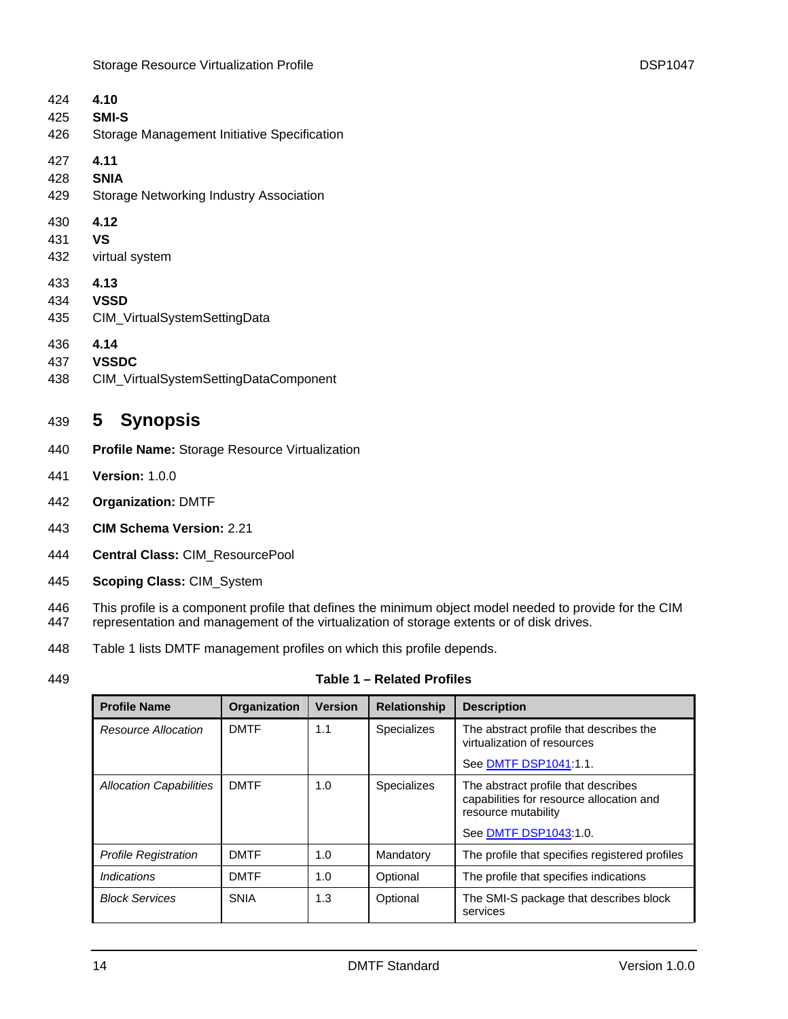| 424 | 4.10                                        |
|-----|---------------------------------------------|
| 425 | <b>SMI-S</b>                                |
| 426 | Storage Management Initiative Specification |
| 427 | 4.11                                        |
| 428 | <b>SNIA</b>                                 |
| 429 | Storage Networking Industry Association     |
| 430 | 4.12                                        |
| 431 | VS                                          |
| 432 | virtual system                              |
| 433 | 4.13                                        |
| 434 | <b>VSSD</b>                                 |
| 435 | CIM_VirtualSystemSettingData                |
| 436 | 4.14                                        |
| 437 | <b>VSSDC</b>                                |
| 438 | CIM_VirtualSystemSettingDataComponent       |
| 439 | 5<br><b>Synopsis</b>                        |

- <span id="page-13-0"></span>440 **Profile Name:** Storage Resource Virtualization
- 441 **Version:** 1.0.0
- 442 **Organization:** DMTF
- 443 **CIM Schema Version:** 2.21
- 444 **Central Class:** CIM\_ResourcePool
- 445 **Scoping Class:** CIM\_System

446 This profile is a component profile that defines the minimum object model needed to provide for the CIM

- 447 representation and management of the virtualization of storage extents or of disk drives.
- 448 [Table 1 lists DMTF management profiles on which this profile dep](#page-48-1)ends.
- <span id="page-13-1"></span>

| 449 | Table 1 - Related Profiles |
|-----|----------------------------|
|     |                            |

| <b>Profile Name</b>              | Organization | <b>Version</b> | <b>Relationship</b> | <b>Description</b>                                                                                     |
|----------------------------------|--------------|----------------|---------------------|--------------------------------------------------------------------------------------------------------|
| Resource Allocation              | <b>DMTF</b>  | 1.1            | Specializes         | The abstract profile that describes the<br>virtualization of resources                                 |
|                                  |              |                |                     | See <b>DMTF DSP1041:1.1.</b>                                                                           |
| <b>Allocation Capabilities</b>   | <b>DMTF</b>  | 1.0            | Specializes         | The abstract profile that describes<br>capabilities for resource allocation and<br>resource mutability |
|                                  |              |                |                     | See DMTF DSP1043:1.0.                                                                                  |
| <b>Profile Registration</b>      | <b>DMTF</b>  | 1.0            | Mandatory           | The profile that specifies registered profiles                                                         |
| <i><u><b>Indications</b></u></i> | <b>DMTF</b>  | 1.0            | Optional            | The profile that specifies indications                                                                 |
| <b>Block Services</b>            | SNIA         | 1.3            | Optional            | The SMI-S package that describes block<br>services                                                     |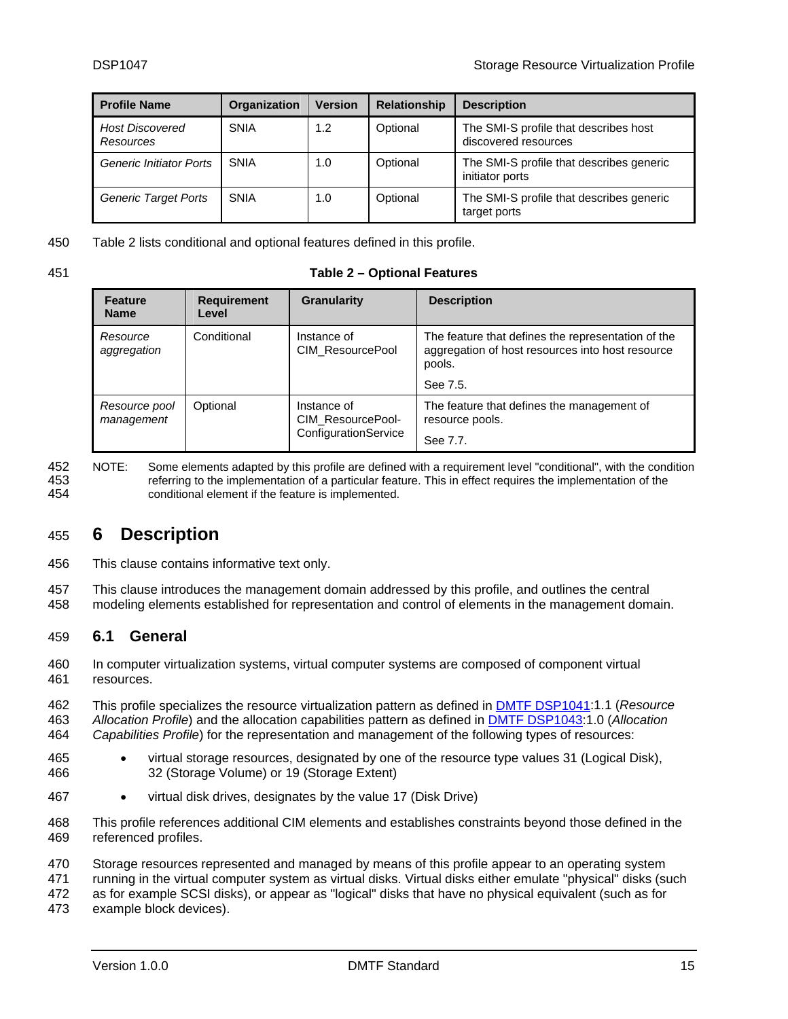| <b>Profile Name</b>                 | Organization | <b>Version</b> | <b>Relationship</b> | <b>Description</b>                                            |
|-------------------------------------|--------------|----------------|---------------------|---------------------------------------------------------------|
| <b>Host Discovered</b><br>Resources | <b>SNIA</b>  | 1.2            | Optional            | The SMI-S profile that describes host<br>discovered resources |
| Generic Initiator Ports             | SNIA         | 1.0            | Optional            | The SMI-S profile that describes generic<br>initiator ports   |
| <b>Generic Target Ports</b>         | SNIA         | 1.0            | Optional            | The SMI-S profile that describes generic<br>target ports      |

450 [Table 2](#page-14-2) lists conditional and optional features defined in this profile.

<span id="page-14-2"></span>

#### 451 **Table 2 – Optional Features**

| <b>Feature</b><br><b>Name</b> | <b>Requirement</b><br>Level | <b>Granularity</b>               | <b>Description</b>                                                                                               |  |
|-------------------------------|-----------------------------|----------------------------------|------------------------------------------------------------------------------------------------------------------|--|
| Resource<br>aggregation       | Conditional                 | Instance of<br>CIM ResourcePool  | The feature that defines the representation of the<br>aggregation of host resources into host resource<br>pools. |  |
|                               |                             |                                  | See 7.5.                                                                                                         |  |
| Resource pool<br>management   | Optional                    | Instance of<br>CIM ResourcePool- | The feature that defines the management of<br>resource pools.                                                    |  |
|                               |                             | ConfigurationService             | See 7.7.                                                                                                         |  |

452 NOTE: Some elements adapted by this profile are defined with a requirement level "conditional", with the condition<br>453 referring to the implementation of a particular feature. This in effect requires the implementation referring to the implementation of a particular feature. This in effect requires the implementation of the 454 conditional element if the feature is implemented.

## <span id="page-14-0"></span>455 **6 Description**

- 456 This clause contains informative text only.
- 457 This clause introduces the management domain addressed by this profile, and outlines the central
- 458 modeling elements established for representation and control of elements in the management domain.

#### <span id="page-14-1"></span>459 **6.1 General**

- 460 In computer virtualization systems, virtual computer systems are composed of component virtual 461 resources.
- [462 This profile specializes the resource virtualization pattern as defined in DMTF DSP1041:1.1 \(](#page-8-4)*Resource*  463 *[Alloca](#page-8-4)tion Profile*[\) and the allocation capabilities pattern as defined in DMTF DSP1043:1.0 \(](#page-8-5)*Allocation*  464 *[Capabili](#page-8-5)ties Profile*) for the representation and management of the following types of resources:
- 465 virtual storage resources, designated by one of the resource type values 31 (Logical Disk), 466 32 (Storage Volume) or 19 (Storage Extent)
- 467 virtual disk drives, designates by the value 17 (Disk Drive)
- 468 This profile references additional CIM elements and establishes constraints beyond those defined in the 469 referenced profiles.
- 470 Storage resources represented and managed by means of this profile appear to an operating system
- 471 running in the virtual computer system as virtual disks. Virtual disks either emulate "physical" disks (such
- 472 as for example SCSI disks), or appear as "logical" disks that have no physical equivalent (such as for

473 example block devices).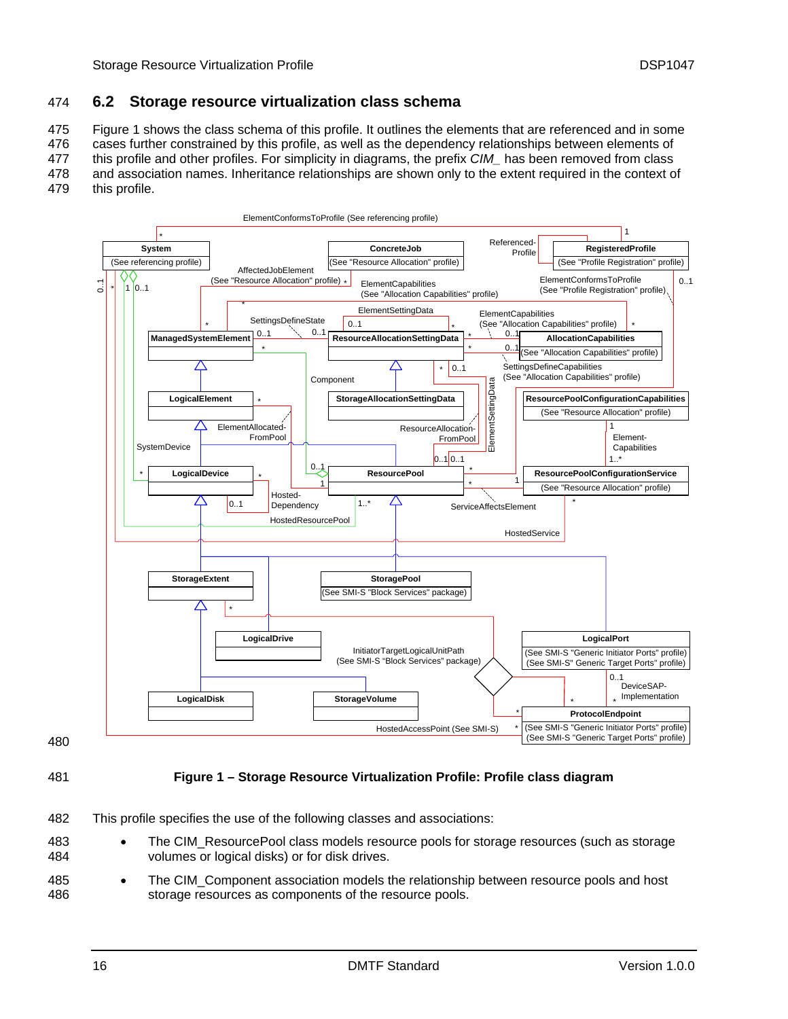### <span id="page-15-0"></span>474 **6.2 Storage resource virtualization class schema**

475 4[Figure 1 shows the class schema of](#page-12-0) this profile. It outlines the elements that are referenced and in some

476 cases further constrained by this profile, as well as the dependency relationships between elements of 477 this profile and other profiles. For simplicity in diagrams, the prefix *CIM\_* has been removed from class

478 and association names. Inheritance relationships are shown only to the extent required in the context of 479 this profile.



480

<span id="page-15-1"></span>

#### 481 **Figure 1 – Storage Resource Virtualization Profile: Profile class diagram**

- 482 This profile specifies the use of the following classes and associations:
- 483 The CIM\_ResourcePool class models resource pools for storage resources (such as storage 484 volumes or logical disks) or for disk drives.
- 485 The CIM\_Component association models the relationship between resource pools and host 486 storage resources as components of the resource pools.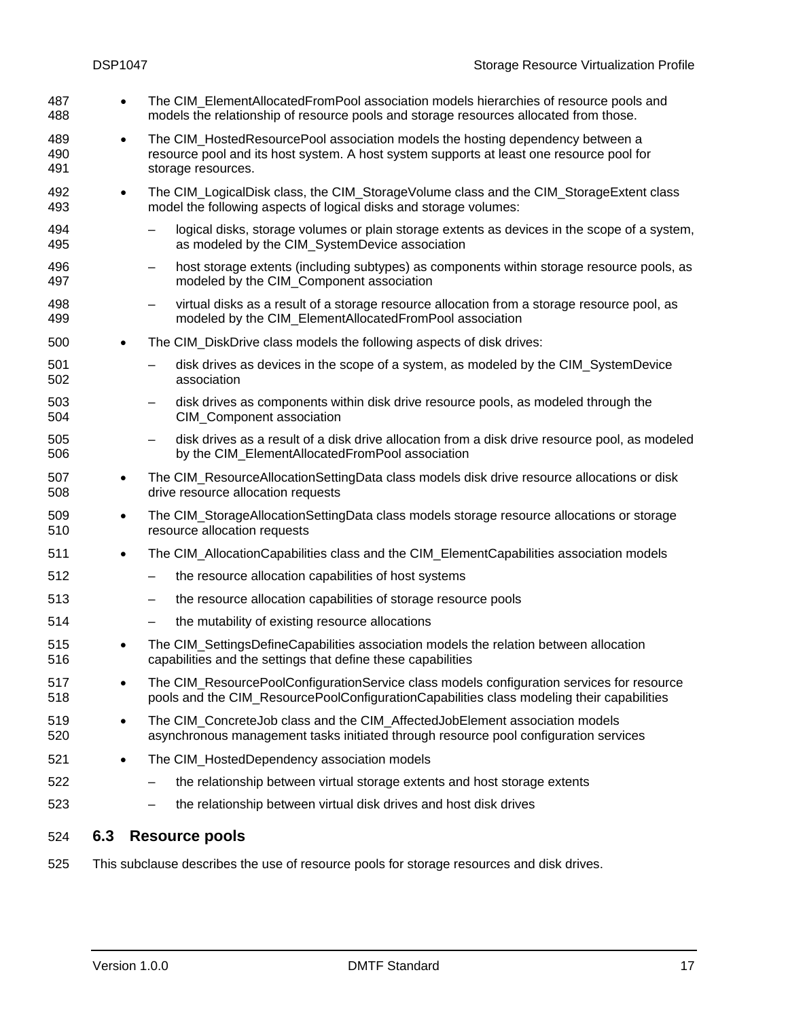- 487 The CIM\_ElementAllocatedFromPool association models hierarchies of resource pools and 488 models the relationship of resource pools and storage resources allocated from those. 489 •• The CIM HostedResourcePool association models the hosting dependency between a 490 resource pool and its host system. A host system supports at least one resource pool for 491 storage resources. 492 • The CIM\_LogicalDisk class, the CIM\_StorageVolume class and the CIM\_StorageExtent class 493 model the following aspects of logical disks and storage volumes: 494 – logical disks, storage volumes or plain storage extents as devices in the scope of a system, 495 as modeled by the CIM\_SystemDevice association 496 – host storage extents (including subtypes) as components within storage resource pools, as 497 modeled by the CIM\_Component association 498 – virtual disks as a result of a storage resource allocation from a storage resource pool, as 499 modeled by the CIM\_ElementAllocatedFromPool association 500 • The CIM DiskDrive class models the following aspects of disk drives: 501 – disk drives as devices in the scope of a system, as modeled by the CIM\_SystemDevice 502 association 503 – disk drives as components within disk drive resource pools, as modeled through the 504 CIM\_Component association 505 – disk drives as a result of a disk drive allocation from a disk drive resource pool, as modeled 506 by the CIM\_ElementAllocatedFromPool association 507 • The CIM ResourceAllocationSettingData class models disk drive resource allocations or disk 508 drive resource allocation requests 509 • The CIM StorageAllocationSettingData class models storage resource allocations or storage 510 resource allocation requests 511 • The CIM\_AllocationCapabilities class and the CIM\_ElementCapabilities association models 512 – the resource allocation capabilities of host systems 513 – the resource allocation capabilities of storage resource pools 514 – the mutability of existing resource allocations 515 • The CIM SettingsDefineCapabilities association models the relation between allocation 516 capabilities and the settings that define these capabilities 517 • The CIM ResourcePoolConfigurationService class models configuration services for resource 518 pools and the CIM\_ResourcePoolConfigurationCapabilities class modeling their capabilities 519 • The CIM\_ConcreteJob class and the CIM\_AffectedJobElement association models 520 asynchronous management tasks initiated through resource pool configuration services 521 • The CIM HostedDependency association models 522 – the relationship between virtual storage extents and host storage extents 523 – the relationship between virtual disk drives and host disk drives 524 **6.3 Resource pools**
- <span id="page-16-0"></span>525 This subclause describes the use of resource pools for storage resources and disk drives.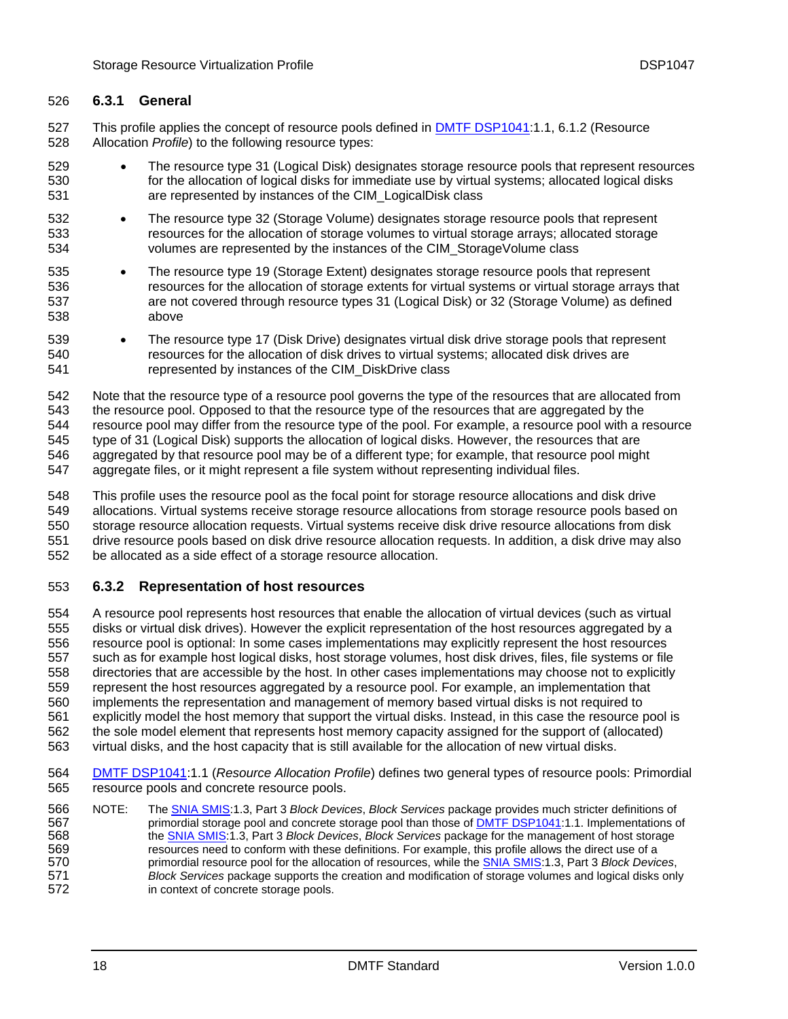#### <span id="page-17-0"></span>526 **6.3.1 General**

527 This profile applies the concept of resource pools defined in **DMTF DSP1041:1.1, 6.1.2** (Resource 528 [Alloca](#page-8-4)tion *Profile*) to the following resource types:

- 529 The resource type 31 (Logical Disk) designates storage resource pools that represent resources 530 for the allocation of logical disks for immediate use by virtual systems; allocated logical disks 531 are represented by instances of the CIM\_LogicalDisk class
- 532 The resource type 32 (Storage Volume) designates storage resource pools that represent 533 resources for the allocation of storage volumes to virtual storage arrays; allocated storage 534 volumes are represented by the instances of the CIM\_StorageVolume class
- 535 The resource type 19 (Storage Extent) designates storage resource pools that represent 536 resources for the allocation of storage extents for virtual systems or virtual storage arrays that 537 are not covered through resource types 31 (Logical Disk) or 32 (Storage Volume) as defined 538 above
- 539 The resource type 17 (Disk Drive) designates virtual disk drive storage pools that represent 540 resources for the allocation of disk drives to virtual systems; allocated disk drives are 541 represented by instances of the CIM\_DiskDrive class

542 Note that the resource type of a resource pool governs the type of the resources that are allocated from 543 the resource pool. Opposed to that the resource type of the resources that are aggregated by the 544 resource pool may differ from the resource type of the pool. For example, a resource pool with a resource 545 type of 31 (Logical Disk) supports the allocation of logical disks. However, the resources that are 546 aggregated by that resource pool may be of a different type; for example, that resource pool might 547 aggregate files, or it might represent a file system without representing individual files.

548 This profile uses the resource pool as the focal point for storage resource allocations and disk drive 549 allocations. Virtual systems receive storage resource allocations from storage resource pools based on 550 storage resource allocation requests. Virtual systems receive disk drive resource allocations from disk 551 drive resource pools based on disk drive resource allocation requests. In addition, a disk drive may also 552 be allocated as a side effect of a storage resource allocation.

#### <span id="page-17-1"></span>553 **6.3.2 Representation of host resources**

554 A resource pool represents host resources that enable the allocation of virtual devices (such as virtual 555 disks or virtual disk drives). However the explicit representation of the host resources aggregated by a 556 resource pool is optional: In some cases implementations may explicitly represent the host resources 557 such as for example host logical disks, host storage volumes, host disk drives, files, file systems or file 558 directories that are accessible by the host. In other cases implementations may choose not to explicitly 559 represent the host resources aggregated by a resource pool. For example, an implementation that 560 implements the representation and management of memory based virtual disks is not required to 561 explicitly model the host memory that support the virtual disks. Instead, in this case the resource pool is 562 the sole model element that represents host memory capacity assigned for the support of (allocated) 563 virtual disks, and the host capacity that is still available for the allocation of new virtual disks.

- 564 [DMTF DSP1041:1.1](#page-8-4) (*[Resource Allocation](#page-8-4) Profile*) defines two general types of resource pools: Primordial 565 resource pools and concrete resource pools.
- 566 NOTE: The [SNIA SMIS:1.3,](#page-9-1) Part 3 *[Block Devices](#page-9-6)*, *[Block Services](#page-9-2)* package provides much stricter definitions of 567 primordial storage pool and concrete storage pool than those of **DMTF DSP1041**:[1.1](#page-8-4). Implementations of the SNIA SMIS:1.3, Part 3 *Block Devices*, *Block Services* package for the management of host storage 568 the [SNIA SMIS:1.3,](#page-9-1) Part 3 *[Block Devices](#page-9-6)*, *[Block Services](#page-9-2)* package for the management of host storage 569 resources need to conform with these definitions. For example, this profile allows the direct use of a<br>570 primordial resource pool for the allocation of resources, while the SNIA SMIS:1.3, Part 3 Block Devid 570 primordial resource pool for the allocation of resources, while the [SNIA SMIS:1.3,](#page-9-1) Part 3 *[Block Devices](#page-9-6)*, 571 *[Block Services](#page-9-2)* package supports the creation and modification of storage volumes and logical disks only 572 in context of concrete storage pools.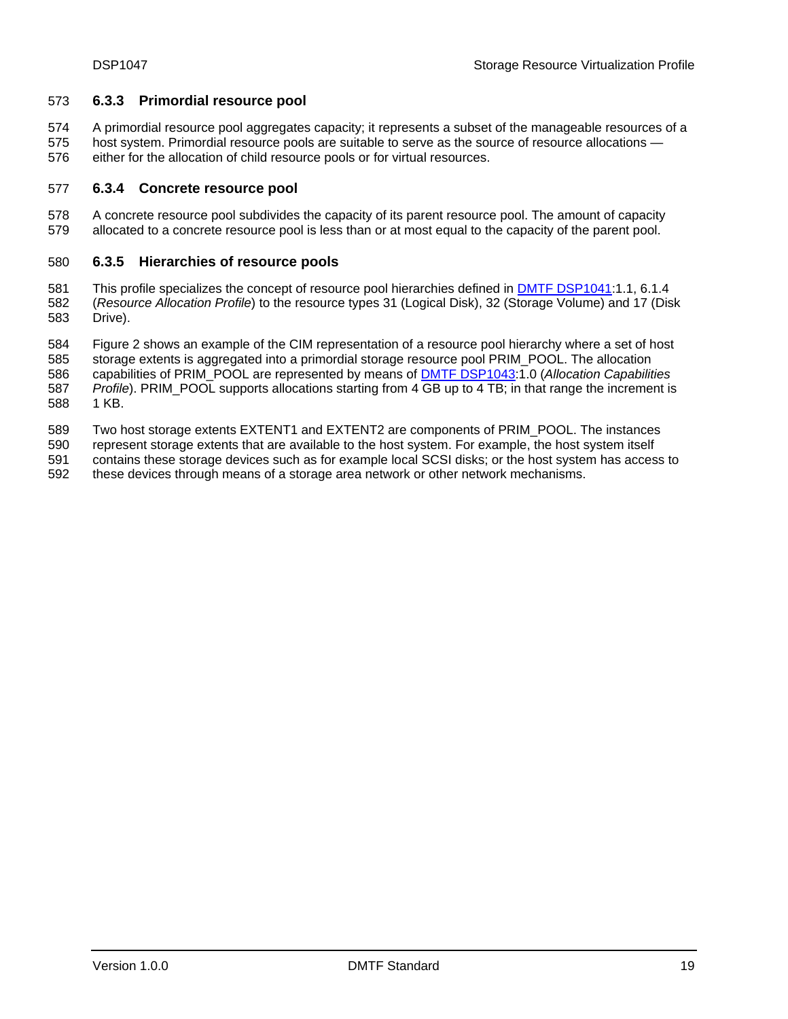#### <span id="page-18-0"></span>573 **6.3.3 Primordial resource pool**

574 A primordial resource pool aggregates capacity; it represents a subset of the manageable resources of a 575 host system. Primordial resource pools are suitable to serve as the source of resource allocations —

576 either for the allocation of child resource pools or for virtual resources.

#### <span id="page-18-1"></span>577 **6.3.4 Concrete resource pool**

578 A concrete resource pool subdivides the capacity of its parent resource pool. The amount of capacity 579 allocated to a concrete resource pool is less than or at most equal to the capacity of the parent pool.

#### <span id="page-18-2"></span>580 **6.3.5 Hierarchies of resource pools**

581 This profile specializes the concept of resource pool hierarchies defined in [DMTF DSP1041:1.1](#page-8-4), 6.1.4 582 (*[Resource Allocation](#page-8-4) Profile*) to the resource types 31 (Logical Disk), 32 (Storage Volume) and 17 (Disk 583 Drive).

584 4[Figure 2 shows an exam](#page-23-2)ple of the CIM representation of a resource pool hierarchy where a set of host 585 storage extents is aggregated into a primordial storage resource pool PRIM\_POOL. The allocation

586 capabilities of PRIM\_POOL are represented by means of [DMTF DSP1043:1.0](#page-8-5) (*[Allocation Capabilities](#page-8-5)* 587 *Profile*). PRIM\_POOL supports allocations starting from 4 GB up to 4 TB; in that range the increment is 588 1 KB.

589 Two host storage extents EXTENT1 and EXTENT2 are components of PRIM\_POOL. The instances

590 represent storage extents that are available to the host system. For example, the host system itself

591 contains these storage devices such as for example local SCSI disks; or the host system has access to

592 these devices through means of a storage area network or other network mechanisms.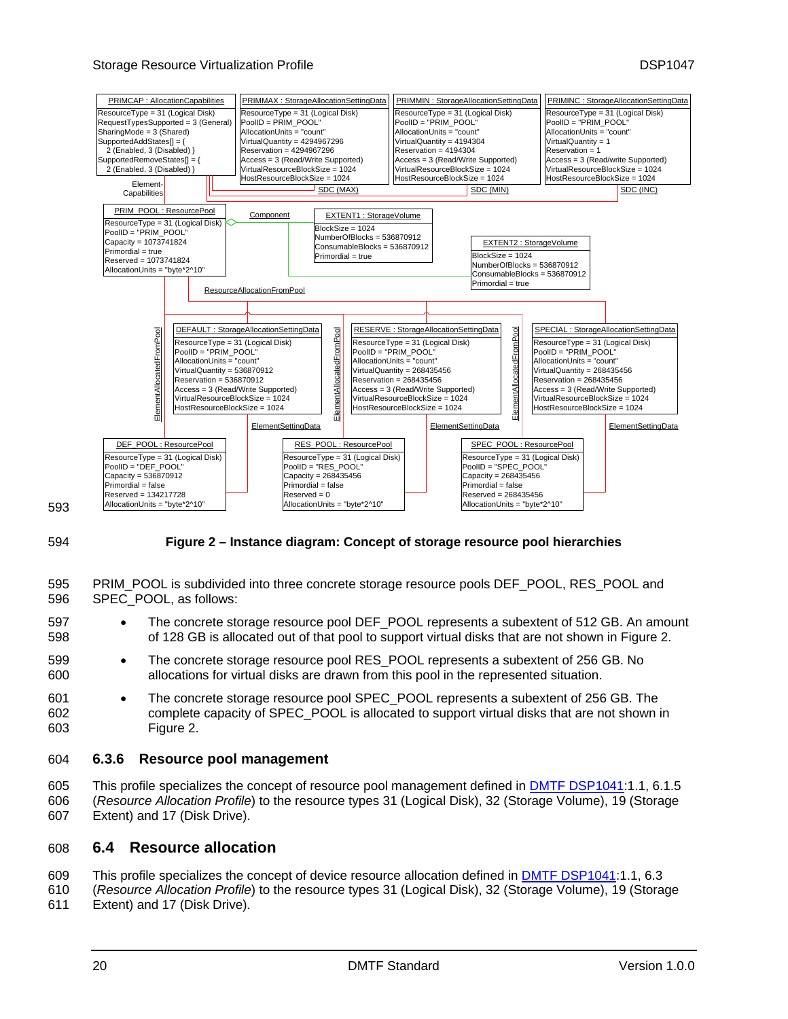#### Storage Resource Virtualization Profile **DSP1047** and DSP1047



#### <span id="page-19-2"></span>594 **Figure 2 – Instance diagram: Concept of storage resource pool hierarchies**

595 PRIM\_POOL is subdivided into three concrete storage resource pools DEF\_POOL, RES\_POOL and 596 SPEC\_POOL, as follows:

- 597 The concrete storage resource pool DEF\_POOL represents a subextent of 512 GB. An amount [598 of 128 GB is allocated out of that pool to support virtual disks that are not shown in](#page-24-1) Figure 2.
- 599 • [The concrete st](#page-24-1)orage resource pool RES POOL represents a subextent of 256 GB. No 600 allocations for virtual disks are drawn from this pool in the represented situation.
- 601 The concrete storage resource pool SPEC\_POOL represents a subextent of 256 GB. The 602 complete capacity of SPEC\_POOL is allocated to support virtual disks that are not shown in 603 4[Figure 2.](#page-24-2)

#### <span id="page-19-0"></span>604 **[6.3.6 Resource pool management](#page-24-2)**

605 This profile specializes the concept of resource pool management defined in [DMTF DSP1041:1.1,](#page-8-4) 6.1.5 606 (*[Resource Allocation](#page-8-4) Profile*) to the resource types 31 (Logical Disk), 32 (Storage Volume), 19 (Storage 607 Extent) and 17 (Disk Drive).

#### <span id="page-19-1"></span>608 **6.4 Resource allocation**

- 609 This profile specializes the concept of device resource allocation defined in [DMTF DSP1041:1.1,](#page-8-4) 6.3
- 610 (*[Resource Allocation](#page-8-4) Profile*) to the resource types 31 (Logical Disk), 32 (Storage Volume), 19 (Storage
- 611 Extent) and 17 (Disk Drive).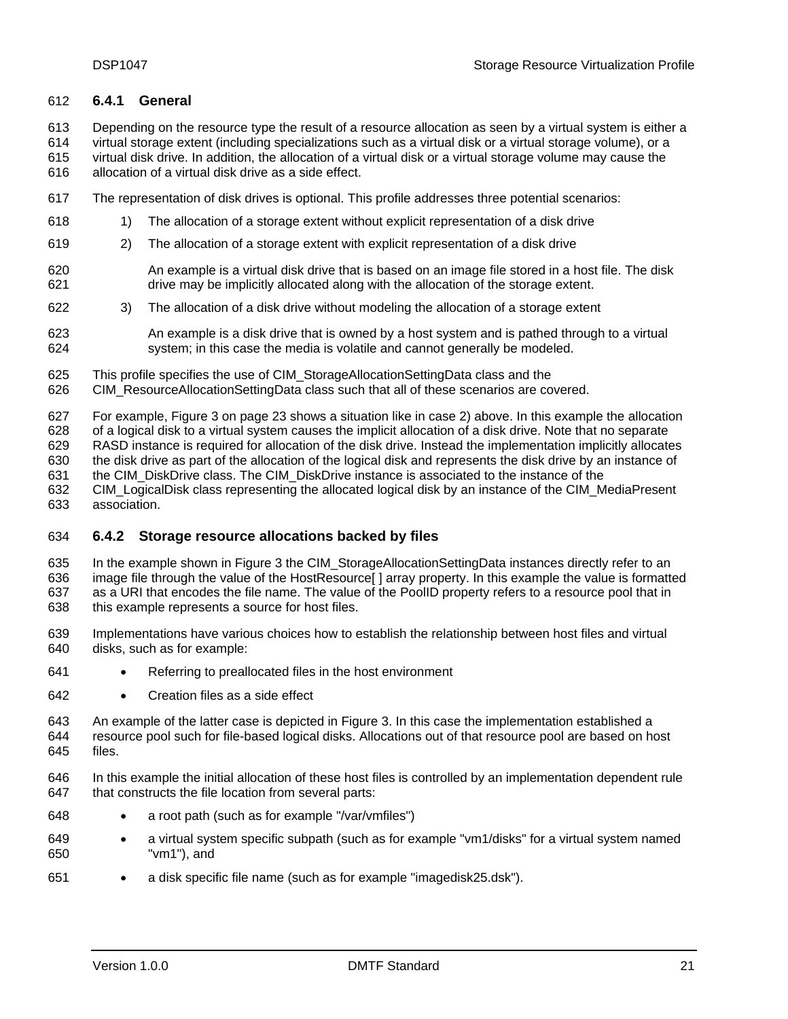#### <span id="page-20-0"></span>612 **6.4.1 General**

613 Depending on the resource type the result of a resource allocation as seen by a virtual system is either a

- 614 virtual storage extent (including specializations such as a virtual disk or a virtual storage volume), or a 615 virtual disk drive. In addition, the allocation of a virtual disk or a virtual storage volume may cause the 616 allocation of a virtual disk drive as a side effect.
- 617 The representation of disk drives is optional. This profile addresses three potential scenarios:
- 618 1) The allocation of a storage extent without explicit representation of a disk drive
- <span id="page-20-2"></span>619 2) The allocation of a storage extent with explicit representation of a disk drive
- 620 An example is a virtual disk drive that is based on an image file stored in a host file. The disk 621 drive may be implicitly allocated along with the allocation of the storage extent.
- 622 3) The allocation of a disk drive without modeling the allocation of a storage extent
- 623 An example is a disk drive that is owned by a host system and is pathed through to a virtual 624 system; in this case the media is volatile and cannot generally be modeled.
- 625 This profile specifies the use of CIM\_StorageAllocationSettingData class and the
- 626 CIM\_ResourceAllocationSettingData class such that all of these scenarios are covered.
- 627 For example, [Figure 3](#page-22-0) on page [23](#page-22-0) shows a situation like in case [2\)](#page-20-2) above. In this example the allocation
- 628 of a logical disk to a virtual system causes the implicit allocation of a disk drive. Note that no separate
- 629 RASD instance is required for allocation of the disk drive. Instead the implementation implicitly allocates 630 the disk drive as part of the allocation of the logical disk and represents the disk drive by an instance of
- 631 the CIM\_DiskDrive class. The CIM\_DiskDrive instance is associated to the instance of the
- 632 CIM\_LogicalDisk class representing the allocated logical disk by an instance of the CIM\_MediaPresent
- 633 association.

#### <span id="page-20-1"></span>634 **6.4.2 Storage resource allocations backed by files**

- 635 In the example shown in [Figure 3](#page-22-0) the CIM StorageAllocationSettingData instances directly refer to an 636 image file through the value of the HostResource[ ] array property. In this example the value is formatted 637 as a URI that encodes the file name. The value of the PoolID property refers to a resource pool that in 638 this example represents a source for host files.
- 639 Implementations have various choices how to establish the relationship between host files and virtual 640 disks, such as for example:
- 641 Referring to preallocated files in the host environment
- 642 Creation files as a side effect
- 643 An example of the latter case is depicted in [Figure 3](#page-22-0). In this case the implementation established a 644 resource pool such for file-based logical disks. Allocations out of that resource pool are based on host
- 645 files.
- 646 In this example the initial allocation of these host files is controlled by an implementation dependent rule 647 that constructs the file location from several parts:
- 648 a root path (such as for example "/var/vmfiles")
- 649 **•** a virtual system specific subpath (such as for example "vm1/disks" for a virtual system named 650 "vm1"), and
- 651 **•** a disk specific file name (such as for example "imagedisk25.dsk").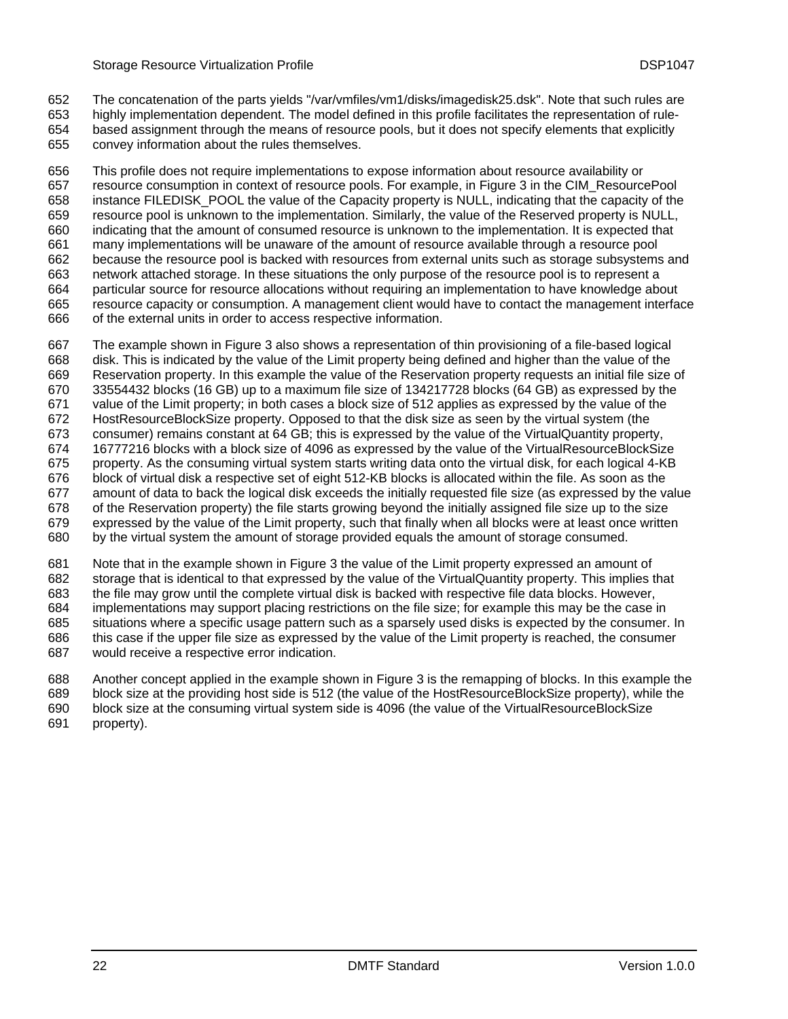652 The concatenation of the parts yields "/var/vmfiles/vm1/disks/imagedisk25.dsk". Note that such rules are

653 highly implementation dependent. The model defined in this profile facilitates the representation of rule-654 based assignment through the means of resource pools, but it does not specify elements that explicitly 655 convey information about the rules themselves.

656 This profile does not require implementations to expose information about resource availability or 657 resource consumption in context of resource pools. For example, in [Figure 3](#page-22-0) in the CIM\_ResourcePool 658 instance FILEDISK\_POOL the value of the Capacity property is NULL, indicating that the capacity of the 659 resource pool is unknown to the implementation. Similarly, the value of the Reserved property is NULL, 660 indicating that the amount of consumed resource is unknown to the implementation. It is expected that 661 many implementations will be unaware of the amount of resource available through a resource pool 662 because the resource pool is backed with resources from external units such as storage subsystems and 663 network attached storage. In these situations the only purpose of the resource pool is to represent a 664 particular source for resource allocations without requiring an implementation to have knowledge about 665 resource capacity or consumption. A management client would have to contact the management interface 666 of the external units in order to access respective information.

667 The example shown in [Figure 3](#page-22-0) also shows a representation of thin provisioning of a file-based logical 668 disk. This is indicated by the value of the Limit property being defined and higher than the value of the 669 Reservation property. In this example the value of the Reservation property requests an initial file size of 670 33554432 blocks (16 GB) up to a maximum file size of 134217728 blocks (64 GB) as expressed by the 671 value of the Limit property; in both cases a block size of 512 applies as expressed by the value of the 672 HostResourceBlockSize property. Opposed to that the disk size as seen by the virtual system (the 673 consumer) remains constant at 64 GB; this is expressed by the value of the VirtualQuantity property, 674 16777216 blocks with a block size of 4096 as expressed by the value of the VirtualResourceBlockSize 675 property. As the consuming virtual system starts writing data onto the virtual disk, for each logical 4-KB 676 block of virtual disk a respective set of eight 512-KB blocks is allocated within the file. As soon as the 677 amount of data to back the logical disk exceeds the initially requested file size (as expressed by the value 678 of the Reservation property) the file starts growing beyond the initially assigned file size up to the size 679 expressed by the value of the Limit property, such that finally when all blocks were at least once written 680 by the virtual system the amount of storage provided equals the amount of storage consumed.

681 Note that in the example shown in [Figure 3](#page-22-0) the value of the Limit property expressed an amount of 682 storage that is identical to that expressed by the value of the VirtualQuantity property. This implies that 683 the file may grow until the complete virtual disk is backed with respective file data blocks. However, 684 implementations may support placing restrictions on the file size; for example this may be the case in 685 situations where a specific usage pattern such as a sparsely used disks is expected by the consumer. In 686 this case if the upper file size as expressed by the value of the Limit property is reached, the consumer 687 would receive a respective error indication.

688 Another concept applied in the example shown in [Figure 3](#page-22-0) is the remapping of blocks. In this example the 689 block size at the providing host side is 512 (the value of the HostResourceBlockSize property), while the 690 block size at the consuming virtual system side is 4096 (the value of the VirtualResourceBlockSize

691 property).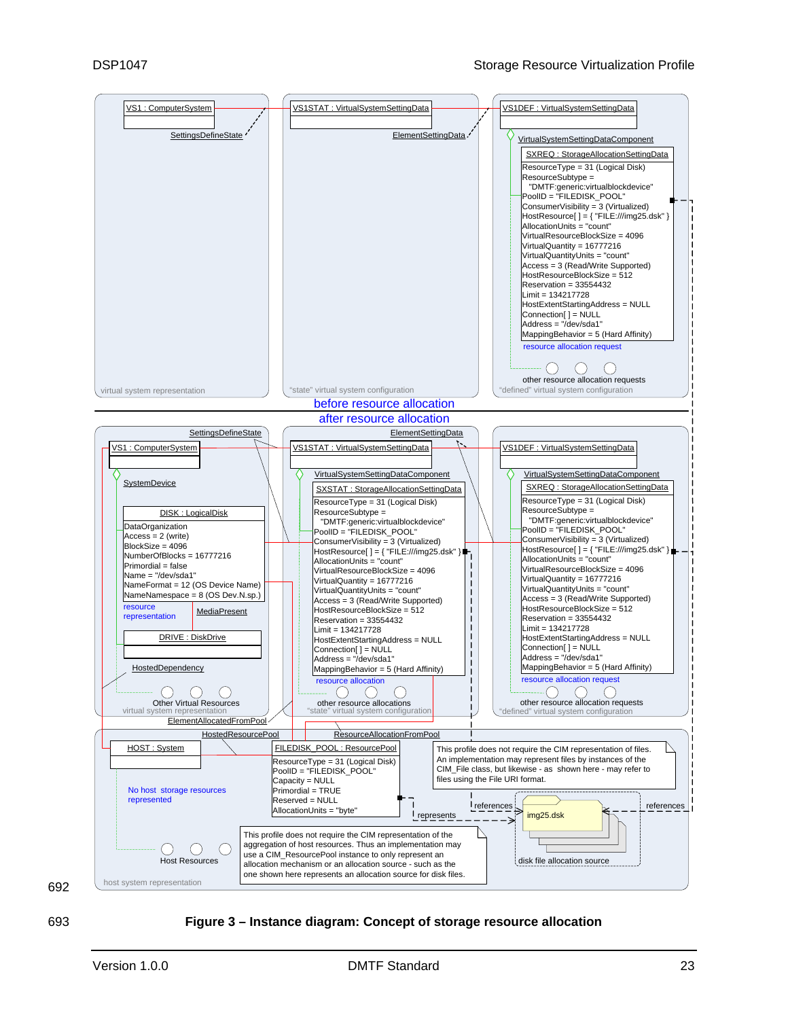

<span id="page-22-0"></span>693 **Figure 3 – Instance diagram: Concept of storage resource allocation**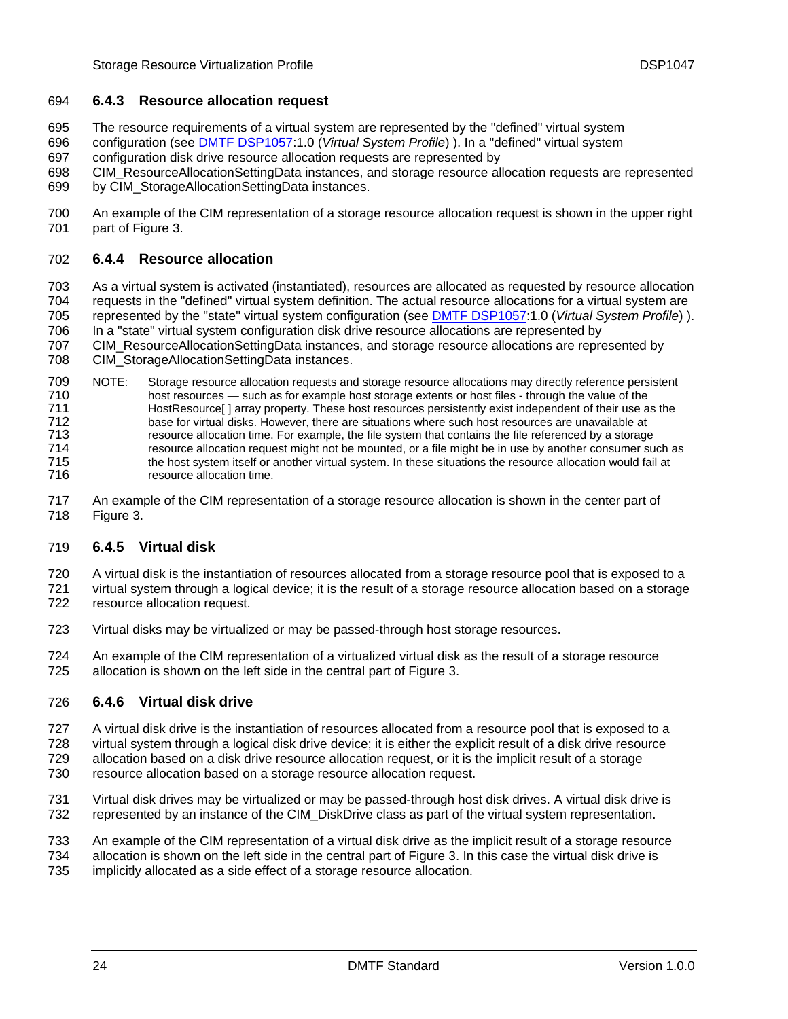#### <span id="page-23-0"></span>694 **6.4.3 Resource allocation request**

- 695 The resource requirements of a virtual system are represented by the "defined" virtual system
- 696 configuration (see [DMTF DSP1057:1.0](#page-8-7) (*[Virtual System](#page-8-7) Profile*) ). In a "defined" virtual system
- 697 configuration disk drive resource allocation requests are represented by
- 698 CIM\_ResourceAllocationSettingData instances, and storage resource allocation requests are represented 699 by CIM\_StorageAllocationSettingData instances.
- 700 An example of the CIM representation of a storage resource allocation request is shown in the upper right [701 part of](#page-29-1) Figure 3.

#### <span id="page-23-1"></span>702 **[6.4.4 Resou](#page-29-1)rce allocation**

- 703 As a virtual system is activated (instantiated), resources are allocated as requested by resource allocation 704 requests in the "defined" virtual system definition. The actual resource allocations for a virtual system are 705 represented by the "state" virtual system configuration (see [DMTF DSP1057:1.0](#page-8-7) (*[Virtual System](#page-8-7) Profile*) ).
- 706 In a "state" virtual system configuration disk drive resource allocations are represented by
- 707 CIM\_ResourceAllocationSettingData instances, and storage resource allocations are represented by

708 CIM StorageAllocationSettingData instances.

- 709 NOTE: Storage resource allocation requests and storage resource allocations may directly reference persistent<br>710 host resources such as for example host storage extents or host files through the value of the host resources — such as for example host storage extents or host files - through the value of the 711 HostResource[ ] array property. These host resources persistently exist independent of their use as the 712 base for virtual disks. However, there are situations where such host resources are unavailable at resource allocation time. For example, the file system that contains the file referenced by a storage 714 resource allocation request might not be mounted, or a file might be in use by another consumer such as 715 the host system itself or another virtual system. In these situations the resource allocation would fail at 716 resource allocation time.
- 717 An example of the CIM representation of a storage resource allocation is shown in the center part of 718 Figure 3.

#### <span id="page-23-2"></span>719 **[6.4.5 Virtual disk](#page-30-1)**

- 720 A virtual disk is the instantiation of resources allocated from a storage resource pool that is exposed to a 721 virtual system through a logical device; it is the result of a storage resource allocation based on a storage 722 resource allocation request.
- 723 Virtual disks may be virtualized or may be passed-through host storage resources.
- 724 An example of the CIM representation of a virtualized virtual disk as the result of a storage resource [725 allocation is shown on the left side in the central part of](#page-30-2) Figure 3.

#### <span id="page-23-3"></span>726 **[6.4.6 Virtual disk drive](#page-30-2)**

- 727 A virtual disk drive is the instantiation of resources allocated from a resource pool that is exposed to a 728 virtual system through a logical disk drive device; it is either the explicit result of a disk drive resource 729 allocation based on a disk drive resource allocation request, or it is the implicit result of a storage 730 resource allocation based on a storage resource allocation request.
- 731 Virtual disk drives may be virtualized or may be passed-through host disk drives. A virtual disk drive is 732 represented by an instance of the CIM\_DiskDrive class as part of the virtual system representation.
- 733 An example of the CIM representation of a virtual disk drive as the implicit result of a storage resource 734 allocation is shown on the left side in the central part of [Figure 3. In this case the virtual disk drive](#page-31-0) is 735 implicitly allocated as a side effect of a storage resource allocation.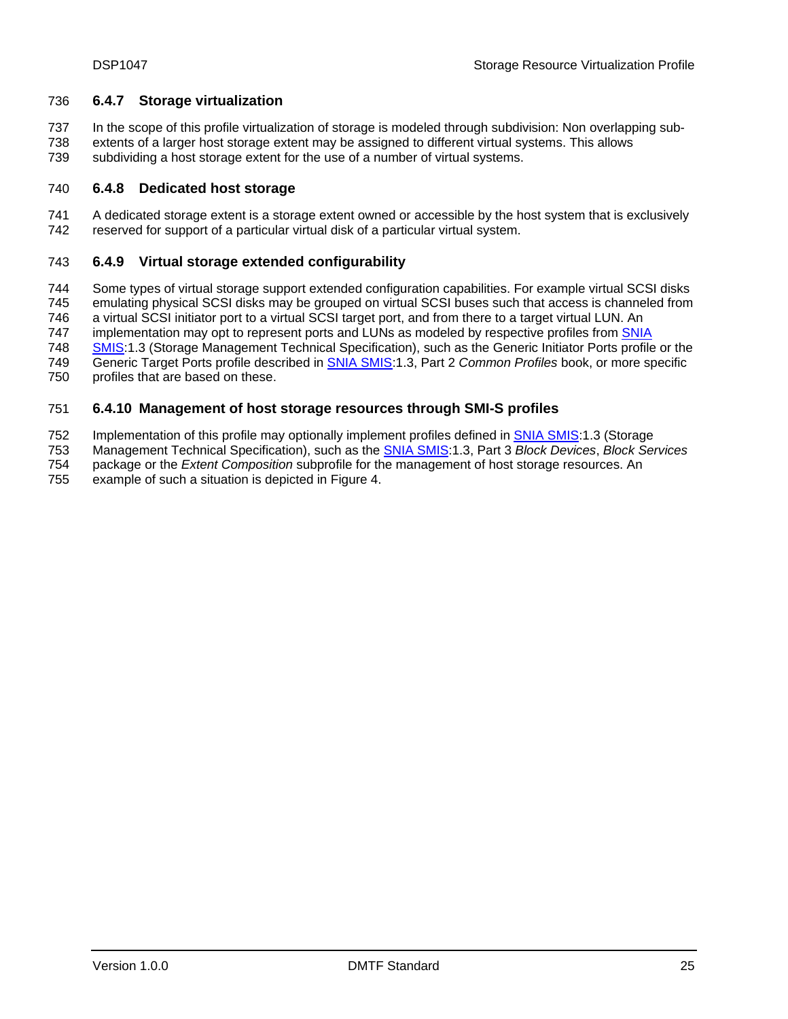#### <span id="page-24-0"></span>736 **6.4.7 Storage virtualization**

- 737 In the scope of this profile virtualization of storage is modeled through subdivision: Non overlapping sub-
- 738 extents of a larger host storage extent may be assigned to different virtual systems. This allows
- 739 subdividing a host storage extent for the use of a number of virtual systems.

#### <span id="page-24-1"></span>740 **6.4.8 Dedicated host storage**

741 A dedicated storage extent is a storage extent owned or accessible by the host system that is exclusively 742 reserved for support of a particular virtual disk of a particular virtual system.

#### <span id="page-24-2"></span>743 **6.4.9 Virtual storage extended configurability**

- 744 Some types of virtual storage support extended configuration capabilities. For example virtual SCSI disks 745 emulating physical SCSI disks may be grouped on virtual SCSI buses such that access is channeled from
- 746 a virtual SCSI initiator port to a virtual SCSI target port, and from there to a target virtual LUN. An
- 747 implementation may opt to represent ports and LUNs as modeled by respective profiles from SNIA
- 748 SMIS[:1.3](#page-9-1) [\(Storage Management Technical Specification](#page-9-1)), such as the [Generic Initiator Ports](#page-9-4) profile or the
- 749 [Generic Target Ports](#page-9-5) profile described in [SNIA SMIS:1.3,](#page-9-1) Part 2 *[Common Profiles](#page-32-1)* book, or more specific
- 750 profiles that are based on these.

#### <span id="page-24-3"></span>751 **6.4.10 Management of host storage resources through SMI-S profiles**

- [752 Implementation of this profile may optionally implement profiles defined in SNIA SMIS:1.3 \(Storage](#page-9-1)
- 753 [Management Technical Specifica](#page-9-1)tion), such as the [SNIA SMIS:1.3](#page-9-1), Part 3 *[Block Devices](#page-9-6)*, *[Block Services](#page-9-2)*
- 754 package or the *[Extent Composition](#page-9-7)* subprofile for the management of host storage resources. An
- 755 example of such a situation is depicted in [Figure 4.](#page-25-0)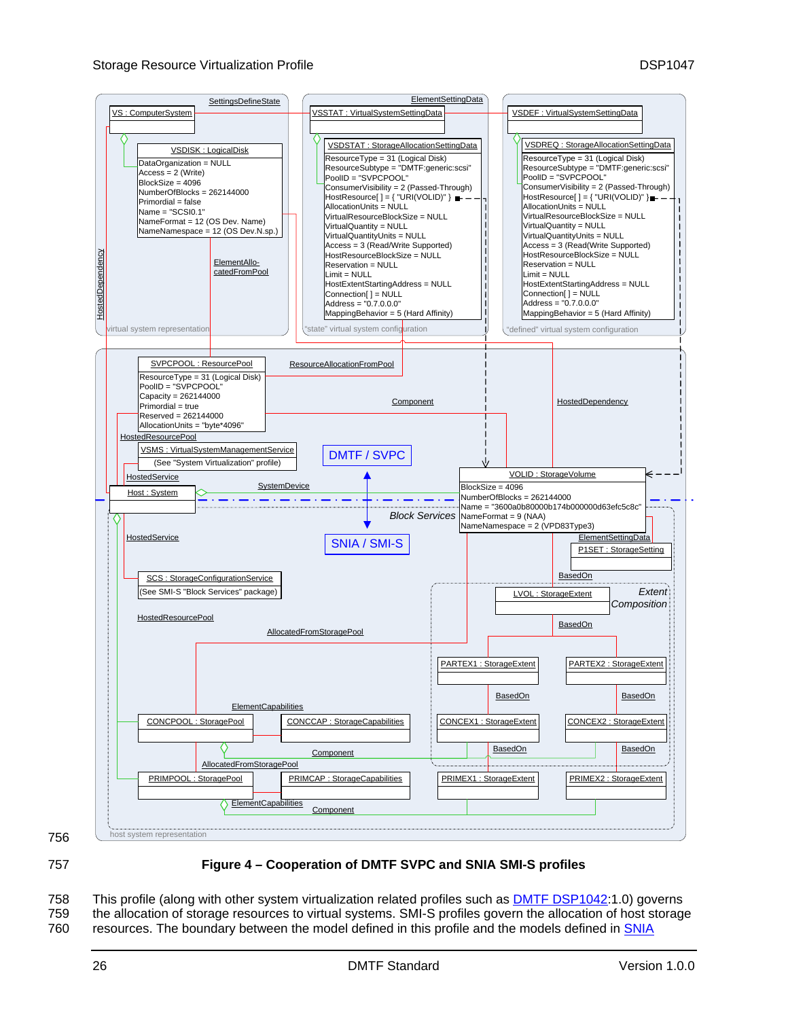#### Storage Resource Virtualization Profile **DSP1047** and DSP1047



756

#### <span id="page-25-0"></span>757 **Figure 4 – Cooperation of DMTF SVPC and SNIA SMI-S profiles**

758 This profile (along with other system virtualization related profiles such as **DMTF DSP1042:1.0**) governs 759 the allocation of storage resources to virtual systems. SMI-S profiles govern the allocation of host storage 760 resources. The boundary between the model defined in this profile and the models defined in SNIA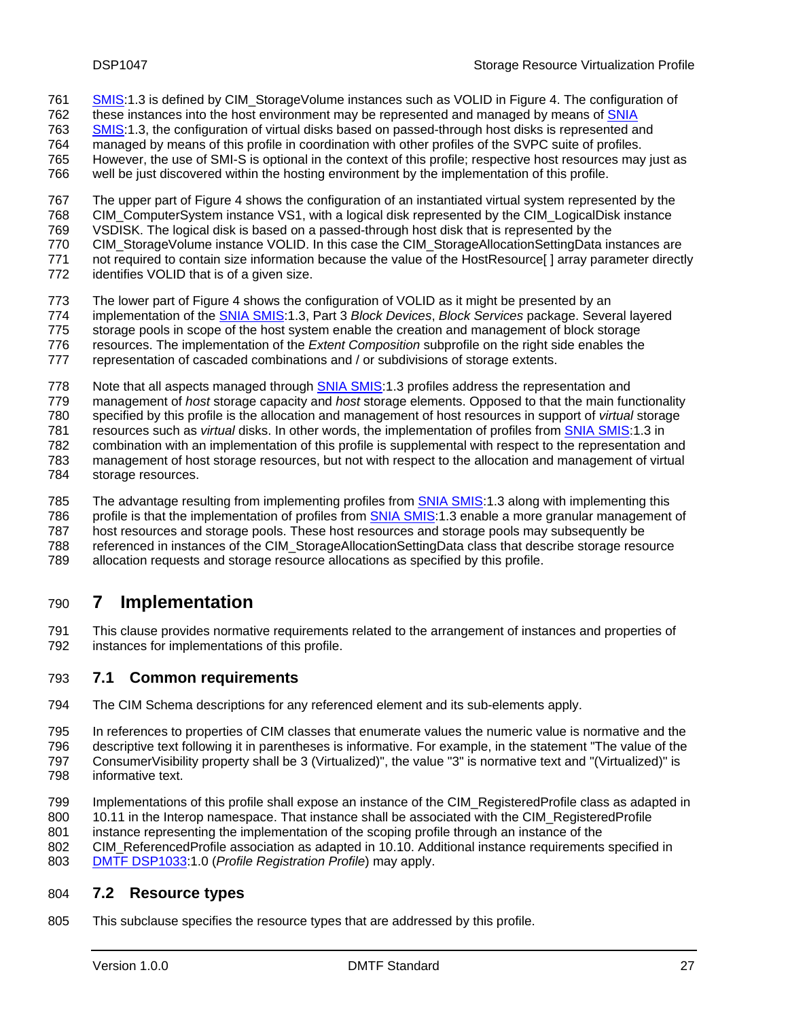- 761 SMIS[:1.3](#page-9-1) is defined by CIM\_StorageVolume instances such as VOLID in [Figure 4.](#page-25-0) The configuration of
- [762 these instances into the host environment may be represented and managed by means of SNIA](#page-9-1)
- 763 SMIS[:1.3](#page-9-1), the configuration of virtual disks based on passed-through host disks is represented and
- 764 managed by means of this profile in coordination with other profiles of the SVPC suite of profiles. 765 However, the use of SMI-S is optional in the context of this profile; respective host resources may just as
- 766 well be just discovered within the hosting environment by the implementation of this profile.
- 767 The upper part of [Figure 4](#page-25-0) shows the configuration of an instantiated virtual system represented by the 768 CIM\_ComputerSystem instance VS1, with a logical disk represented by the CIM\_LogicalDisk instance
- 769 VSDISK. The logical disk is based on a passed-through host disk that is represented by the
- 770 CIM StorageVolume instance VOLID. In this case the CIM StorageAllocationSettingData instances are
- 771 not required to contain size information because the value of the HostResource[ ] array parameter directly
- 772 identifies VOLID that is of a given size.
- 773 The lower part of [Figure 4](#page-25-0) shows the configuration of VOLID as it might be presented by an
- 774 implementation of the [SNIA SMIS:1.3,](#page-9-1) Part 3 *[Block Devices](#page-9-6)*, *[Block Services](#page-9-2)* package. Several layered
- 775 storage pools in scope of the host system enable the creation and management of block storage
- 776 resources. The implementation of the *[Extent Composition](#page-9-7)* subprofile on the right side enables the
- 777 representation of cascaded combinations and / or subdivisions of storage extents.
- 778 Note that all aspects managed through [SNIA SMIS](#page-9-1):[1.3](#page-9-1) profiles address the representation and
- 779 management of *host* storage capacity and *host* storage elements. Opposed to that the main functionality
- 780 specified by this profile is the allocation and management of host resources in support of *virtual* storage
- 781 resources such as *virtual* disks. In other words, the implementation of profiles from [SNIA SMIS:1.3](#page-9-1) in
- 782 combination with an implementation of this profile is supplemental with respect to the representation and
- 783 management of host storage resources, but not with respect to the allocation and management of virtual
- 784 storage resources.
- 785 The advantage resulting from implementing profiles from [SNIA SMIS:1.3](#page-9-1) along with implementing this
- 786 profile is that the implementation of profiles from [SNIA SMIS](#page-9-1):[1.3](#page-9-1) enable a more granular management of
- 787 host resources and storage pools. These host resources and storage pools may subsequently be
- 788 referenced in instances of the CIM\_StorageAllocationSettingData class that describe storage resource
- 789 allocation requests and storage resource allocations as specified by this profile.

## <span id="page-26-0"></span>790 **7 Implementation**

791 This clause provides normative requirements related to the arrangement of instances and properties of 792 instances for implementations of this profile.

### <span id="page-26-1"></span>793 **7.1 Common requirements**

- 794 The CIM Schema descriptions for any referenced element and its sub-elements apply.
- 795 In references to properties of CIM classes that enumerate values the numeric value is normative and the 796 descriptive text following it in parentheses is informative. For example, in the statement "The value of the 797 ConsumerVisibility property shall be 3 (Virtualized)", the value "3" is normative text and "(Virtualized)" is 798 informative text.
- 
- 799 Implementations of this profile shall expose an instance of the CIM\_RegisteredProfile class as adapted in 800 [10.11](#page-65-0) in the Interop namespace. That instance shall be associated with the CIM RegisteredProfile
- 801 instance representing the implementation of the scoping profile through an instance of the
- 802 CIM ReferencedProfile association as adapted in [10.10](#page-64-2). Additional instance requirements specified in
- 803 [DMTF DSP1033:1.0](#page-8-2) (*[Profile Registration](#page-8-2) Profile*) may apply.

#### <span id="page-26-2"></span>804 **7.2 Resource types**

805 This subclause specifies the resource types that are addressed by this profile.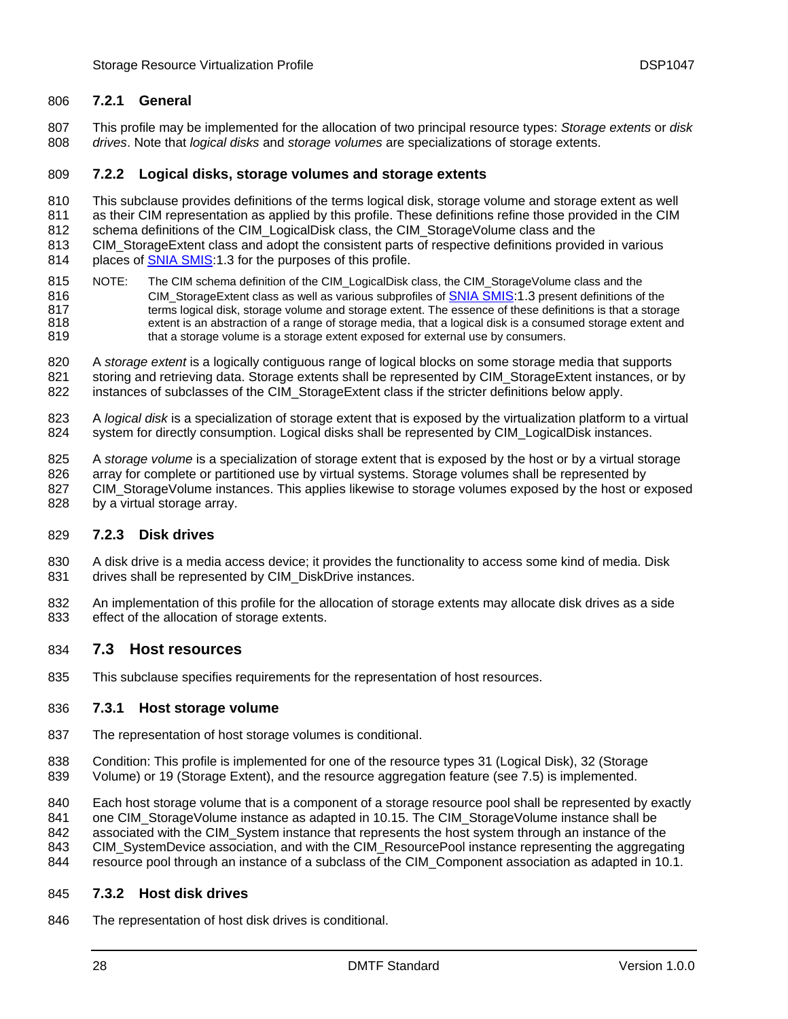#### <span id="page-27-0"></span>806 **7.2.1 General**

807 This profile may be implemented for the allocation of two principal resource types: *Storage extents* or *disk*  808 *drives*. Note that *logical disks* and *storage volumes* are specializations of storage extents.

#### <span id="page-27-1"></span>809 **7.2.2 Logical disks, storage volumes and storage extents**

810 This subclause provides definitions of the terms logical disk, storage volume and storage extent as well 811 as their CIM representation as applied by this profile. These definitions refine those provided in the CIM

812 schema definitions of the CIM LogicalDisk class, the CIM StorageVolume class and the

813 CIM\_StorageExtent class and adopt the consistent parts of respective definitions provided in various

- 814 places of **SNIA SMIS**: 1.3 for the purposes of this profile.
- 815 NOTE: The CIM schema definition of the CIM\_LogicalDisk class, the CIM\_StorageVolume class and the 816 CIM\_StorageExtent class as well as various subprofiles of [SNIA SMIS:1.3](#page-9-1) present definitions of the 817 terms logical disk, storage volume and storage extent. The essence of these definitions is that a storage 818 extent is an abstraction of a range of storage media, that a logical disk is a consumed storage extent and 819 that a storage volume is a storage extent exposed for external use by consumers.

820 A *storage extent* is a logically contiguous range of logical blocks on some storage media that supports 821 storing and retrieving data. Storage extents shall be represented by CIM StorageExtent instances, or by 822 instances of subclasses of the CIM\_StorageExtent class if the stricter definitions below apply.

823 A *logical disk* is a specialization of storage extent that is exposed by the virtualization platform to a virtual 824 system for directly consumption. Logical disks shall be represented by CIM LogicalDisk instances.

825 A *storage volume* is a specialization of storage extent that is exposed by the host or by a virtual storage

826 array for complete or partitioned use by virtual systems. Storage volumes shall be represented by

827 CIM StorageVolume instances. This applies likewise to storage volumes exposed by the host or exposed 828 by a virtual storage array.

#### <span id="page-27-2"></span>829 **7.2.3 Disk drives**

- 830 A disk drive is a media access device; it provides the functionality to access some kind of media. Disk 831 drives shall be represented by CIM DiskDrive instances.
- 832 An implementation of this profile for the allocation of storage extents may allocate disk drives as a side 833 effect of the allocation of storage extents.

#### <span id="page-27-3"></span>834 **7.3 Host resources**

835 This subclause specifies requirements for the representation of host resources.

#### <span id="page-27-4"></span>836 **7.3.1 Host storage volume**

- 837 The representation of host storage volumes is conditional.
- 838 Condition: This profile is implemented for one of the resource types 31 (Logical Disk), 32 (Storage 839 Volume) or 19 (Storage Extent), and the resource aggregation feature (see [7.5](#page-31-3)) is implemented.
- 840 Each host storage volume that is a component of a storage resource pool shall be represented by exactly
- 841 one CIM StorageVolume instance as adapted in [10.15](#page-67-0). The CIM StorageVolume instance shall be
- 842 associated with the CIM System instance that represents the host system through an instance of the
- 843 CIM\_SystemDevice association, and with the CIM\_ResourcePool instance representing the aggregating
- 844 resource pool through an instance of a subclass of the CIM Component association as adapted in [10.1](#page-61-0).

#### <span id="page-27-5"></span>845 **7.3.2 Host disk drives**

846 The representation of host disk drives is conditional.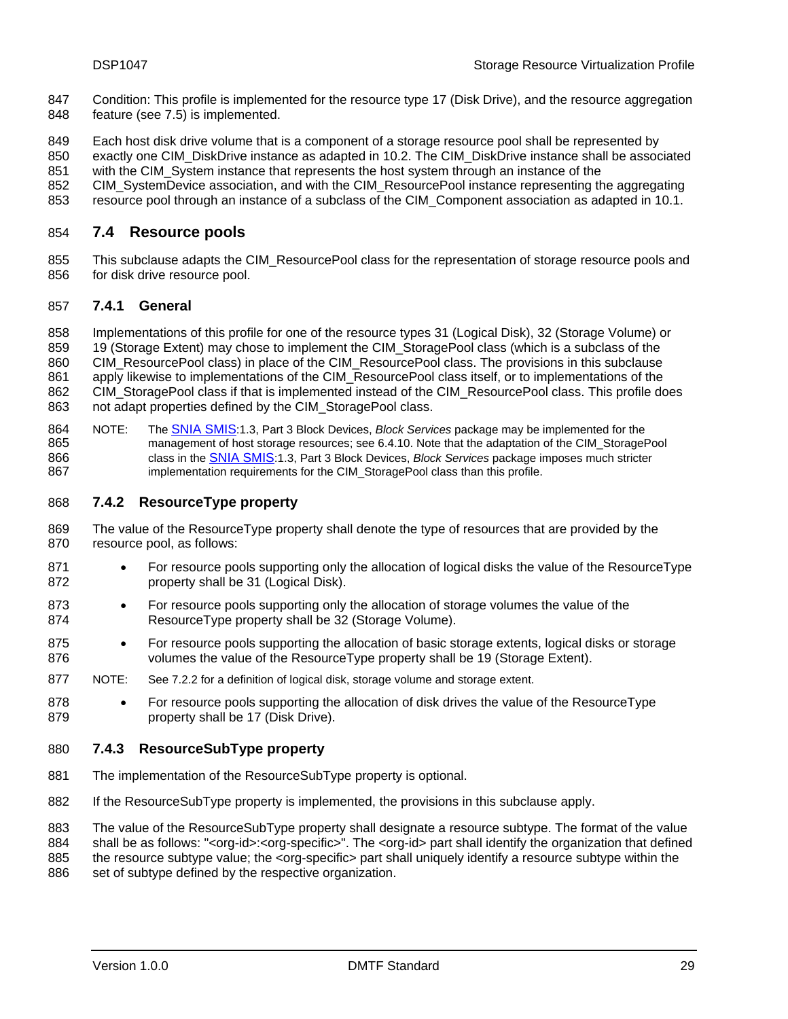- 847 Condition: This profile is implemented for the resource type 17 (Disk Drive), and the resource aggregation 848 feature (see [7.5](#page-31-3)) is implemented.
- 849 Each host disk drive volume that is a component of a storage resource pool shall be represented by
- 850 exactly one CIM DiskDrive instance as adapted in [10.2](#page-62-0). The CIM DiskDrive instance shall be associated
- 851 with the CIM\_System instance that represents the host system through an instance of the
- 852 CIM SystemDevice association, and with the CIM ResourcePool instance representing the aggregating
- 853 resource pool through an instance of a subclass of the CIM\_Component association as adapted in [10.1](#page-61-0).

#### <span id="page-28-0"></span>854 **7.4 Resource pools**

855 This subclause adapts the CIM\_ResourcePool class for the representation of storage resource pools and 856 for disk drive resource pool.

#### <span id="page-28-1"></span>857 **7.4.1 General**

858 Implementations of this profile for one of the resource types 31 (Logical Disk), 32 (Storage Volume) or 859 19 (Storage Extent) may chose to implement the CIM StoragePool class (which is a subclass of the 860 CIM ResourcePool class) in place of the CIM ResourcePool class. The provisions in this subclause 861 apply likewise to implementations of the CIM ResourcePool class itself, or to implementations of the 862 CIM StoragePool class if that is implemented instead of the CIM ResourcePool class. This profile does 863 not adapt properties defined by the CIM StoragePool class.

864 NOTE: The [SNIA SMIS:1.3,](#page-9-1) [Part 3 Block Devices,](#page-9-6) *[Block Services](#page-9-2)* package may be implemented for the 865 management of host storage resources; see [6.4.10.](#page-24-3) Note that the adaptation of the CIM\_StoragePool 866 class in the [SNIA SMIS](#page-9-1):[1.3](#page-9-1), [Part 3 Block Devices](#page-9-6), *[Block Services](#page-9-2)* package imposes much stricter 867 implementation requirements for the CIM\_StoragePool class than this profile.

#### <span id="page-28-2"></span>868 **7.4.2 ResourceType property**

- 869 The value of the ResourceType property shall denote the type of resources that are provided by the 870 resource pool, as follows:
- 871 For resource pools supporting only the allocation of logical disks the value of the ResourceType 872 **property shall be 31 (Logical Disk).**
- 873 For resource pools supporting only the allocation of storage volumes the value of the 874 ResourceType property shall be 32 (Storage Volume).
- 875 For resource pools supporting the allocation of basic storage extents, logical disks or storage 876 volumes the value of the ResourceType property shall be 19 (Storage Extent).
- 877 NOTE: See [7.2.2](#page-27-1) for a definition of logical disk, storage volume and storage extent.
- 878 For resource pools supporting the allocation of disk drives the value of the ResourceType 879 **property shall be 17 (Disk Drive).**

#### <span id="page-28-3"></span>880 **7.4.3 ResourceSubType property**

- 881 The implementation of the ResourceSubType property is optional.
- 882 If the ResourceSubType property is implemented, the provisions in this subclause apply.

883 The value of the ResourceSubType property shall designate a resource subtype. The format of the value 884 shall be as follows: "<org-id>:<org-specific>". The <org-id> part shall identify the organization that defined 885 the resource subtype value; the <org-specific> part shall uniquely identify a resource subtype within the

886 set of subtype defined by the respective organization.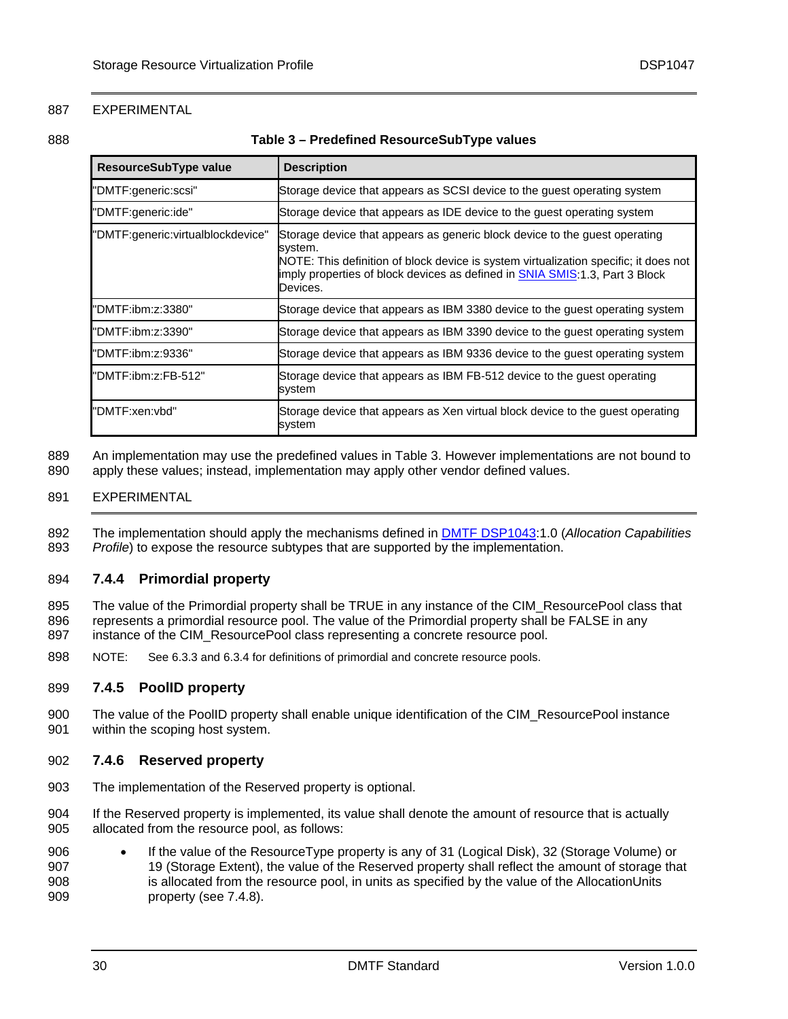#### 887 EXPERIMENTAL

<span id="page-29-3"></span>

888 **Table 3 – Predefined ResourceSubType values** 

| ResourceSubType value             | <b>Description</b>                                                                                                                                                                                                                                                               |
|-----------------------------------|----------------------------------------------------------------------------------------------------------------------------------------------------------------------------------------------------------------------------------------------------------------------------------|
| "DMTF:generic:scsi"               | Storage device that appears as SCSI device to the guest operating system                                                                                                                                                                                                         |
| "DMTF:generic:ide"                | Storage device that appears as IDE device to the quest operating system                                                                                                                                                                                                          |
| "DMTF:generic:virtualblockdevice" | Storage device that appears as generic block device to the quest operating<br>system.<br>NOTE: This definition of block device is system virtualization specific; it does not<br>imply properties of block devices as defined in <b>SNIA SMIS:1.3</b> , Part 3 Block<br>Devices. |
| "DMTF:ibm:z:3380"                 | Storage device that appears as IBM 3380 device to the guest operating system                                                                                                                                                                                                     |
| "DMTF:ibm:z:3390"                 | Storage device that appears as IBM 3390 device to the guest operating system                                                                                                                                                                                                     |
| 'DMTF:ibm:z:9336"                 | Storage device that appears as IBM 9336 device to the quest operating system                                                                                                                                                                                                     |
| 'DMTF:ibm:z:FB-512"               | Storage device that appears as IBM FB-512 device to the guest operating<br>system                                                                                                                                                                                                |
| 'DMTF:xen:vbd"                    | Storage device that appears as Xen virtual block device to the guest operating<br>system                                                                                                                                                                                         |

889 An implementation may use the predefined values in [Table 3.](#page-29-3) However implementations are not bound to 890 apply these values; instead, implementation may apply other vendor defined values.

#### 891 EXPERIMENTAL

892 The implementation should apply the mechanisms defined in [DMTF DSP1043:1.0](#page-8-5) (*[Allocation Capabilities](#page-8-5)* 893 *Profile*) to expose the resource subtypes that are supported by the implementation.

#### <span id="page-29-0"></span>894 **7.4.4 Primordial property**

895 The value of the Primordial property shall be TRUE in any instance of the CIM\_ResourcePool class that 896 represents a primordial resource pool. The value of the Primordial property shall be FALSE in any 897 instance of the CIM\_ResourcePool class representing a concrete resource pool.

898 NOTE: See [6.3.3](#page-18-0) and [6.3.4](#page-18-1) for definitions of primordial and concrete resource pools.

#### <span id="page-29-1"></span>899 **7.4.5 PoolID property**

900 The value of the PoolID property shall enable unique identification of the CIM\_ResourcePool instance 901 within the scoping host system.

#### <span id="page-29-2"></span>902 **7.4.6 Reserved property**

- 903 The implementation of the Reserved property is optional.
- 904 If the Reserved property is implemented, its value shall denote the amount of resource that is actually 905 allocated from the resource pool, as follows:
- 906 **I**f the value of the ResourceType property is any of 31 (Logical Disk), 32 (Storage Volume) or 907 19 (Storage Extent), the value of the Reserved property shall reflect the amount of storage that 908 is allocated from the resource pool, in units as specified by the value of the AllocationUnits 909 property (see [7.4.8](#page-30-1)).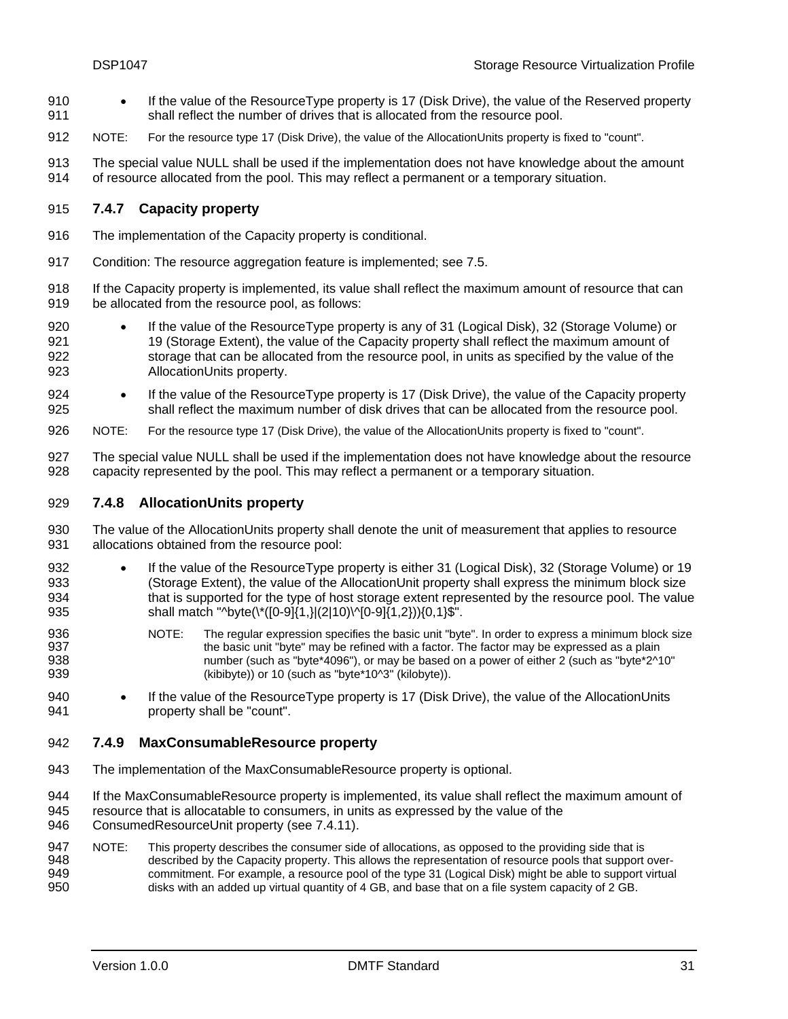- 910 If the value of the ResourceType property is 17 (Disk Drive), the value of the Reserved property 911 shall reflect the number of drives that is allocated from the resource pool.
- 912 NOTE: For the resource type 17 (Disk Drive), the value of the AllocationUnits property is fixed to "count".
- 913 The special value NULL shall be used if the implementation does not have knowledge about the amount 914 of resource allocated from the pool. This may reflect a permanent or a temporary situation.

#### <span id="page-30-0"></span>915 **7.4.7 Capacity property**

- 916 The implementation of the Capacity property is conditional.
- 917 Condition: The resource aggregation feature is implemented; see [7.5.](#page-31-3)
- 918 If the Capacity property is implemented, its value shall reflect the maximum amount of resource that can 919 be allocated from the resource pool, as follows:
- 920 If the value of the ResourceType property is any of 31 (Logical Disk), 32 (Storage Volume) or 921 19 (Storage Extent), the value of the Capacity property shall reflect the maximum amount of 922 storage that can be allocated from the resource pool, in units as specified by the value of the 923 AllocationUnits property.
- 924 If the value of the ResourceType property is 17 (Disk Drive), the value of the Capacity property 925 shall reflect the maximum number of disk drives that can be allocated from the resource pool.
- 926 NOTE: For the resource type 17 (Disk Drive), the value of the AllocationUnits property is fixed to "count".
- 927 The special value NULL shall be used if the implementation does not have knowledge about the resource 928 capacity represented by the pool. This may reflect a permanent or a temporary situation.

#### <span id="page-30-1"></span>929 **7.4.8 AllocationUnits property**

- 930 The value of the AllocationUnits property shall denote the unit of measurement that applies to resource 931 allocations obtained from the resource pool:
- 932 If the value of the ResourceType property is either 31 (Logical Disk), 32 (Storage Volume) or 19 933 (Storage Extent), the value of the AllocationUnit property shall express the minimum block size 934 that is supported for the type of host storage extent represented by the resource pool. The value 935 shall match "^byte(\\*([0-9]{1,}|(2|10)\^[0-9]{1,2})){0,1}\$".
- 936 NOTE: The regular expression specifies the basic unit "byte". In order to express a minimum block size<br>937 Sepang the basic unit "byte" may be refined with a factor. The factor may be expressed as a plain 937 the basic unit "byte" may be refined with a factor. The factor may be expressed as a plain<br>938 setting the mumber (such as "byte\*4096"), or may be based on a power of either 2 (such as "byte\*2^1 number (such as "byte\*4096"), or may be based on a power of either 2 (such as "byte\*2^10" 939 (kibibyte)) or 10 (such as "byte\*10^3" (kilobyte)).
- 940 If the value of the ResourceType property is 17 (Disk Drive), the value of the AllocationUnits 941 property shall be "count".

#### <span id="page-30-2"></span>942 **7.4.9 MaxConsumableResource property**

- 943 The implementation of the MaxConsumableResource property is optional.
- 944 If the MaxConsumableResource property is implemented, its value shall reflect the maximum amount of 945 resource that is allocatable to consumers, in units as expressed by the value of the 946 ConsumedResourceUnit property (see [7.4.11](#page-31-1)).
- 947 NOTE: This property describes the consumer side of allocations, as opposed to the providing side that is 948 described by the Capacity property. This allows the representation of resource pools that support over-949 commitment. For example, a resource pool of the type 31 (Logical Disk) might be able to support virtual 950 disks with an added up virtual quantity of 4 GB, and base that on a file system capacity of 2 GB.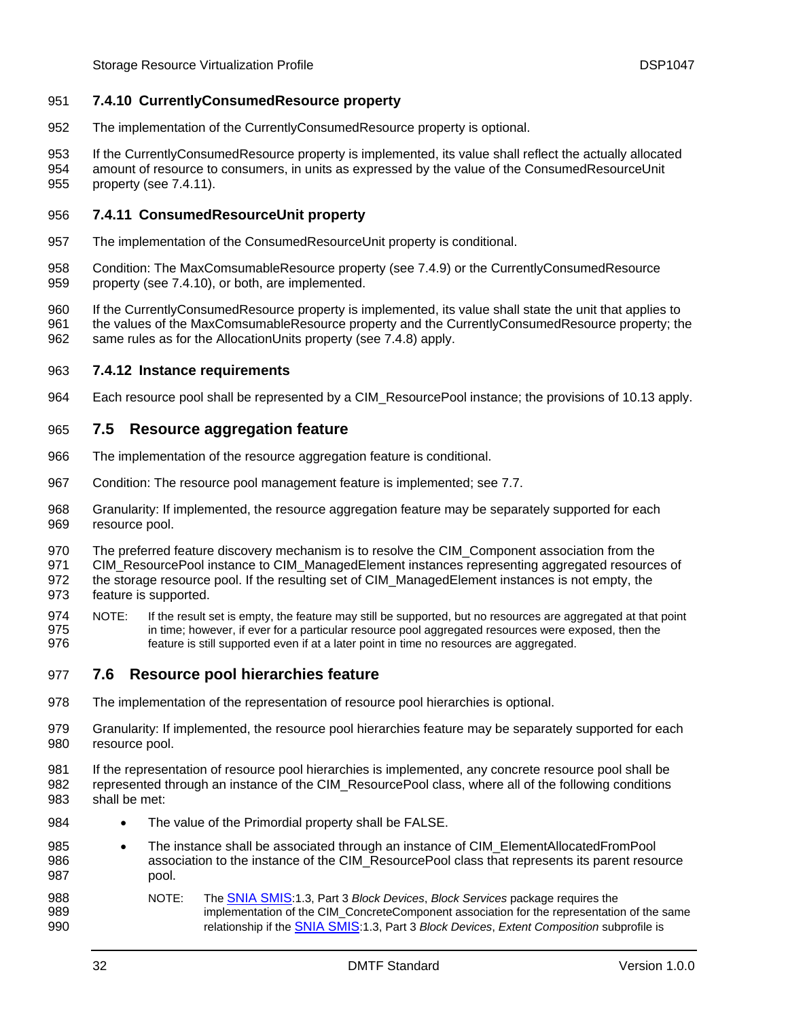#### <span id="page-31-0"></span>951 **7.4.10 CurrentlyConsumedResource property**

- 952 The implementation of the CurrentlyConsumedResource property is optional.
- 953 If the CurrentlyConsumedResource property is implemented, its value shall reflect the actually allocated 954 amount of resource to consumers, in units as expressed by the value of the ConsumedResourceUnit 955 property (see [7.4.11\)](#page-31-1).

#### <span id="page-31-1"></span>956 **7.4.11 ConsumedResourceUnit property**

- 957 The implementation of the ConsumedResourceUnit property is conditional.
- 958 Condition: The MaxComsumableResource property (see [7.4.9](#page-30-2)) or the CurrentlyConsumedResource 959 property (see [7.4.10\)](#page-31-0), or both, are implemented.
- 960 If the CurrentlyConsumedResource property is implemented, its value shall state the unit that applies to 961 the values of the MaxComsumableResource property and the CurrentlyConsumedResource property; the
- 962 same rules as for the AllocationUnits property (see [7.4.8](#page-30-1)) apply.

#### <span id="page-31-2"></span>963 **7.4.12 Instance requirements**

964 Each resource pool shall be represented by a CIM\_ResourcePool instance; the provisions of [10.13](#page-66-0) apply.

## <span id="page-31-3"></span>965 **7.5 Resource aggregation feature**

- 966 The implementation of the resource aggregation feature is conditional.
- 967 Condition: The resource pool management feature is implemented; see [7.7.](#page-32-0)
- 968 Granularity: If implemented, the resource aggregation feature may be separately supported for each 969 resource pool.
- 970 The preferred feature discovery mechanism is to resolve the CIM Component association from the
- 971 CIM\_ResourcePool instance to CIM\_ManagedElement instances representing aggregated resources of 972 the storage resource pool. If the resulting set of CIM ManagedElement instances is not empty, the 973 feature is supported.
- 974 NOTE: If the result set is empty, the feature may still be supported, but no resources are aggregated at that point in time; however, if ever for a particular resource pool aggregated resources were exposed, then the 975 in time; however, if ever for a particular resource pool aggregated resources were exposed, then the gradient form the gradient stature is still supported even if at a later point in time no resources are aggregated. feature is still supported even if at a later point in time no resources are aggregated.

### <span id="page-31-4"></span>977 **7.6 Resource pool hierarchies feature**

- 978 The implementation of the representation of resource pool hierarchies is optional.
- 979 Granularity: If implemented, the resource pool hierarchies feature may be separately supported for each 980 resource pool.
- 981 If the representation of resource pool hierarchies is implemented, any concrete resource pool shall be 982 represented through an instance of the CIM ResourcePool class, where all of the following conditions 983 shall be met:
- 984 The value of the Primordial property shall be FALSE.
- 985 The instance shall be associated through an instance of CIM\_ElementAllocatedFromPool 986 association to the instance of the CIM\_ResourcePool class that represents its parent resource 987 pool.
- 988 NOTE: The [SNIA SMIS:1.3,](#page-9-1) Part 3 *[Block Devices](#page-9-6)*, *[Block Services](#page-9-2)* package requires the 989 implementation of the CIM\_ConcreteComponent association for the representation of the same 990 relationship if the [SNIA SMIS](#page-9-1):[1.3,](#page-9-1) Part 3 *[Block Devices](#page-9-6)*, *[Extent Composition](#page-9-7)* subprofile is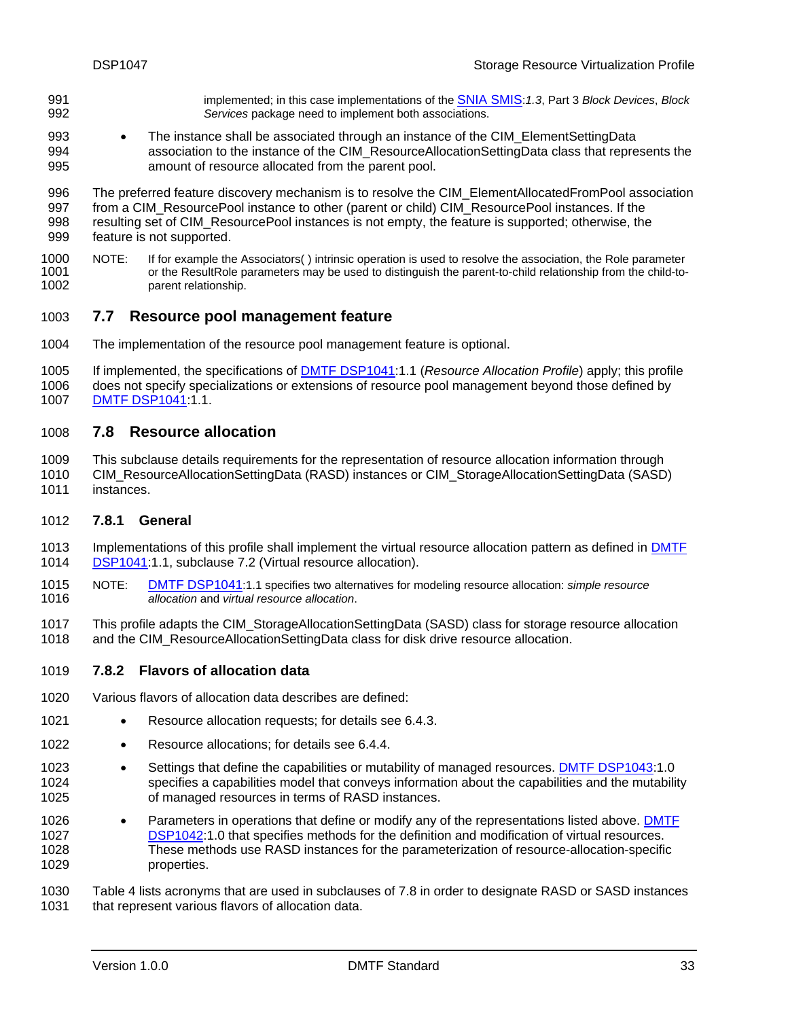- [991 implemented; in this case implementations of the](#page-9-2) **[SNIA SMIS](#page-9-1)**[:](#page-9-2) [1.3](#page-9-1), Part 3 *[Block Devices](#page-9-6), Block* <br>992 *Services package need to implement both associations***.** [Servi](#page-9-2)ces package need to implement both associations.
- 993 The instance shall be associated through an instance of the CIM ElementSettingData 994 association to the instance of the CIM\_ResourceAllocationSettingData class that represents the 995 amount of resource allocated from the parent pool.
- 996 The preferred feature discovery mechanism is to resolve the CIM ElementAllocatedFromPool association 997 from a CIM\_ResourcePool instance to other (parent or child) CIM\_ResourcePool instances. If the 998 resulting set of CIM\_ResourcePool instances is not empty, the feature is supported; otherwise, the 999 feature is not supported.
- 1000 NOTE: If for example the Associators() intrinsic operation is used to resolve the association, the Role parameter<br>1001 or the ResultRole parameters may be used to distinguish the parent-to-child relationship from the or the ResultRole parameters may be used to distinguish the parent-to-child relationship from the child-to-1002 **parent relationship.**

## <span id="page-32-0"></span>1003 **7.7 Resource pool management feature**

1004 The implementation of the resource pool management feature is optional.

1005 If implemented, the specifications of [DMTF DSP1041](#page-8-4):[1.1](#page-8-4) (*[Resource Allocation](#page-8-4) Profile*) apply; this profile 1006 does not specify specializations or extensions of resource pool management beyond those defined by 1007 [DMTF DSP1041:1.1.](#page-8-4)

#### <span id="page-32-1"></span>1008 **7.8 Resource allocation**

1009 This subclause details requirements for the representation of resource allocation information through

1010 CIM\_ResourceAllocationSettingData (RASD) instances or CIM\_StorageAllocationSettingData (SASD) 1011 instances.

#### <span id="page-32-2"></span>1012 **7.8.1 General**

- 1013 Implementations of this profile shall implement the virtual resource allocation pattern as defined in DMTF 1014 [DSP](#page-8-4)1041:[1.1,](#page-8-4) subclause 7.2 (Virtual resource allocation).
- 1015 NOTE: [DMTF DSP1041:1.1](#page-8-4) specifies two alternatives for modeling resource allocation: *simple resource*  1016 *allocation* and *virtual resource allocation*.
- 1017 This profile adapts the CIM\_StorageAllocationSettingData (SASD) class for storage resource allocation 1018 and the CIM ResourceAllocationSettingData class for disk drive resource allocation.

#### <span id="page-32-3"></span>1019 **7.8.2 Flavors of allocation data**

- 1020 Various flavors of allocation data describes are defined:
- 1021 Resource allocation requests; for details see [6.4.3](#page-23-0).
- 1022 Resource allocations; for details see [6.4.4.](#page-23-1)
- 1023 Settings that define the capabilities or mutability of managed resources. [DMTF DSP1043:1.0](#page-8-5) 1024 specifies a capabilities model that conveys information about the capabilities and the mutability 1025 of managed resources in terms of RASD instances.
- 1026 Parameters in operations that define or modify any of the representations listed above. **DMTF** 1027 [DS](#page-8-8)P1042:[1.0](#page-8-8) that specifies methods for the definition and modification of virtual resources. 1028 These methods use RASD instances for the parameterization of resource-allocation-specific 1029 properties.

1030 [Table 4](#page-33-1) lists acronyms that are used in subclauses of [7.8](#page-32-1) in order to designate RASD or SASD instances 1031 that represent various flavors of allocation data.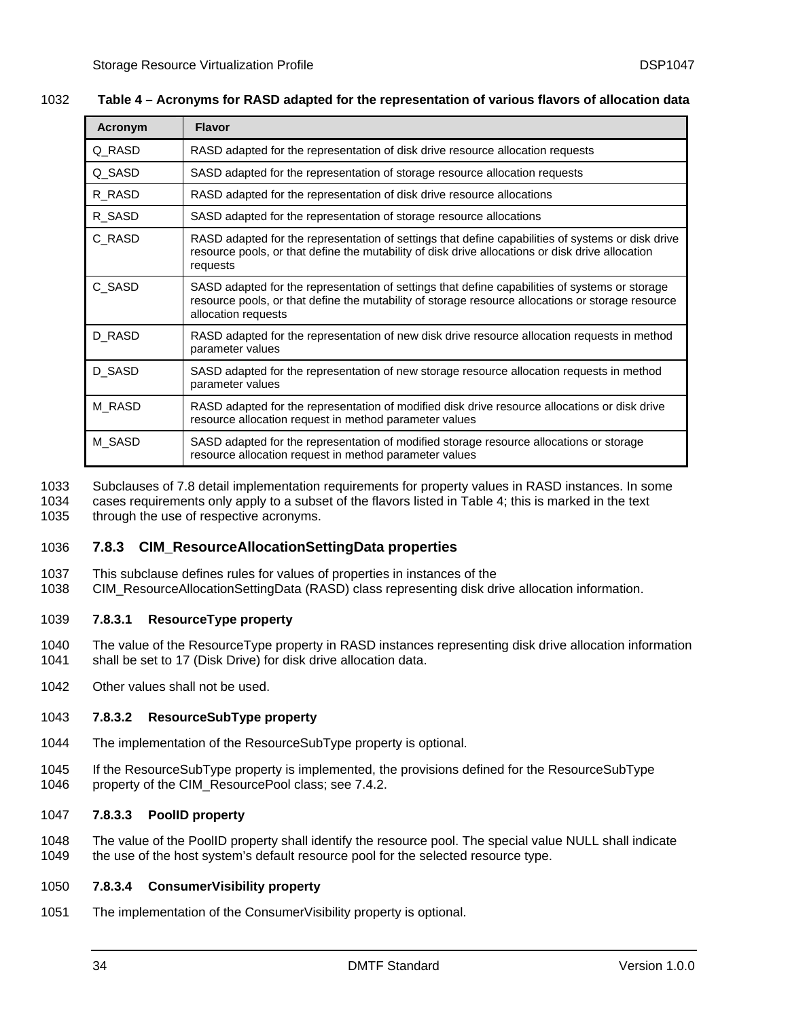| Acronym | <b>Flavor</b>                                                                                                                                                                                                              |
|---------|----------------------------------------------------------------------------------------------------------------------------------------------------------------------------------------------------------------------------|
| Q RASD  | RASD adapted for the representation of disk drive resource allocation requests                                                                                                                                             |
| Q_SASD  | SASD adapted for the representation of storage resource allocation requests                                                                                                                                                |
| R RASD  | RASD adapted for the representation of disk drive resource allocations                                                                                                                                                     |
| R SASD  | SASD adapted for the representation of storage resource allocations                                                                                                                                                        |
| C_RASD  | RASD adapted for the representation of settings that define capabilities of systems or disk drive<br>resource pools, or that define the mutability of disk drive allocations or disk drive allocation<br>requests          |
| C_SASD  | SASD adapted for the representation of settings that define capabilities of systems or storage<br>resource pools, or that define the mutability of storage resource allocations or storage resource<br>allocation requests |
| D_RASD  | RASD adapted for the representation of new disk drive resource allocation requests in method<br>parameter values                                                                                                           |
| D SASD  | SASD adapted for the representation of new storage resource allocation requests in method<br>parameter values                                                                                                              |
| M_RASD  | RASD adapted for the representation of modified disk drive resource allocations or disk drive<br>resource allocation request in method parameter values                                                                    |
| M SASD  | SASD adapted for the representation of modified storage resource allocations or storage<br>resource allocation request in method parameter values                                                                          |

#### <span id="page-33-1"></span>1032 **Table 4 – Acronyms for RASD adapted for the representation of various flavors of allocation data**

1033 Subclauses of [7.8](#page-32-1) detail implementation requirements for property values in RASD instances. In some 1034 cases requirements only apply to a subset of the flavors listed in [Table 4;](#page-33-1) this is marked in the text 1035 through the use of respective acronyms.

#### <span id="page-33-0"></span>1036 **7.8.3 CIM\_ResourceAllocationSettingData properties**

- 1037 This subclause defines rules for values of properties in instances of the
- 1038 CIM\_ResourceAllocationSettingData (RASD) class representing disk drive allocation information.

#### <span id="page-33-5"></span>1039 **7.8.3.1 ResourceType property**

- 1040 The value of the ResourceType property in RASD instances representing disk drive allocation information<br>1041 Shall be set to 17 (Disk Drive) for disk drive allocation data. shall be set to 17 (Disk Drive) for disk drive allocation data.
- 1042 Other values shall not be used.

#### <span id="page-33-2"></span>1043 **7.8.3.2 ResourceSubType property**

- 1044 The implementation of the ResourceSubType property is optional.
- 1045 If the ResourceSubType property is implemented, the provisions defined for the ResourceSubType 1046 property of the CIM\_ResourcePool class; see [7.4.2](#page-28-2).

#### <span id="page-33-3"></span>1047 **7.8.3.3 PoolID property**

1048 The value of the PoolID property shall identify the resource pool. The special value NULL shall indicate 1049 the use of the host system's default resource pool for the selected resource type.

#### <span id="page-33-4"></span>1050 **7.8.3.4 ConsumerVisibility property**

1051 The implementation of the ConsumerVisibility property is optional.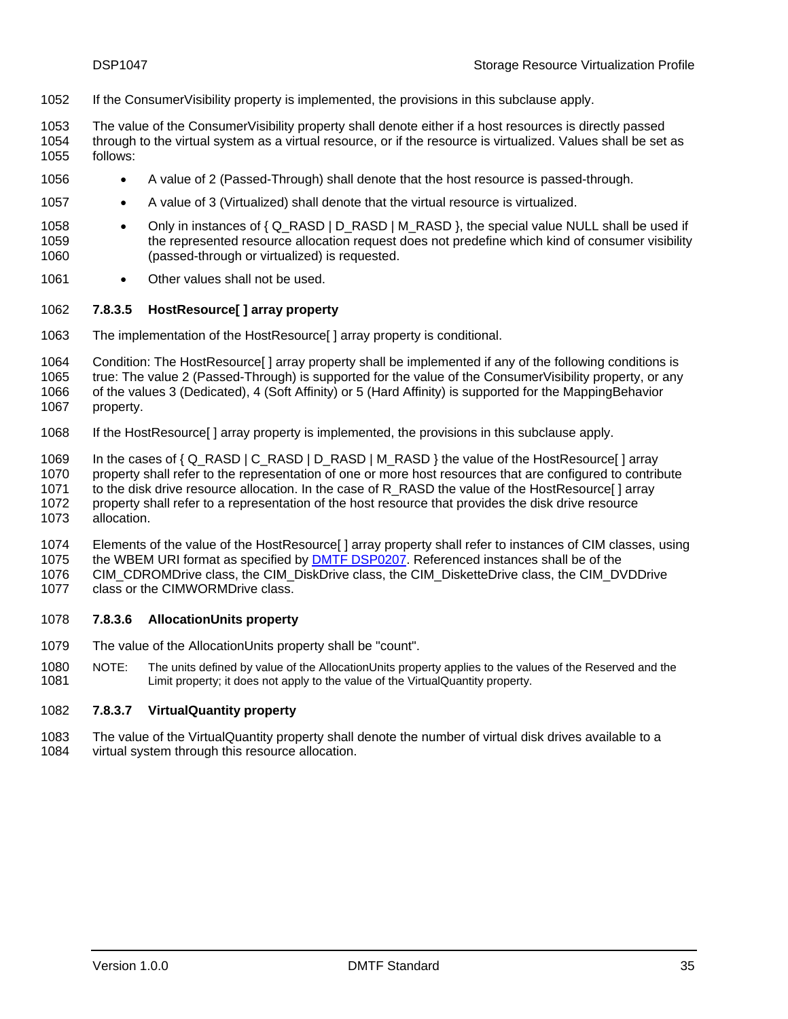1052 If the ConsumerVisibility property is implemented, the provisions in this subclause apply.

1053 The value of the ConsumerVisibility property shall denote either if a host resources is directly passed<br>1054 through to the virtual system as a virtual resource, or if the resource is virtualized. Values shall be set through to the virtual system as a virtual resource, or if the resource is virtualized. Values shall be set as 1055 follows:

- 1056 A value of 2 (Passed-Through) shall denote that the host resource is passed-through.
- 1057 A value of 3 (Virtualized) shall denote that the virtual resource is virtualized.
- 1058 Only in instances of { Q\_RASD | D\_RASD | M\_RASD }, the special value NULL shall be used if 1059 the represented resource allocation request does not predefine which kind of consumer visibility 1060 (passed-through or virtualized) is requested.
- 1061 Other values shall not be used.

#### 1062 **7.8.3.5 HostResource[ ] array property**

1063 The implementation of the HostResource[ ] array property is conditional.

1064 Condition: The HostResource[ ] array property shall be implemented if any of the following conditions is 1065 true: The value 2 (Passed-Through) is supported for the value of the ConsumerVisibility property, or any 1066 of the values 3 (Dedicated), 4 (Soft Affinity) or 5 (Hard Affinity) is supported for the MappingBehavior 1067 property.

1068 If the HostResource[ ] array property is implemented, the provisions in this subclause apply.

1069 In the cases of { Q\_RASD | C\_RASD | D\_RASD | M\_RASD } the value of the HostResource[ ] array 1070 property shall refer to the representation of one or more host resources that are configured to contribute 1071 to the disk drive resource allocation. In the case of R\_RASD the value of the HostResource[ ] array 1072 property shall refer to a representation of the host resource that provides the disk drive resource 1073 allocation.

1074 Elements of the value of the HostResource[ ] array property shall refer to instances of CIM classes, using 1075 the WBEM URI format as specified by [DMTF DSP0207.](#page-8-9) Referenced instances shall be of the 1076 CIM\_CDROMDrive class, the CIM\_DiskDrive class, the CIM\_DisketteDrive class, the CIM\_DVDDrive

1077 class or the CIMWORMDrive class.

#### <span id="page-34-0"></span>1078 **7.8.3.6 AllocationUnits property**

- 1079 The value of the AllocationUnits property shall be "count".
- 1080 NOTE: The units defined by value of the AllocationUnits property applies to the values of the Reserved and the 1081 Limit property; it does not apply to the value of the VirtualQuantity property.

#### <span id="page-34-1"></span>1082 **7.8.3.7 VirtualQuantity property**

1083 The value of the VirtualQuantity property shall denote the number of virtual disk drives available to a 1084 virtual system through this resource allocation.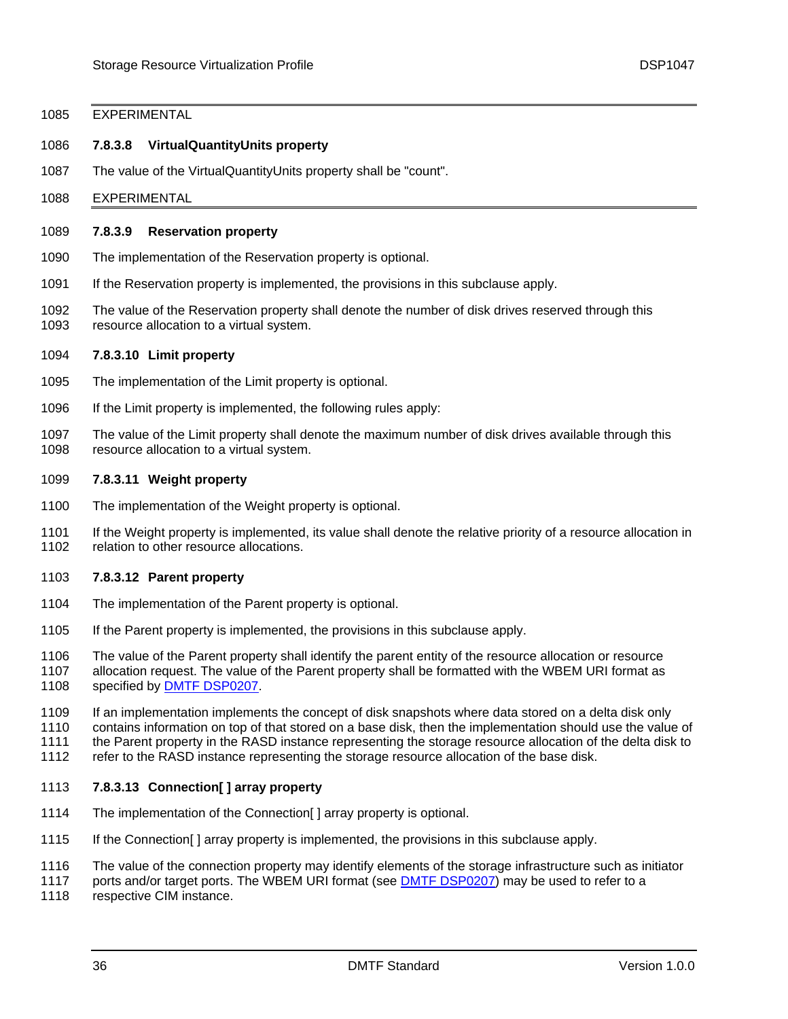#### 1085 EXPERIMENTAL

#### <span id="page-35-3"></span>1086 **7.8.3.8 VirtualQuantityUnits property**

1087 The value of the VirtualQuantityUnits property shall be "count".

#### 1088 EXPERIMENTAL

#### 1089 **7.8.3.9 Reservation property**

- 1090 The implementation of the Reservation property is optional.
- 1091 If the Reservation property is implemented, the provisions in this subclause apply.
- 1092 The value of the Reservation property shall denote the number of disk drives reserved through this 1093 resource allocation to a virtual system.

#### 1094 **7.8.3.10 Limit property**

- 1095 The implementation of the Limit property is optional.
- 1096 If the Limit property is implemented, the following rules apply:
- 1097 The value of the Limit property shall denote the maximum number of disk drives available through this 1098 resource allocation to a virtual system.

#### <span id="page-35-0"></span>1099 **7.8.3.11 Weight property**

- 1100 The implementation of the Weight property is optional.
- 1101 If the Weight property is implemented, its value shall denote the relative priority of a resource allocation in 1102 relation to other resource allocations.

#### <span id="page-35-1"></span>1103 **7.8.3.12 Parent property**

- 1104 The implementation of the Parent property is optional.
- 1105 If the Parent property is implemented, the provisions in this subclause apply.
- 1106 The value of the Parent property shall identify the parent entity of the resource allocation or resource
- 1107 allocation request. The value of the Parent property shall be formatted with the WBEM URI format as 1108 specified by [DMTF DSP0207.](#page-8-9)
- 1109 If an implementation implements the concept of disk snapshots where data stored on a delta disk only 1110 contains information on top of that stored on a base disk, then the implementation should use the value of 1111 the Parent property in the RASD instance representing the storage resource allocation of the delta disk to
- 1112 refer to the RASD instance representing the storage resource allocation of the base disk.

#### <span id="page-35-2"></span>1113 **7.8.3.13 Connection[ ] array property**

- 1114 The implementation of the Connection[ ] array property is optional.
- 1115 If the Connection[ ] array property is implemented, the provisions in this subclause apply.
- 1116 The value of the connection property may identify elements of the storage infrastructure such as initiator
- 1117 ports and/or target ports. The WBEM URI format (see [DMTF DSP0207\)](#page-8-9) may be used to refer to a 1118 respective CIM instance.
-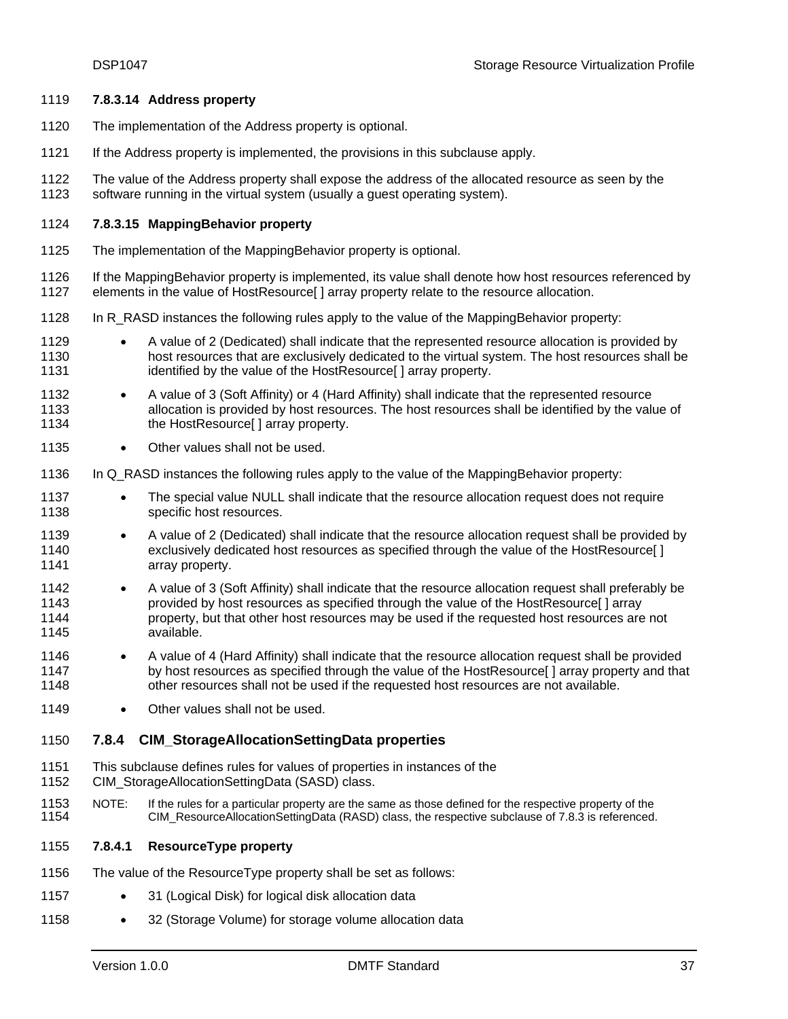#### <span id="page-36-1"></span>1119 **7.8.3.14 Address property**

- 1120 The implementation of the Address property is optional.
- 1121 If the Address property is implemented, the provisions in this subclause apply.
- 1122 The value of the Address property shall expose the address of the allocated resource as seen by the 1123 software running in the virtual system (usually a guest operating system).

#### <span id="page-36-2"></span>1124 **7.8.3.15 MappingBehavior property**

1125 The implementation of the MappingBehavior property is optional.

1126 If the MappingBehavior property is implemented, its value shall denote how host resources referenced by 1127 elements in the value of HostResource[ ] array property relate to the resource allocation.

- 1128 In R\_RASD instances the following rules apply to the value of the MappingBehavior property:
- 1129 A value of 2 (Dedicated) shall indicate that the represented resource allocation is provided by 1130 host resources that are exclusively dedicated to the virtual system. The host resources shall be 1131 identified by the value of the HostResource[ ] array property.
- 1132 A value of 3 (Soft Affinity) or 4 (Hard Affinity) shall indicate that the represented resource 1133 allocation is provided by host resources. The host resources shall be identified by the value of 1134 **the HostResource** [ ] array property.
- 1135 Other values shall not be used.
- 1136 In Q\_RASD instances the following rules apply to the value of the MappingBehavior property:
- 1137 The special value NULL shall indicate that the resource allocation request does not require 1138 specific host resources.
- 1139 A value of 2 (Dedicated) shall indicate that the resource allocation request shall be provided by 1140 exclusively dedicated host resources as specified through the value of the HostResource[ ] 1141 **array property.**
- 1142 A value of 3 (Soft Affinity) shall indicate that the resource allocation request shall preferably be 1143 provided by host resources as specified through the value of the HostResource[ ] array 1144 property, but that other host resources may be used if the requested host resources are not 1145 available.
- 1146 A value of 4 (Hard Affinity) shall indicate that the resource allocation request shall be provided 1147 by host resources as specified through the value of the HostResource[ ] array property and that 1148 other resources shall not be used if the requested host resources are not available.
- 1149 Other values shall not be used.

#### <span id="page-36-0"></span>1150 **7.8.4 CIM\_StorageAllocationSettingData properties**

- 1151 This subclause defines rules for values of properties in instances of the
- 1152 CIM StorageAllocationSettingData (SASD) class.
- 1153 NOTE: If the rules for a particular property are the same as those defined for the respective property of the<br>1154 CIM ResourceAllocationSettingData (RASD) class, the respective subclause of 7.8.3 is referenced. 1154 CIM\_ResourceAllocationSettingData (RASD) class, the respective subclause of [7.8.3](#page-33-0) is referenced.

#### <span id="page-36-3"></span>1155 **7.8.4.1 ResourceType property**

- 1156 The value of the ResourceType property shall be set as follows:
- 1157 31 (Logical Disk) for logical disk allocation data
- 1158 32 (Storage Volume) for storage volume allocation data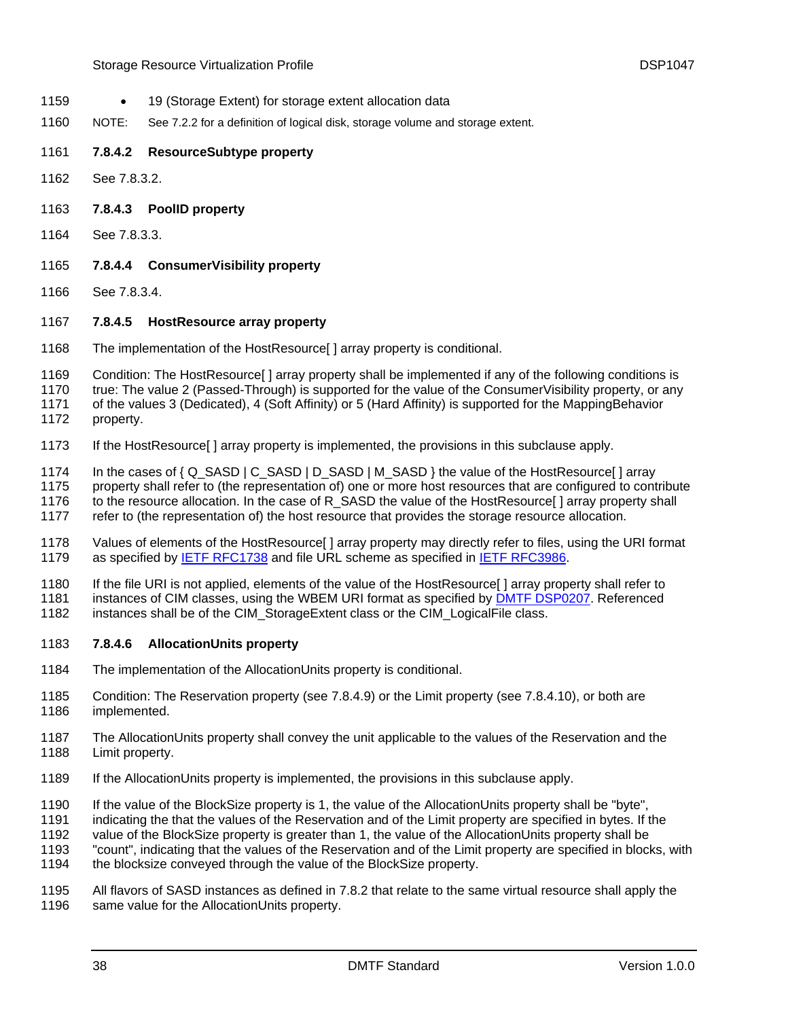- 1159 19 (Storage Extent) for storage extent allocation data
- 1160 NOTE: See [7.2.2](#page-27-1) for a definition of logical disk, storage volume and storage extent.
- 1161 **7.8.4.2 ResourceSubtype property**
- 1162 See [7.8.3.2](#page-33-2).
- 1163 **7.8.4.3 PoolID property**
- 1164 See [7.8.3.3](#page-33-3).
- 1165 **7.8.4.4 ConsumerVisibility property**
- 1166 See [7.8.3.4](#page-33-4).
- <span id="page-37-1"></span>1167 **7.8.4.5 HostResource array property**
- 1168 The implementation of the HostResource[ ] array property is conditional.

1169 Condition: The HostResource[] array property shall be implemented if any of the following conditions is<br>1170 true: The value 2 (Passed-Through) is supported for the value of the ConsumerVisibility property, or any

true: The value 2 (Passed-Through) is supported for the value of the ConsumerVisibility property, or any

1171 of the values 3 (Dedicated), 4 (Soft Affinity) or 5 (Hard Affinity) is supported for the MappingBehavior 1172 property.

1173 If the HostResource[ ] array property is implemented, the provisions in this subclause apply.

1174 In the cases of { Q\_SASD | C\_SASD | D\_SASD | M\_SASD } the value of the HostResource[ ] array

1175 property shall refer to (the representation of) one or more host resources that are configured to contribute

1176 to the resource allocation. In the case of R\_SASD the value of the HostResource[] array property shall

1177 refer to (the representation of) the host resource that provides the storage resource allocation.

1178 Values of elements of the HostResource [] array property may directly refer to files, using the URI format 1179 as specified by [IETF RFC1738](#page-8-10) and file URL scheme as specified in [IETF RFC3986.](#page-8-11)

1180 If the file URI is not applied, elements of the value of the HostResource[ ] array property shall refer to

1181 instances of CIM classes, using the WBEM URI format as specified by [DMTF DSP0207.](#page-8-9) Referenced

1182 instances shall be of the CIM\_StorageExtent class or the CIM\_LogicalFile class.

#### <span id="page-37-0"></span>1183 **7.8.4.6 AllocationUnits property**

- 1184 The implementation of the AllocationUnits property is conditional.
- 1185 Condition: The Reservation property (see [7.8.4.9](#page-38-0)) or the Limit property (see [7.8.4.10](#page-38-1)), or both are 1186 implemented.
- 1187 The AllocationUnits property shall convey the unit applicable to the values of the Reservation and the 1188 Limit property.
- 1189 If the AllocationUnits property is implemented, the provisions in this subclause apply.
- 1190 If the value of the BlockSize property is 1, the value of the AllocationUnits property shall be "byte",
- 1191 indicating the that the values of the Reservation and of the Limit property are specified in bytes. If the
- 1192 value of the BlockSize property is greater than 1, the value of the AllocationUnits property shall be
- 1193 "count", indicating that the values of the Reservation and of the Limit property are specified in blocks, with
- 1194 the blocksize conveyed through the value of the BlockSize property.

1195 All flavors of SASD instances as defined in [7.8.2](#page-32-3) that relate to the same virtual resource shall apply the 1196 same value for the AllocationUnits property. same value for the AllocationUnits property.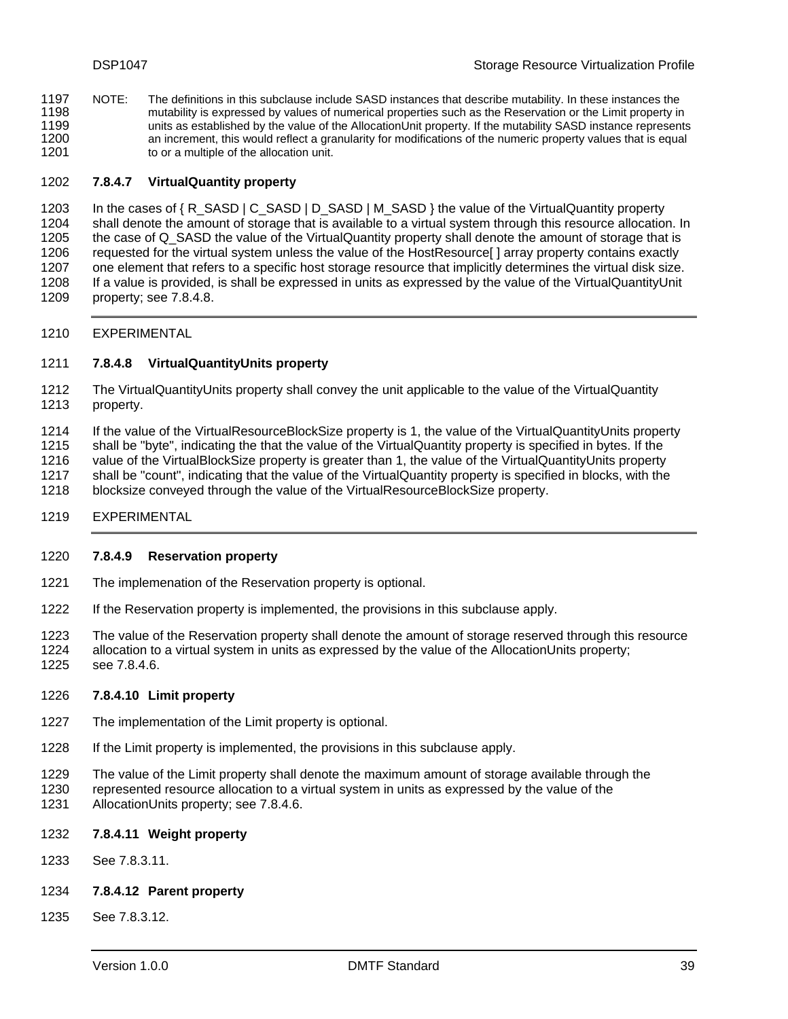1197 NOTE: The definitions in this subclause include SASD instances that describe mutability. In these instances the 1198 mutability is expressed by values of numerical properties such as the Reservation or the Limit prope 1198 mutability is expressed by values of numerical properties such as the Reservation or the Limit property in<br>1199 mits as established by the value of the AllocationUnit property. If the mutability SASD instance represen units as established by the value of the AllocationUnit property. If the mutability SASD instance represents 1200 an increment, this would reflect a granularity for modifications of the numeric property values that is equal<br>1201 to or a multiple of the allocation unit. to or a multiple of the allocation unit.

#### <span id="page-38-3"></span>1202 **7.8.4.7 VirtualQuantity property**

1203 In the cases of { R\_SASD | C\_SASD | D\_SASD | M\_SASD } the value of the VirtualQuantity property 1204 shall denote the amount of storage that is available to a virtual system through this resource allocation. In 1205 the case of Q\_SASD the value of the VirtualQuantity property shall denote the amount of storage that is 1206 requested for the virtual system unless the value of the HostResource[ ] array property contains exactly 1207 one element that refers to a specific host storage resource that implicitly determines the virtual disk size. 1208 If a value is provided, is shall be expressed in units as expressed by the value of the VirtualQuantityUnit 1209 property; see [7.8.4.8.](#page-38-2)

1210 EXPERIMENTAL

#### <span id="page-38-2"></span>1211 **7.8.4.8 VirtualQuantityUnits property**

1212 The VirtualQuantityUnits property shall convey the unit applicable to the value of the VirtualQuantity 1213 property.

1214 If the value of the VirtualResourceBlockSize property is 1, the value of the VirtualQuantityUnits property 1215 shall be "byte", indicating the that the value of the VirtualQuantity property is specified in bytes. If the<br>1216 value of the VirtualBlockSize property is greater than 1, the value of the VirtualQuantityUnits propert value of the VirtualBlockSize property is greater than 1, the value of the VirtualQuantityUnits property 1217 shall be "count", indicating that the value of the VirtualQuantity property is specified in blocks, with the 1218 blocksize conveyed through the value of the VirtualResourceBlockSize property.

#### 1219 EXPERIMENTAL

#### <span id="page-38-0"></span>1220 **7.8.4.9 Reservation property**

- 1221 The implemenation of the Reservation property is optional.
- 1222 If the Reservation property is implemented, the provisions in this subclause apply.
- 1223 The value of the Reservation property shall denote the amount of storage reserved through this resource
- 1224 allocation to a virtual system in units as expressed by the value of the AllocationUnits property;<br>1225 see 7.8.4.6.
- see [7.8.4.6](#page-37-0).

#### <span id="page-38-1"></span>1226 **7.8.4.10 Limit property**

- 1227 The implementation of the Limit property is optional.
- 1228 If the Limit property is implemented, the provisions in this subclause apply.
- 1229 The value of the Limit property shall denote the maximum amount of storage available through the
- 1230 represented resource allocation to a virtual system in units as expressed by the value of the 1231 AllocationUnits property; see [7.8.4.6.](#page-37-0)
- 1232 **7.8.4.11 Weight property**
- 1233 See [7.8.3.11.](#page-35-0)
- 1234 **7.8.4.12 Parent property**
- 1235 See [7.8.3.12.](#page-35-1)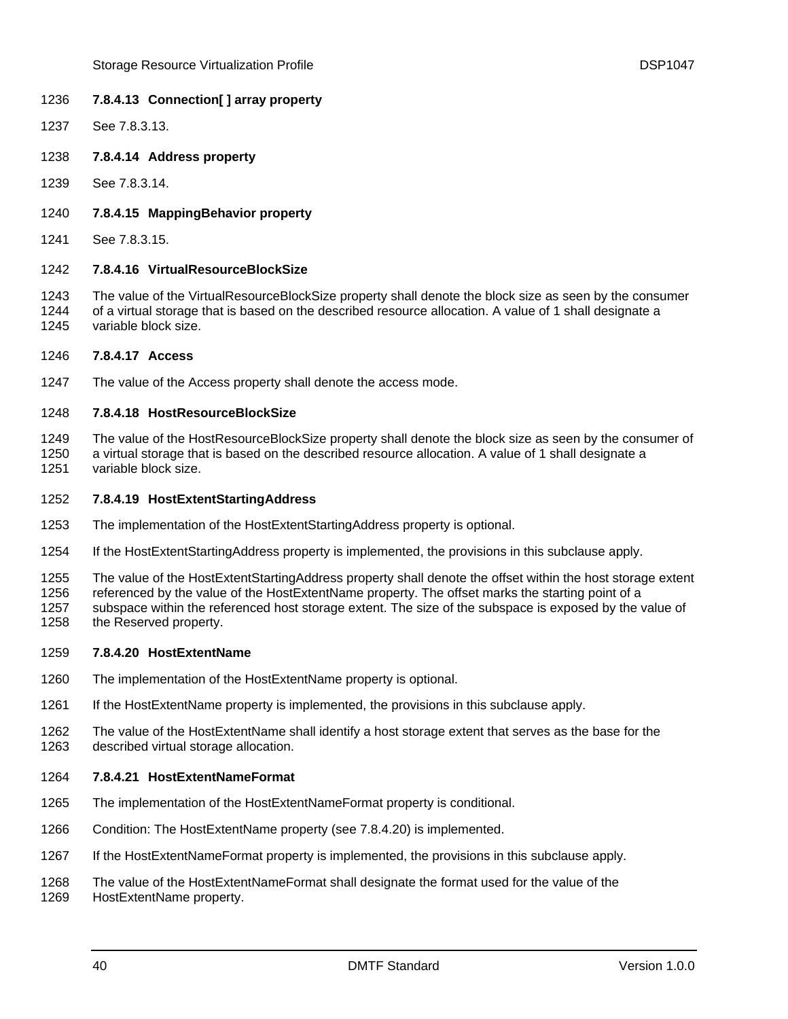#### 1236 **7.8.4.13 Connection[ ] array property**

- 1237 See [7.8.3.13.](#page-35-2)
- 1238 **7.8.4.14 Address property**
- 1239 See [7.8.3.14.](#page-36-1)
- 1240 **7.8.4.15 MappingBehavior property**
- 1241 See [7.8.3.15.](#page-36-2)

#### <span id="page-39-2"></span>1242 **7.8.4.16 VirtualResourceBlockSize**

1243 The value of the VirtualResourceBlockSize property shall denote the block size as seen by the consumer<br>1244 of a virtual storage that is based on the described resource allocation. A value of 1 shall designate a of a virtual storage that is based on the described resource allocation. A value of 1 shall designate a

1245 variable block size.

#### <span id="page-39-3"></span>1246 **7.8.4.17 Access**

1247 The value of the Access property shall denote the access mode.

#### <span id="page-39-4"></span>1248 **7.8.4.18 HostResourceBlockSize**

- 1249 The value of the HostResourceBlockSize property shall denote the block size as seen by the consumer of
- 1250 a virtual storage that is based on the described resource allocation. A value of 1 shall designate a 1251 variable block size.

#### <span id="page-39-5"></span>1252 **7.8.4.19 HostExtentStartingAddress**

- 1253 The implementation of the HostExtentStartingAddress property is optional.
- 1254 If the HostExtentStartingAddress property is implemented, the provisions in this subclause apply.
- 1255 The value of the HostExtentStartingAddress property shall denote the offset within the host storage extent

1256 referenced by the value of the HostExtentName property. The offset marks the starting point of a

1257 subspace within the referenced host storage extent. The size of the subspace is exposed by the value of 1258 the Reserved property.

#### <span id="page-39-0"></span>1259 **7.8.4.20 HostExtentName**

- 1260 The implementation of the HostExtentName property is optional.
- 1261 If the HostExtentName property is implemented, the provisions in this subclause apply.
- 1262 The value of the HostExtentName shall identify a host storage extent that serves as the base for the 1263 described virtual storage allocation.

#### <span id="page-39-1"></span>1264 **7.8.4.21 HostExtentNameFormat**

- 1265 The implementation of the HostExtentNameFormat property is conditional.
- 1266 Condition: The HostExtentName property (see [7.8.4.20](#page-39-0)) is implemented.
- 1267 If the HostExtentNameFormat property is implemented, the provisions in this subclause apply.
- 1268 The value of the HostExtentNameFormat shall designate the format used for the value of the 1269 HostExtentName property.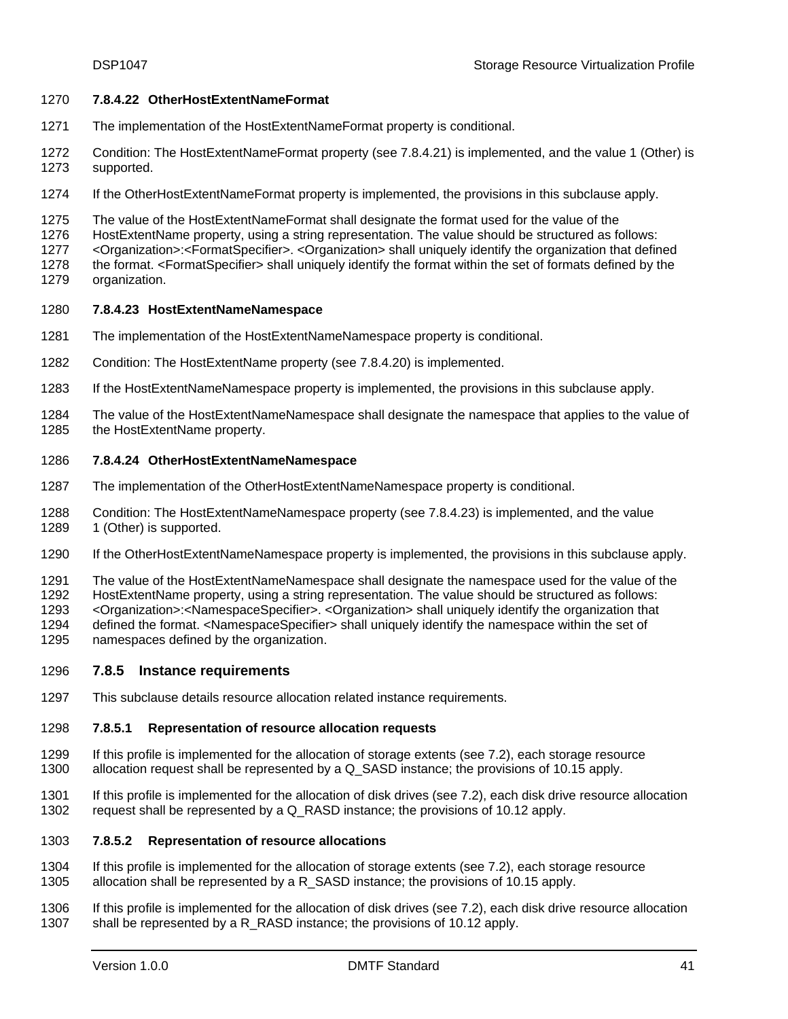#### <span id="page-40-3"></span>1270 **7.8.4.22 OtherHostExtentNameFormat**

- 1271 The implementation of the HostExtentNameFormat property is conditional.
- 1272 Condition: The HostExtentNameFormat property (see [7.8.4.21\)](#page-39-1) is implemented, and the value 1 (Other) is 1273 supported.
- 1274 If the OtherHostExtentNameFormat property is implemented, the provisions in this subclause apply.
- 1275 The value of the HostExtentNameFormat shall designate the format used for the value of the

1276 HostExtentName property, using a string representation. The value should be structured as follows:

- 1277 < Organization>:<FormatSpecifier>. < Organization> shall uniquely identify the organization that defined<br>1278 the format. < FormatSpecifier> shall uniquely identify the format within the set of formats defined by the
- the format. <FormatSpecifier> shall uniquely identify the format within the set of formats defined by the 1279 organization.
- 

#### <span id="page-40-1"></span>1280 **7.8.4.23 HostExtentNameNamespace**

- 1281 The implementation of the HostExtentNameNamespace property is conditional.
- 1282 Condition: The HostExtentName property (see [7.8.4.20](#page-39-0)) is implemented.
- 1283 If the HostExtentNameNamespace property is implemented, the provisions in this subclause apply.
- 1284 The value of the HostExtentNameNamespace shall designate the namespace that applies to the value of 1285 the HostExtentName property.

#### <span id="page-40-4"></span>1286 **7.8.4.24 OtherHostExtentNameNamespace**

- 1287 The implementation of the OtherHostExtentNameNamespace property is conditional.
- 1288 Condition: The HostExtentNameNamespace property (see [7.8.4.23](#page-40-1)) is implemented, and the value 1289 1 (Other) is supported.
- 1290 If the OtherHostExtentNameNamespace property is implemented, the provisions in this subclause apply.
- 1291 The value of the HostExtentNameNamespace shall designate the namespace used for the value of the
- 1292 HostExtentName property, using a string representation. The value should be structured as follows:<br>1293 Sepanization>:<NamespaceSpecifier>, <Organization> shall uniquely identify the organization that 1293 <Organization>:<NamespaceSpecifier>. <Organization> shall uniquely identify the organization that
- 1294 defined the format. <NamespaceSpecifier> shall uniquely identify the namespace within the set of
- 1295 namespaces defined by the organization.

#### <span id="page-40-0"></span>1296 **7.8.5 Instance requirements**

1297 This subclause details resource allocation related instance requirements.

#### <span id="page-40-2"></span>1298 **7.8.5.1 Representation of resource allocation requests**

- 1299 If this profile is implemented for the allocation of storage extents (see [7.2](#page-26-2)), each storage resource 1300 allocation request shall be represented by a Q\_SASD instance; the provisions of [10.15](#page-67-0) apply.
- 1301 If this profile is implemented for the allocation of disk drives (see [7.2](#page-26-2)), each disk drive resource allocation 1302 request shall be represented by a Q\_RASD instance; the provisions of [10.12](#page-65-1) apply.

#### 1303 **7.8.5.2 Representation of resource allocations**

- 1304 If this profile is implemented for the allocation of storage extents (see [7.2](#page-26-2)), each storage resource 1305 allocation shall be represented by a R\_SASD instance; the provisions of [10.15](#page-67-0) apply.
- 1306 If this profile is implemented for the allocation of disk drives (see [7.2](#page-26-2)), each disk drive resource allocation<br>1307 Shall be represented by a R RASD instance: the provisions of 10.12 apply. shall be represented by a R\_RASD instance; the provisions of [10.12](#page-65-1) apply.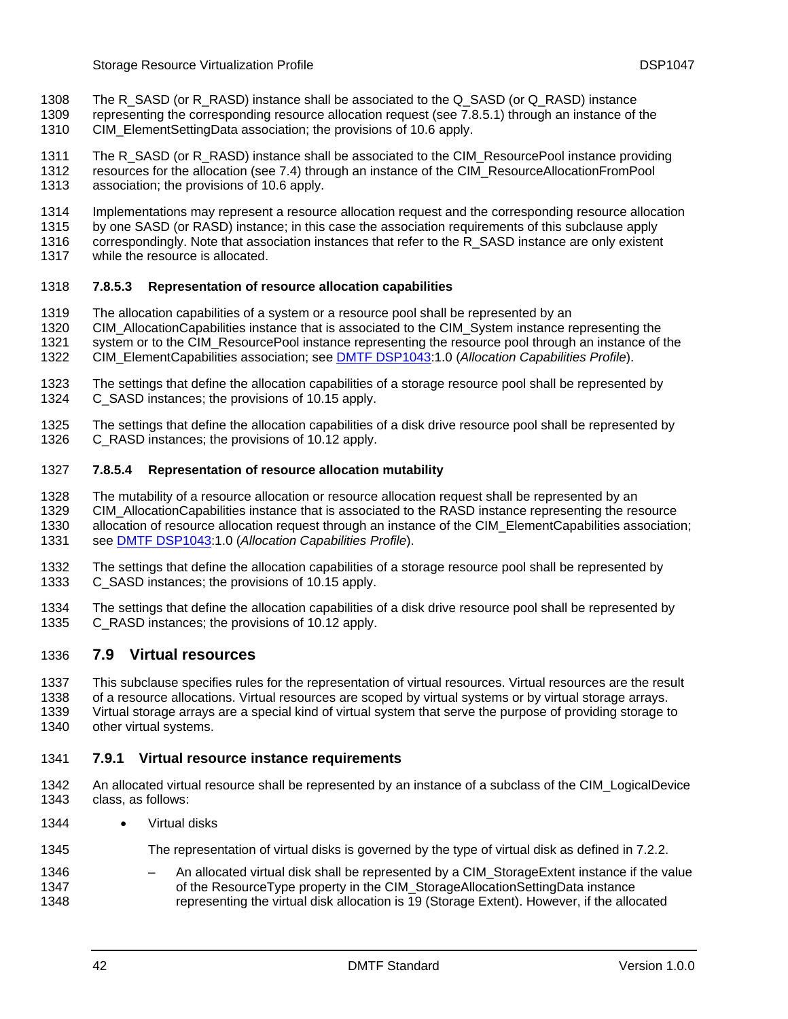- 1308 The R\_SASD (or R\_RASD) instance shall be associated to the Q\_SASD (or Q\_RASD) instance
- 1309 representing the corresponding resource allocation request (see [7.8.5.1\)](#page-40-2) through an instance of the 1310 CIM\_ElementSettingData association; the provisions of [10.6](#page-63-0) apply.
- 1311 The R\_SASD (or R\_RASD) instance shall be associated to the CIM\_ResourcePool instance providing 1312 resources for the allocation (see [7.4\)](#page-28-0) through an instance of the CIM\_ResourceAllocationFromPool<br>1313 association: the provisions of 10.6 apply. association; the provisions of [10.6](#page-63-0) apply.
- 1314 Implementations may represent a resource allocation request and the corresponding resource allocation
- 1315 by one SASD (or RASD) instance; in this case the association requirements of this subclause apply
- 1316 correspondingly. Note that association instances that refer to the R\_SASD instance are only existent
- 1317 while the resource is allocated.

#### 1318 **7.8.5.3 Representation of resource allocation capabilities**

- 1319 The allocation capabilities of a system or a resource pool shall be represented by an
- 1320 CIM AllocationCapabilities instance that is associated to the CIM System instance representing the 1321 system or to the CIM\_ResourcePool instance representing the resource pool through an instance of the
- 1322 CIM\_ElementCapabilities association; see [DMTF DSP1043](#page-8-5):[1.0](#page-8-5) (*[Allocation Capabilities](#page-8-5) Profile*).
- 1323 The settings that define the allocation capabilities of a storage resource pool shall be represented by 1324 C SASD instances; the provisions of [10.15](#page-67-0) apply.
- 1325 The settings that define the allocation capabilities of a disk drive resource pool shall be represented by<br>1326 C RASD instances: the provisions of 10.12 apply. C\_RASD instances; the provisions of [10.12](#page-65-1) apply.

#### 1327 **7.8.5.4 Representation of resource allocation mutability**

1328 The mutability of a resource allocation or resource allocation request shall be represented by an 1329 CIM AllocationCapabilities instance that is associated to the RASD instance representing the resource 1330 allocation of resource allocation request through an instance of the CIM\_ElementCapabilities association; 1331 see [DMTF DSP1043:1.0](#page-8-5) (*[Allocation Capabilities](#page-8-5) Profile*).

1332 The settings that define the allocation capabilities of a storage resource pool shall be represented by 1333 C SASD instances; the provisions of [10.15](#page-67-0) apply.

1334 The settings that define the allocation capabilities of a disk drive resource pool shall be represented by<br>1335 C RASD instances: the provisions of 10.12 apply. C\_RASD instances; the provisions of [10.12](#page-65-1) apply.

### <span id="page-41-0"></span>1336 **7.9 Virtual resources**

1337 This subclause specifies rules for the representation of virtual resources. Virtual resources are the result 1338 of a resource allocations. Virtual resources are scoped by virtual systems or by virtual storage arrays. 1339 Virtual storage arrays are a special kind of virtual system that serve the purpose of providing storage to 1340 other virtual systems.

### <span id="page-41-1"></span>1341 **7.9.1 Virtual resource instance requirements**

- 1342 An allocated virtual resource shall be represented by an instance of a subclass of the CIM\_LogicalDevice 1343 class, as follows:
- 1344 Virtual disks
- 1345 The representation of virtual disks is governed by the type of virtual disk as defined in [7.2.2.](#page-27-1)
- 1346 An allocated virtual disk shall be represented by a CIM\_StorageExtent instance if the value 1347 **1347** of the ResourceType property in the CIM StorageAllocationSettingData instance 1348 representing the virtual disk allocation is 19 (Storage Extent). However, if the allocated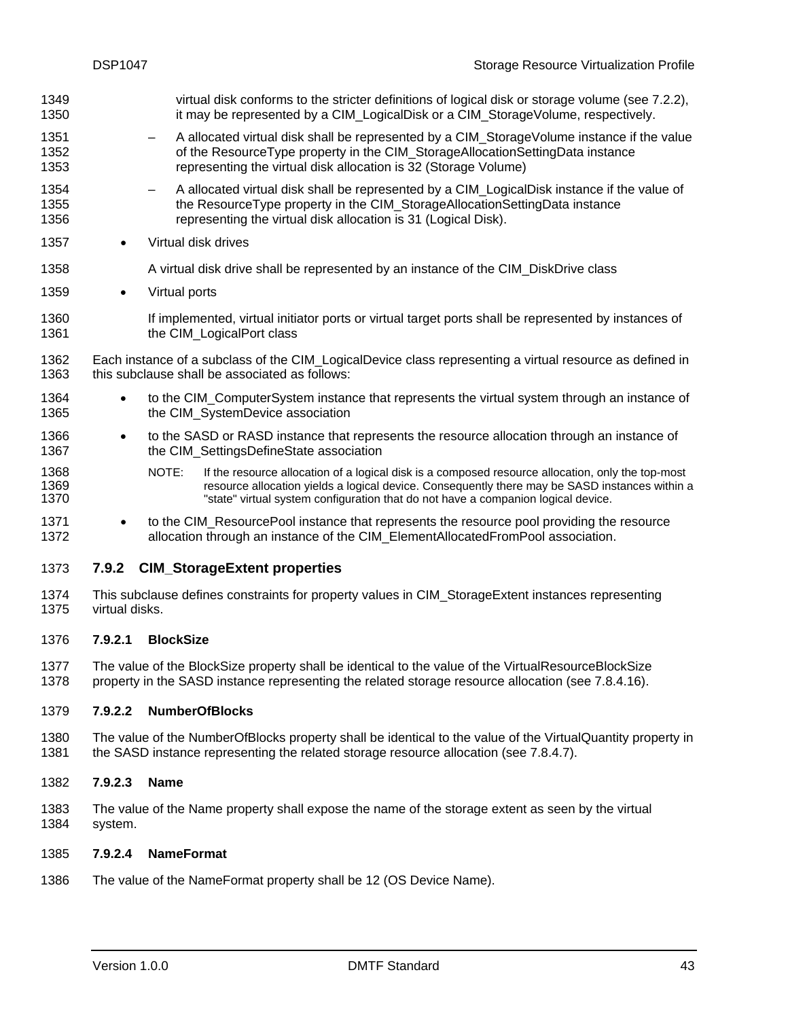|                      | <b>DSP1047</b> |               | <b>Storage Resource Virtualization Profile</b>                                                                                                                                                                                                                                           |
|----------------------|----------------|---------------|------------------------------------------------------------------------------------------------------------------------------------------------------------------------------------------------------------------------------------------------------------------------------------------|
| 1349<br>1350         |                |               | virtual disk conforms to the stricter definitions of logical disk or storage volume (see 7.2.2),<br>it may be represented by a CIM_LogicalDisk or a CIM_StorageVolume, respectively.                                                                                                     |
| 1351<br>1352<br>1353 |                |               | A allocated virtual disk shall be represented by a CIM_StorageVolume instance if the value<br>of the ResourceType property in the CIM_StorageAllocationSettingData instance<br>representing the virtual disk allocation is 32 (Storage Volume)                                           |
| 1354<br>1355<br>1356 |                |               | A allocated virtual disk shall be represented by a CIM_LogicalDisk instance if the value of<br>the ResourceType property in the CIM_StorageAllocationSettingData instance<br>representing the virtual disk allocation is 31 (Logical Disk).                                              |
| 1357                 |                |               | Virtual disk drives                                                                                                                                                                                                                                                                      |
| 1358                 |                |               | A virtual disk drive shall be represented by an instance of the CIM_DiskDrive class                                                                                                                                                                                                      |
| 1359                 | $\bullet$      | Virtual ports |                                                                                                                                                                                                                                                                                          |
| 1360<br>1361         |                |               | If implemented, virtual initiator ports or virtual target ports shall be represented by instances of<br>the CIM_LogicalPort class                                                                                                                                                        |
| 1362<br>1363         |                |               | Each instance of a subclass of the CIM_LogicalDevice class representing a virtual resource as defined in<br>this subclause shall be associated as follows:                                                                                                                               |
| 1364<br>1365         |                |               | to the CIM_ComputerSystem instance that represents the virtual system through an instance of<br>the CIM_SystemDevice association                                                                                                                                                         |
| 1366<br>1367         | $\bullet$      |               | to the SASD or RASD instance that represents the resource allocation through an instance of<br>the CIM_SettingsDefineState association                                                                                                                                                   |
| 1368<br>1369<br>1370 |                | NOTE:         | If the resource allocation of a logical disk is a composed resource allocation, only the top-most<br>resource allocation yields a logical device. Consequently there may be SASD instances within a<br>"state" virtual system configuration that do not have a companion logical device. |
| 1371<br>1372         |                |               | to the CIM_ResourcePool instance that represents the resource pool providing the resource<br>allocation through an instance of the CIM_ElementAllocatedFromPool association.                                                                                                             |

### <span id="page-42-0"></span>1373 **7.9.2 CIM\_StorageExtent properties**

1374 This subclause defines constraints for property values in CIM\_StorageExtent instances representing<br>1375 virtual disks. virtual disks.

#### <span id="page-42-3"></span>1376 **7.9.2.1 BlockSize**

1377 The value of the BlockSize property shall be identical to the value of the VirtualResourceBlockSize<br>1378 Droperty in the SASD instance representing the related storage resource allocation (see 7.8.4.16). property in the SASD instance representing the related storage resource allocation (see [7.8.4.16](#page-39-2)).

#### 1379 **7.9.2.2 NumberOfBlocks**

- 1380 The value of the NumberOfBlocks property shall be identical to the value of the VirtualQuantity property in 1381 the SASD instance representing the related storage resource allocation (see 7.8.4.7). the SASD instance representing the related storage resource allocation (see [7.8.4.7\)](#page-38-3).
- <span id="page-42-1"></span>1382 **7.9.2.3 Name**

1383 The value of the Name property shall expose the name of the storage extent as seen by the virtual system.

#### <span id="page-42-2"></span>1385 **7.9.2.4 NameFormat**

1386 The value of the NameFormat property shall be 12 (OS Device Name).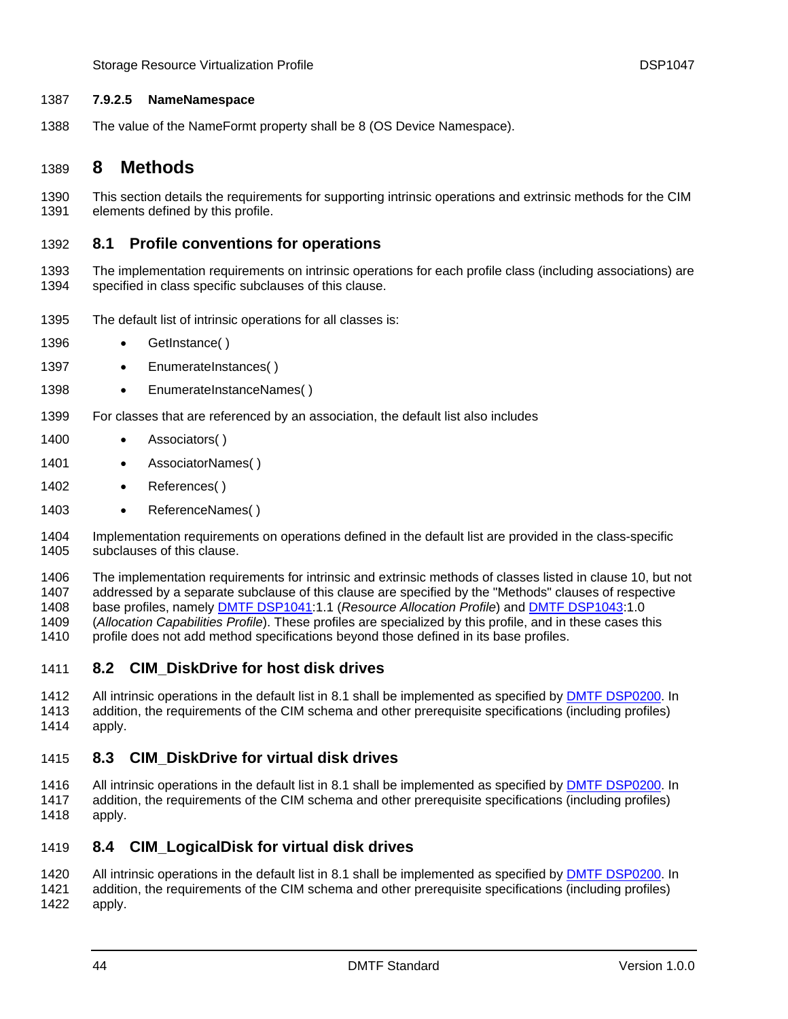#### <span id="page-43-5"></span>1387 **7.9.2.5 NameNamespace**

1388 The value of the NameFormt property shall be 8 (OS Device Namespace).

### <span id="page-43-0"></span>1389 **8 Methods**

1390 This section details the requirements for supporting intrinsic operations and extrinsic methods for the CIM 1391 elements defined by this profile.

#### <span id="page-43-1"></span>1392 **8.1 Profile conventions for operations**

- 1393 The implementation requirements on intrinsic operations for each profile class (including associations) are 1394 specified in class specific subclauses of this clause.
- 1395 The default list of intrinsic operations for all classes is:
- 1396 GetInstance()
- 1397 EnumerateInstances()
- 1398 EnumerateInstanceNames()
- 1399 For classes that are referenced by an association, the default list also includes
- 1400 · Associators()
- 1401 · AssociatorNames()
- 1402 · References()
- 1403 · ReferenceNames()
- 1404 Implementation requirements on operations defined in the default list are provided in the class-specific 1405 subclauses of this clause.
- 1406 The implementation requirements for intrinsic and extrinsic methods of classes listed in clause [10,](#page-60-0) but not 1407 addressed by a separate subclause of this clause are specified by the "Methods" clauses of respective 1408 base profiles, namely [DMTF DSP1041:1.1](#page-8-4) (*[Resource Allocation](#page-8-4) Profile*) and [DMTF DSP1043:1.0](#page-8-5) 1409 (*[Allocation Capabilities](#page-8-5) Profile*). These profiles are specialized by this profile, and in these cases this
- 1410 profile does not add method specifications beyond those defined in its base profiles.

### <span id="page-43-2"></span>1411 **8.2 CIM\_DiskDrive for host disk drives**

1412 All intrinsic operations in the default list in [8.1](#page-43-1) shall be implemented as specified by [DMTF DSP0200.](#page-8-12) In 1413 addition, the requirements of the CIM schema and other prerequisite specifications (including profiles) 1414 apply.

### <span id="page-43-3"></span>1415 **8.3 CIM\_DiskDrive for virtual disk drives**

1416 All intrinsic operations in the default list in [8.1](#page-43-1) shall be implemented as specified by **DMTF DSP0200**. In<br>1417 addition, the requirements of the CIM schema and other prerequisite specifications (including profiles) addition, the requirements of the CIM schema and other prerequisite specifications (including profiles) 1418 apply.

### <span id="page-43-4"></span>1419 **8.4 CIM\_LogicalDisk for virtual disk drives**

1420 All intrinsic operations in the default list in [8.1](#page-43-1) shall be implemented as specified by [DMTF DSP0200.](#page-8-12) In 1421 addition, the requirements of the CIM schema and other prerequisite specifications (including profiles) 1422 apply.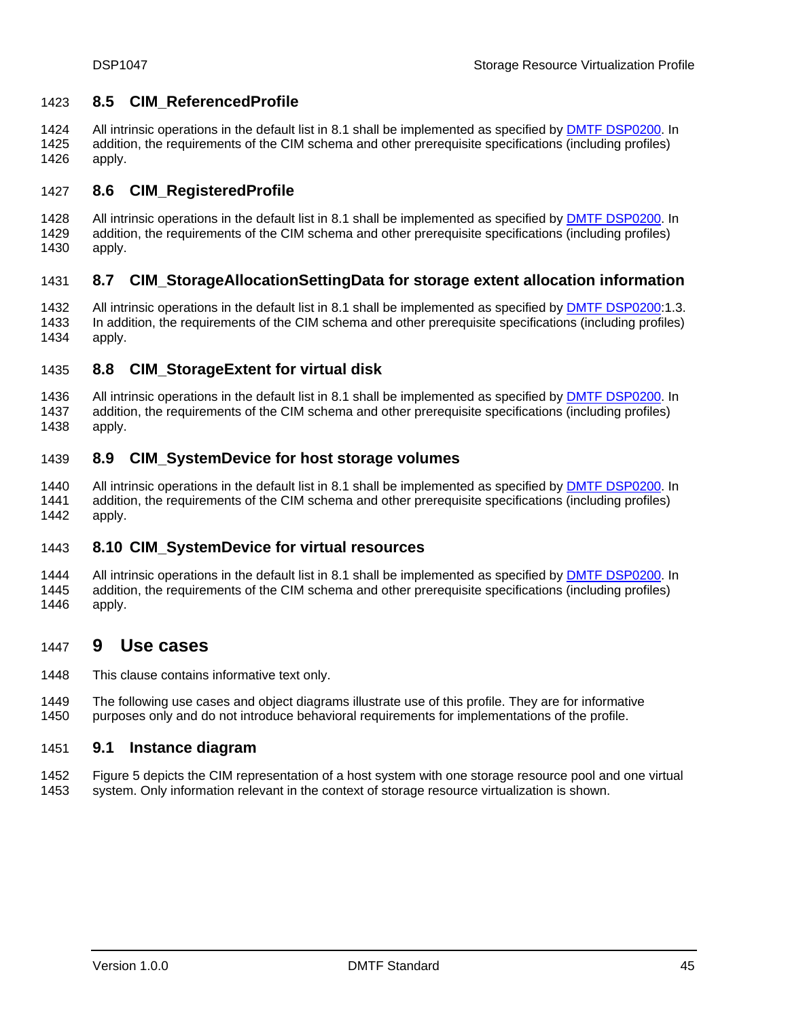#### <span id="page-44-0"></span>1423 **8.5 CIM\_ReferencedProfile**

1424 All intrinsic operations in the default list in [8.1](#page-43-1) shall be implemented as specified by [DMTF DSP0200.](#page-8-12) In 1425 addition, the requirements of the CIM schema and other prerequisite specifications (including profiles) 1426 apply.

### <span id="page-44-1"></span>1427 **8.6 CIM\_RegisteredProfile**

1428 All intrinsic operations in the default list in [8.1](#page-43-1) shall be implemented as specified by **DMTF DSP0200**. In<br>1429 addition, the requirements of the CIM schema and other prerequisite specifications (including profiles) addition, the requirements of the CIM schema and other prerequisite specifications (including profiles) 1430 apply.

### <span id="page-44-2"></span>1431 **8.7 CIM\_StorageAllocationSettingData for storage extent allocation information**

1432 All intrinsic operations in the default list in [8.1](#page-43-1) shall be implemented as specified by [DMTF DSP0200:1.3](#page-8-12). 1433 In addition, the requirements of the CIM schema and other prerequisite specifications (including profiles) 1434 apply.

#### <span id="page-44-3"></span>1435 **8.8 CIM\_StorageExtent for virtual disk**

1436 All intrinsic operations in the default list in [8.1](#page-43-1) shall be implemented as specified by [DMTF DSP0200.](#page-8-12) In 1437 addition, the requirements of the CIM schema and other prerequisite specifications (including profiles) 1438 apply.

#### <span id="page-44-4"></span>1439 **8.9 CIM\_SystemDevice for host storage volumes**

1440 All intrinsic operations in the default list in [8.1](#page-43-1) shall be implemented as specified by [DMTF DSP0200.](#page-8-12) In 1441 addition, the requirements of the CIM schema and other prerequisite specifications (including profiles) 1442 apply.

#### <span id="page-44-5"></span>1443 **8.10 CIM\_SystemDevice for virtual resources**

1444 All intrinsic operations in the default list in [8.1](#page-43-1) shall be implemented as specified by [DMTF DSP0200.](#page-8-12) In 1445 addition, the requirements of the CIM schema and other prerequisite specifications (including profiles) 1446 apply.

### <span id="page-44-6"></span>1447 **9 Use cases**

- 1448 This clause contains informative text only.
- 1449 The following use cases and object diagrams illustrate use of this profile. They are for informative 1450 purposes only and do not introduce behavioral requirements for implementations of the profile.

#### <span id="page-44-7"></span>1451 **9.1 Instance diagram**

1452 [Figure 5 depicts the CIM representation of a host system with one](#page-62-3) storage resource pool and one virtual 1453 system. Only information relevant in the context of storage resource virtualization is shown.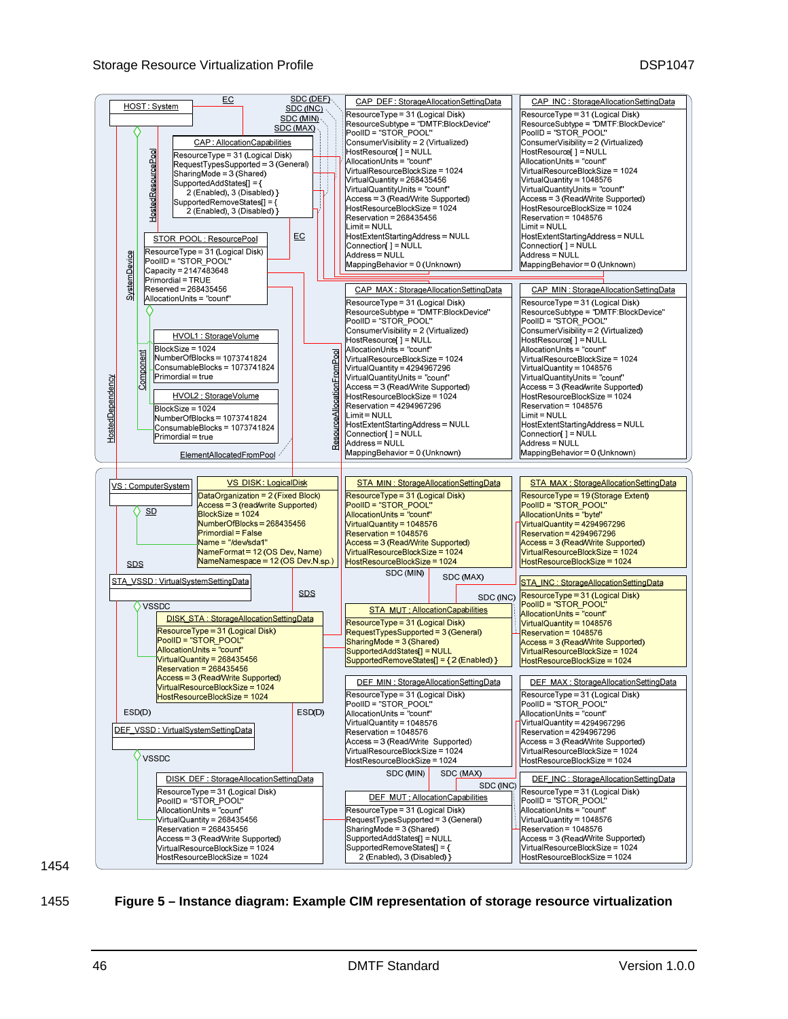#### Storage Resource Virtualization Profile **DSP1047** and DSP1047



1454

#### <span id="page-45-0"></span>1455 **Figure 5 – Instance diagram: Example CIM representation of storage resource virtualization**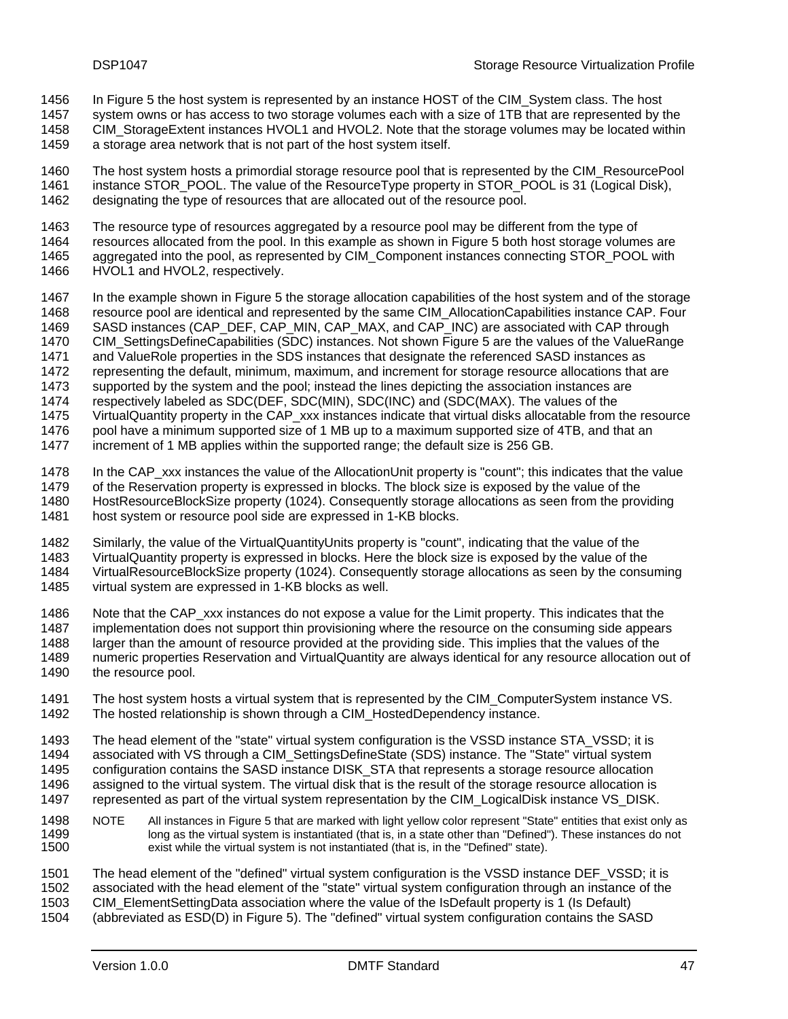- 1456 In [Figure 5 the host system is represented by an instance HOST of](#page-63-0) the CIM\_System class. The host
- 1457 system owns or has access to two storage volumes each with a size of 1TB that are represented by the
- 1458 CIM StorageExtent instances HVOL1 and HVOL2. Note that the storage volumes may be located within
- 1459 a storage area network that is not part of the host system itself.
- 1460 The host system hosts a primordial storage resource pool that is represented by the CIM\_ResourcePool<br>1461 instance STOR POOL. The value of the ResourceType property in STOR POOL is 31 (Logical Disk). instance STOR\_POOL. The value of the ResourceType property in STOR\_POOL is 31 (Logical Disk), 1462 designating the type of resources that are allocated out of the resource pool.
- 1463 The resource type of resources aggregated by a resource pool may be different from the type of
- 1464 resources allocated from the pool. In this example as shown in [Figure 5](#page-45-0) both host storage volumes are 1465 aggregated into the pool, as represented by CIM Component instances connecting STOR POOL with
- 1466 HVOL1 and HVOL2, respectively.
- 1467 In the example shown in [Figure 5](#page-45-0) the storage allocation capabilities of the host system and of the storage 1468 resource pool are identical and represented by the same CIM\_AllocationCapabilities instance CAP. Four 1469 SASD instances (CAP\_DEF, CAP\_MIN, CAP\_MAX, and CAP\_INC) are associated with CAP through 1470 CIM SettingsDefineCapabilities (SDC) instances. Not shown [Figure 5](#page-45-0) are the values of the ValueRange 1471 and ValueRole properties in the SDS instances that designate the referenced SASD instances as 1472 representing the default, minimum, maximum, and increment for storage resource allocations that are 1473 supported by the system and the pool; instead the lines depicting the association instances are 1474 respectively labeled as SDC(DEF, SDC(MIN), SDC(INC) and (SDC(MAX). The values of the 1475 VirtualQuantity property in the CAP\_xxx instances indicate that virtual disks allocatable from the resource 1476 pool have a minimum supported size of 1 MB up to a maximum supported size of 4TB, and that an 1477 increment of 1 MB applies within the supported range; the default size is 256 GB.
- 1478 In the CAP xxx instances the value of the AllocationUnit property is "count"; this indicates that the value 1479 of the Reservation property is expressed in blocks. The block size is exposed by the value of the 1480 HostResourceBlockSize property (1024). Consequently storage allocations as seen from the providing
- 1481 host system or resource pool side are expressed in 1-KB blocks.
- 1482 Similarly, the value of the VirtualQuantityUnits property is "count", indicating that the value of the 1483 VirtualQuantity property is expressed in blocks. Here the block size is exposed by the value of the 1484 VirtualResourceBlockSize property (1024). Consequently storage allocations as seen by the consuming 1485 virtual system are expressed in 1-KB blocks as well.
- 1486 Note that the CAP xxx instances do not expose a value for the Limit property. This indicates that the 1487 implementation does not support thin provisioning where the resource on the consuming side appears 1488 larger than the amount of resource provided at the providing side. This implies that the values of the 1489 numeric properties Reservation and VirtualQuantity are always identical for any resource allocation of numeric properties Reservation and VirtualQuantity are always identical for any resource allocation out of 1490 the resource pool.
- 1491 The host system hosts a virtual system that is represented by the CIM\_ComputerSystem instance VS. 1492 The hosted relationship is shown through a CIM\_HostedDependency instance.
- 1493 The head element of the "state" virtual system configuration is the VSSD instance STA\_VSSD; it is 1494 associated with VS through a CIM\_SettingsDefineState (SDS) instance. The "State" virtual system 1495 configuration contains the SASD instance DISK\_STA that represents a storage resource allocation 1496 assigned to the virtual system. The virtual disk that is the result of the storage resource allocation is<br>1497 represented as part of the virtual system representation by the CIM LogicalDisk instance VS DISK. represented as part of the virtual system representation by the CIM\_LogicalDisk instance VS\_DISK.
- 1498 NOTE All instances in [Figure 5 that are marked with](#page-64-2) light yellow color represent "State" entities that exist only as<br>1499 Iong as the virtual system is instantiated (that is, in a state other than "Defined"). These in 1499 long as the virtual system is instantiated (that is, in a state other than "Defined"). These instances do not 1500 exist while the virtual system is not instantiated (that is, in the "Defined" state). exist while the virtual system is not instantiated (that is, in the "Defined" state).
- 1501 The head element of the "defined" virtual system configuration is the VSSD instance DEF\_VSSD; it is 1502 associated with the head element of the "state" virtual system configuration through an instance of the 1503 CIM\_ElementSettingData association where the value of the IsDefault property is 1 (Is Default) 1504 (abbreviated as ESD(D) in [Figure 5\). The "defined" virtual system configurati](http://www.dmtf.org/about/policies/disclosures.php)on contains the SASD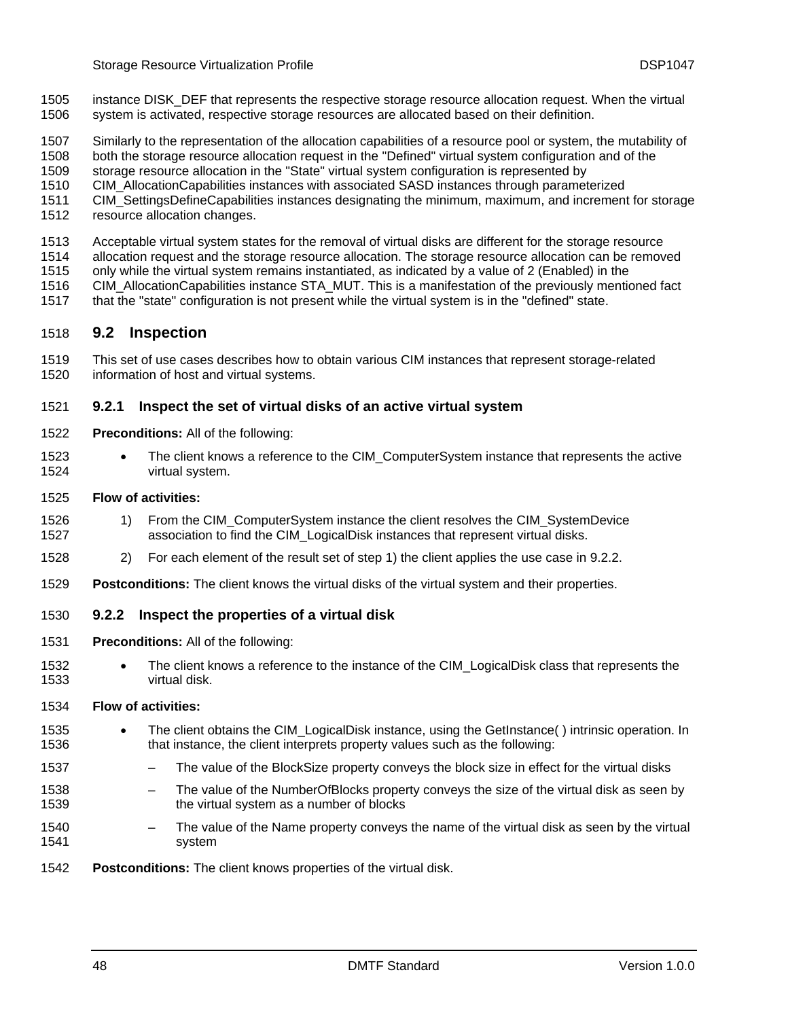- 1505 instance DISK\_DEF that represents the respective storage resource allocation request. When the virtual 1506 system is activated, respective storage resources are allocated based on their definition.
- 1507 Similarly to the representation of the allocation capabilities of a resource pool or system, the mutability of
- 1508 both the storage resource allocation request in the "Defined" virtual system configuration and of the
- 1509 storage resource allocation in the "State" virtual system configuration is represented by<br>1510 CIM AllocationCapabilities instances with associated SASD instances through paramet
- 1510 CIM\_AllocationCapabilities instances with associated SASD instances through parameterized
- 1511 CIM\_SettingsDefineCapabilities instances designating the minimum, maximum, and increment for storage 1512 resource allocation changes.
- 1513 Acceptable virtual system states for the removal of virtual disks are different for the storage resource
- 1514 allocation request and the storage resource allocation. The storage resource allocation can be removed
- 1515 only while the virtual system remains instantiated, as indicated by a value of 2 (Enabled) in the
- 1516 CIM\_AllocationCapabilities instance STA\_MUT. This is a manifestation of the previously mentioned fact
- 1517 that the "state" configuration is not present while the virtual system is in the "defined" state.

#### <span id="page-47-0"></span>1518 **9.2 Inspection**

1519 This set of use cases describes how to obtain various CIM instances that represent storage-related 1520 information of host and virtual systems.

#### <span id="page-47-1"></span>1521 **9.2.1 Inspect the set of virtual disks of an active virtual system**

- 1522 **Preconditions:** All of the following:
- 1523 The client knows a reference to the CIM ComputerSystem instance that represents the active 1524 virtual system.

#### 1525 **Flow of activities:**

- <span id="page-47-3"></span>1526 1) From the CIM ComputerSystem instance the client resolves the CIM SystemDevice 1527 association to find the CIM\_LogicalDisk instances that represent virtual disks.
- 1528 2) For each element of the result set of step [1\)](#page-47-3) the client applies the use case in [9.2.2.](#page-47-2)
- 1529 **Postconditions:** The client knows the virtual disks of the virtual system and their properties.
- <span id="page-47-2"></span>1530 **9.2.2 Inspect the properties of a virtual disk**
- 1531 **Preconditions:** All of the following:
- 1532 The client knows a reference to the instance of the CIM LogicalDisk class that represents the 1533 virtual disk.

#### 1534 **Flow of activities:**

- 1535 The client obtains the CIM LogicalDisk instance, using the GetInstance() intrinsic operation. In 1536 that instance, the client interprets property values such as the following:
- 1537 The value of the BlockSize property conveys the block size in effect for the virtual disks
- 1538 The value of the NumberOfBlocks property conveys the size of the virtual disk as seen by 1539 the virtual system as a number of blocks
- 1540 The value of the Name property conveys the name of the virtual disk as seen by the virtual 1541 system
- 1542 **Postconditions:** The client knows properties of the virtual disk.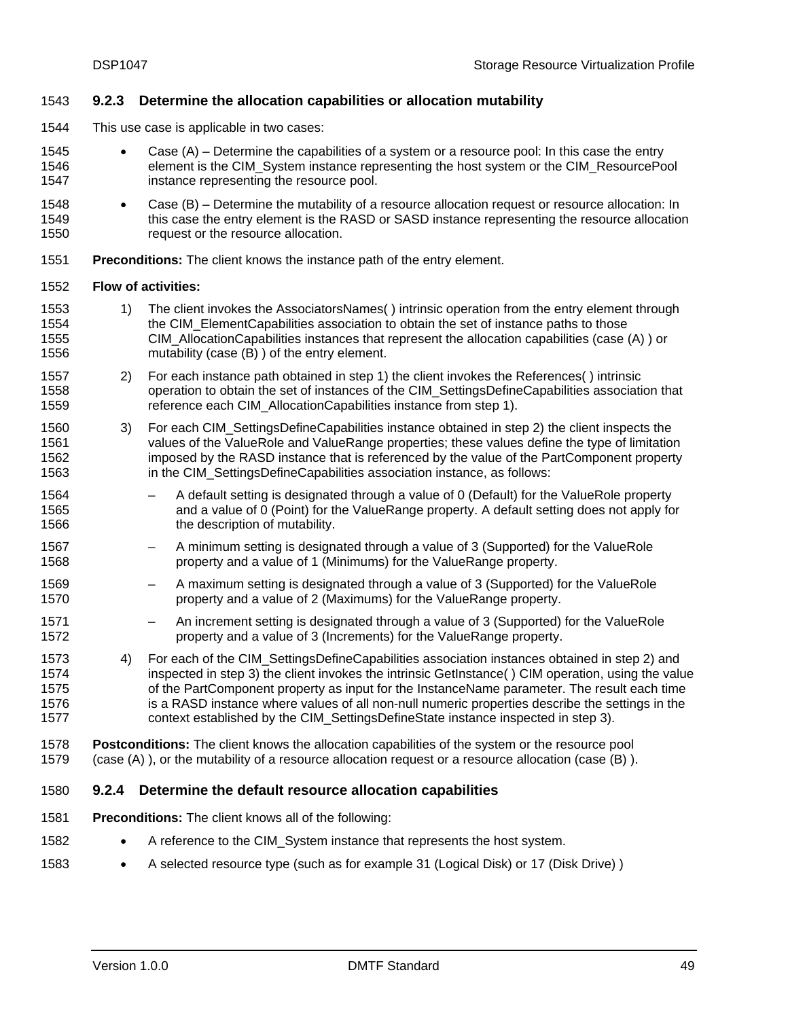#### <span id="page-48-0"></span>1543 **9.2.3 Determine the allocation capabilities or allocation mutability**

- 1544 This use case is applicable in two cases:
- 1545 Case (A) Determine the capabilities of a system or a resource pool: In this case the entry 1546 element is the CIM\_System instance representing the host system or the CIM\_ResourcePool 1547 instance representing the resource pool.
- 1548 Case (B) Determine the mutability of a resource allocation request or resource allocation: In 1549 this case the entry element is the RASD or SASD instance representing the resource allocation 1550 request or the resource allocation.
- 1551 **Preconditions:** The client knows the instance path of the entry element.

#### 1552 **Flow of activities:**

- <span id="page-48-2"></span>1553 1553 1) The client invokes the AssociatorsNames() intrinsic operation from the entry element through 1554 the CIM\_ElementCapabilities association to obtain the set of instance paths to those 1555 CIM\_AllocationCapabilities instances that represent the allocation capabilities (case (A) ) or 1556 mutability (case (B) ) of the entry element.
- <span id="page-48-3"></span>1557 2) For each instance path obtained in step [1\)](#page-48-2) the client invokes the References( ) intrinsic 1558 operation to obtain the set of instances of the CIM\_SettingsDefineCapabilities association that 1559 reference each CIM\_AllocationCapabilities instance from step [1\).](#page-48-2)
- <span id="page-48-4"></span>1560 3) For each CIM\_SettingsDefineCapabilities instance obtained in step [2\)](#page-48-3) the client inspects the 1561 values of the ValueRole and ValueRange properties; these values define the type of limitation 1562 imposed by the RASD instance that is referenced by the value of the PartComponent property 1563 in the CIM\_SettingsDefineCapabilities association instance, as follows:
- 1564 A default setting is designated through a value of 0 (Default) for the ValueRole property 1565 and a value of 0 (Point) for the ValueRange property. A default setting does not apply for 1566 the description of mutability.
- 1567 A minimum setting is designated through a value of 3 (Supported) for the ValueRole 1568 property and a value of 1 (Minimums) for the ValueRange property.
- 1569 A maximum setting is designated through a value of 3 (Supported) for the ValueRole 1570 property and a value of 2 (Maximums) for the ValueRange property.
- 1571 An increment setting is designated through a value of 3 (Supported) for the ValueRole 1572 property and a value of 3 (Increments) for the ValueRange property.
- 1573 4) For each of the CIM\_SettingsDefineCapabilities association instances obtained in step [2\)](#page-48-3) and 1574 inspected in step [3\)](#page-48-4) the client invokes the intrinsic GetInstance( ) CIM operation, using the value 1575 of the PartComponent property as input for the InstanceName parameter. The result each time 1576 is a RASD instance where values of all non-null numeric properties describe the settings in the 1577 context established by the CIM SettingsDefineState instance inspected in step [3\)](#page-48-4).
- 1578 **Postconditions:** The client knows the allocation capabilities of the system or the resource pool 1579 (case (A) ), or the mutability of a resource allocation request or a resource allocation (case (B) ).

#### <span id="page-48-1"></span>1580 **9.2.4 Determine the default resource allocation capabilities**

- 1581 **Preconditions:** The client knows all of the following:
- 1582 A reference to the CIM System instance that represents the host system.
- 1583 A selected resource type (such as for example 31 (Logical Disk) or 17 (Disk Drive))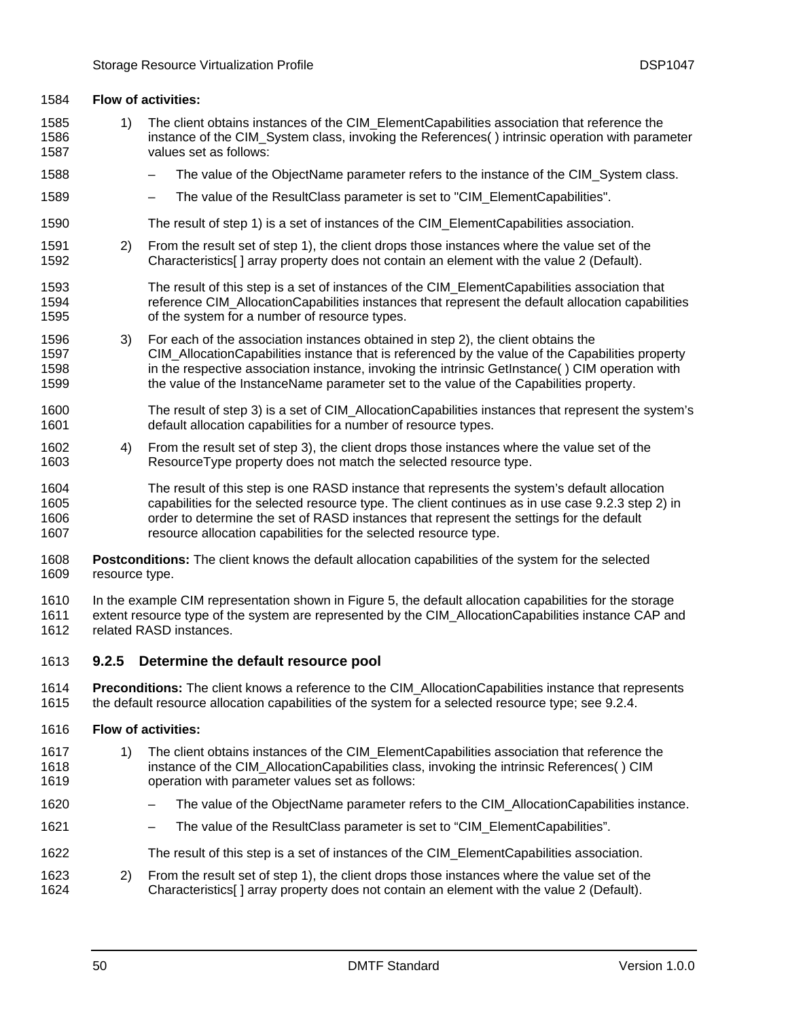#### 1584 **Flow of activities:**

- 1585 1) The client obtains instances of the CIM\_ElementCapabilities association that reference the 1586 instance of the CIM\_System class, invoking the References( ) intrinsic operation with parameter 1587 values set as follows:
- 1588 The value of the ObjectName parameter refers to the instance of the CIM\_System class.
- 1589 The value of the ResultClass parameter is set to "CIM\_ElementCapabilities".
- 1590 The result of step [1\) is a set of](#page-14-1) instances of the CIM ElementCapabilities association.
- 1591 2) From the result set of step [1\), the client drops those instances where the valu](#page-15-0)e set of the 1592 Characteristics[ ] array property does not contain an element with the value 2 (Default).
- 1593 The result of this step is a set of instances of the CIM\_ElementCapabilities association that 1594 reference CIM\_AllocationCapabilities instances that represent the default allocation capabilities 1595 of the system for a number of resource types.
- 1596 3) For each of the association instances obtained in step [2\), the client obtains](#page-16-0) the 1597 CIM\_AllocationCapabilities instance that is referenced by the value of the Capabilities property 1598 in the respective association instance, invoking the intrinsic GetInstance( ) CIM operation with 1599 the value of the InstanceName parameter set to the value of the Capabilities property.
- 1600 The result of step 6[3\) is a set of CI](#page-17-0)M\_AllocationCapabilities instances that represent the system's 1601 default allocation capabilities for a number of resource types.
- 1602 4) From the result set of step 6[3\), the client drops those instances where](#page-17-1) the value set of the 1603 ResourceType property does not match the selected resource type.
- 1604 The result of this step is one RASD instance that represents the system's default allocation [1605 capabilities for the selected resource type. The client continues as in use case](#page-18-1) [9.2.3 step](#page-18-0) 2) in 1606 [order to determine t](#page-18-1)he set of RASD instances that represent the settings for the default 1607 resource allocation capabilities for the selected resource type.
- 1608 **Postconditions:** The client knows the default allocation capabilities of the system for the selected 1609 resource type.

1610 In the example CIM representation shown in [Figure 5, the default allocation capabi](#page-18-2)lities for the storage 1611 extent resource type of the system are represented by the CIM\_AllocationCapabilities instance CAP and 1612 related RASD instances.

- <span id="page-49-0"></span>1613 **9.2.5 Determine the default resource pool**
- 1614 **Preconditions:** The client knows a reference to the CIM\_AllocationCapabilities instance that represents [1615 the default resource allocation capabilities of the system for a selected resource type; see](#page-19-0) 9.2.4.

#### 1616 **[Flow of activities:](#page-19-0)**

- 1617 1) The client obtains instances of the CIM\_ElementCapabilities association that reference the 1618 **instance of the CIM** AllocationCapabilities class, invoking the intrinsic References( ) CIM 1619 operation with parameter values set as follows:
- 1620 The value of the ObjectName parameter refers to the CIM\_AllocationCapabilities instance.
- 1621 The value of the ResultClass parameter is set to "CIM\_ElementCapabilities".
- 1622 The result of this step is a set of instances of the CIM\_ElementCapabilities association.
- 1623 2) From the result set of step [1\), the client drops those](#page-19-1) instances where the value set of the 1624 Characteristics[ ] array property does not contain an element with the value 2 (Default).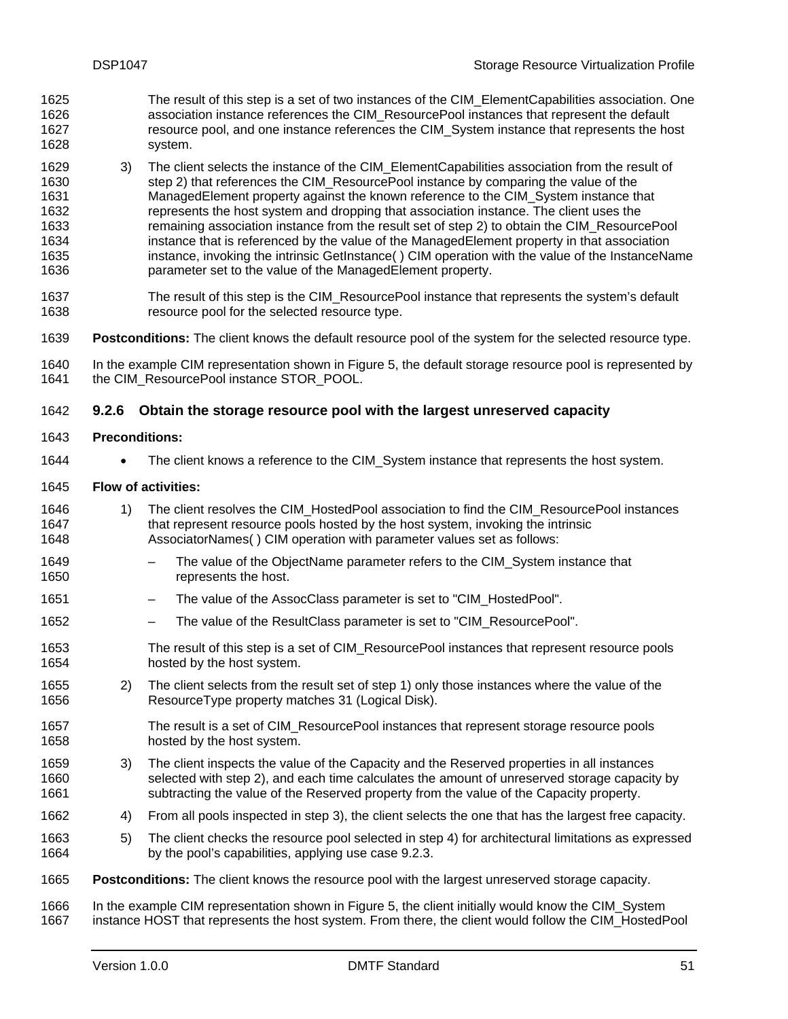- 1625 The result of this step is a set of two instances of the CIM\_ElementCapabilities association. One 1626 association instance references the CIM\_ResourcePool instances that represent the default 1627 resource pool, and one instance references the CIM\_System instance that represents the host 1628 system.
- 1629 3) The client selects the instance of the CIM\_ElementCapabilities association from the result of 1630 step [2\) that reference](#page-20-0)s the CIM ResourcePool instance by comparing the value of the 1631 ManagedElement property against the known reference to the CIM\_System instance that 1632 represents the host system and dropping that association instance. The client uses the<br>1633 remaining association instance from the result set of step 2) to obtain the CIM Resourc remaining association instance from the result set of step 2) to obtain the CIM\_ResourcePool 1634 [instance that i](#page-20-1)s referenced by the value of the ManagedElement property in that association 1635 instance, invoking the intrinsic GetInstance( ) CIM operation with the value of the InstanceName 1636 parameter set to the value of the ManagedElement property.
- 1637 The result of this step is the CIM\_ResourcePool instance that represents the system's default 1638 resource pool for the selected resource type.
- 1639 **Postconditions:** The client knows the default resource pool of the system for the selected resource type.
- 1640 In the example CIM representation shown in [Figure 5, the default storage resourc](#page-23-0)e pool is represented by 1641 the CIM\_ResourcePool instance STOR\_POOL.

#### <span id="page-50-0"></span>1642 **9.2.6 Obtain the storage resource pool with the largest unreserved capacity**

#### 1643 **Preconditions:**

1644 • The client knows a reference to the CIM\_System instance that represents the host system.

#### 1645 **Flow of activities:**

- 1646 1) The client resolves the CIM\_HostedPool association to find the CIM\_ResourcePool instances 1647 that represent resource pools hosted by the host system, invoking the intrinsic 1648 AssociatorNames( ) CIM operation with parameter values set as follows:
- 1649 The value of the ObjectName parameter refers to the CIM\_System instance that 1650 represents the host.
- 1651 The value of the AssocClass parameter is set to "CIM\_HostedPool".
- 1652 The value of the ResultClass parameter is set to "CIM\_ResourcePool".
- 1653 The result of this step is a set of CIM\_ResourcePool instances that represent resource pools 1654 hosted by the host system.
- 1655 2) The client selects from the result set of step 6[1\) only those instances where](#page-23-1) the value of the 1656 ResourceType property matches 31 (Logical Disk).
- 1657 The result is a set of CIM\_ResourcePool instances that represent storage resource pools 1658 hosted by the host system.
- 1659 3) The client inspects the value of the Capacity and the Reserved properties in all instances 1660 selected with step 6[2\), and each time cal](#page-23-2)culates the amount of unreserved storage capacity by 1661 subtracting the value of the Reserved property from the value of the Capacity property.
- 1662 4) From all pools inspected in step 6[3\), the client selects the](#page-23-3) one that has the largest free capacity.
- 1663 5) The client checks the resource pool selected in step [4\) for architectural limitation](#page-24-0)s as expressed [1664 by the pool's capabilities, applying use case](#page-24-1) 9.2.3.
- 1665 **[Postconditions:](#page-24-1)** The client knows the resource pool with the largest unreserved storage capacity.

1666 In the example CIM representation shown in [Figure 5, the client initially would know the CIM](#page-24-2)\_System 1667 instance HOST that represents the host system. From there, the client would follow the CIM\_HostedPool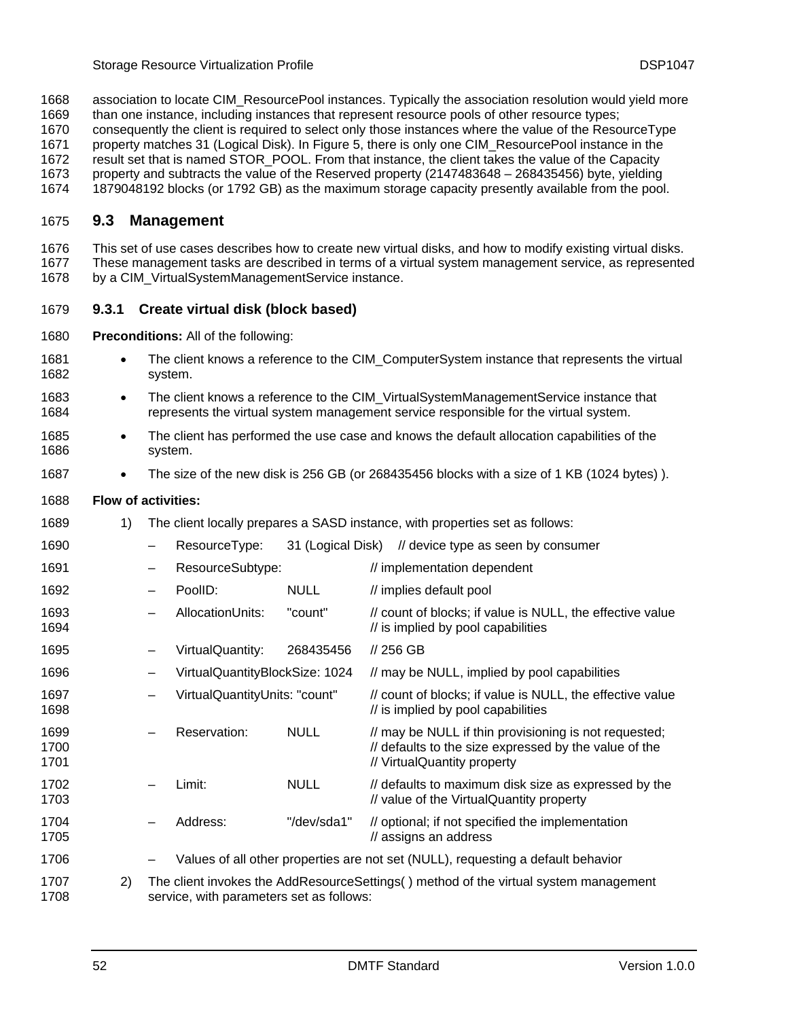1668 association to locate CIM\_ResourcePool instances. Typically the association resolution would yield more

1669 than one instance, including instances that represent resource pools of other resource types; 1670 consequently the client is required to select only those instances where the value of the ResourceType

1671 property matches 31 (Logical Disk). In Figure 5, there is only one CIM ResourcePool instance in the

1672 [resu](#page-24-3)lt set that is named STOR\_POOL. From that instance, the client takes the value of the Capacity

- 1673 property and subtracts the value of the Reserved property (2147483648 268435456) byte, yielding
- 1674 1879048192 blocks (or 1792 GB) as the maximum storage capacity presently available from the pool.

## <span id="page-51-0"></span>1675 **9.3 Management**

1676 This set of use cases describes how to create new virtual disks, and how to modify existing virtual disks. 1677 These management tasks are described in terms of a virtual system management service, as represented 1678 by a CIM\_VirtualSystemManagementService instance.

## <span id="page-51-1"></span>1679 **9.3.1 Create virtual disk (block based)**

- 1680 **Preconditions:** All of the following:
- 1681 The client knows a reference to the CIM ComputerSystem instance that represents the virtual 1682 system. 1683 • The client knows a reference to the CIM\_VirtualSystemManagementService instance that 1684 represents the virtual system management service responsible for the virtual system. 1685 • The client has performed the use case and knows the default allocation capabilities of the 1686 system.
- 1687 The size of the new disk is 256 GB (or 268435456 blocks with a size of 1 KB (1024 bytes)).

#### 1688 **Flow of activities:**

<span id="page-51-2"></span>1689 1) The client locally prepares a SASD instance, with properties set as follows:

| 1690                 |    |   | ResourceType:                            | 31 (Logical Disk) | // device type as seen by consumer                                                                                                            |
|----------------------|----|---|------------------------------------------|-------------------|-----------------------------------------------------------------------------------------------------------------------------------------------|
| 1691                 |    | — | ResourceSubtype:                         |                   | // implementation dependent                                                                                                                   |
| 1692                 |    | — | PoolID:                                  | <b>NULL</b>       | // implies default pool                                                                                                                       |
| 1693<br>1694         |    |   | AllocationUnits:                         | "count"           | // count of blocks; if value is NULL, the effective value<br>// is implied by pool capabilities                                               |
| 1695                 |    |   | VirtualQuantity:                         | 268435456         | // 256 GB                                                                                                                                     |
| 1696                 |    |   | VirtualQuantityBlockSize: 1024           |                   | // may be NULL, implied by pool capabilities                                                                                                  |
| 1697<br>1698         |    |   | VirtualQuantityUnits: "count"            |                   | // count of blocks; if value is NULL, the effective value<br>// is implied by pool capabilities                                               |
| 1699<br>1700<br>1701 |    |   | Reservation:                             | <b>NULL</b>       | // may be NULL if thin provisioning is not requested;<br>// defaults to the size expressed by the value of the<br>// VirtualQuantity property |
| 1702<br>1703         |    |   | Limit:                                   | <b>NULL</b>       | // defaults to maximum disk size as expressed by the<br>// value of the VirtualQuantity property                                              |
| 1704<br>1705         |    |   | Address:                                 | "/dev/sda1"       | // optional; if not specified the implementation<br>// assigns an address                                                                     |
| 1706                 |    |   |                                          |                   | Values of all other properties are not set (NULL), requesting a default behavior                                                              |
| 1707<br>1708         | 2) |   | service, with parameters set as follows: |                   | The client invokes the AddResourceSettings() method of the virtual system management                                                          |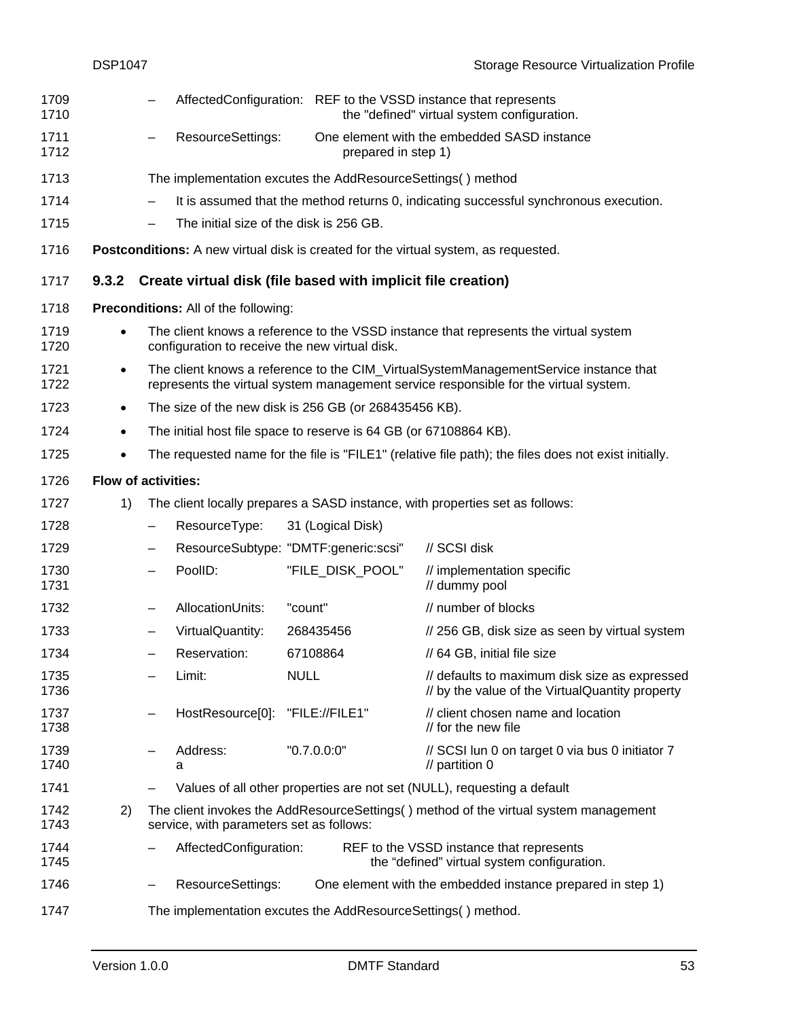<span id="page-52-1"></span><span id="page-52-0"></span>

| 1709<br>1710 |                                                                       |                                                              |                                                |                                                                   | AffectedConfiguration: REF to the VSSD instance that represents<br>the "defined" virtual system configuration.                                                               |  |  |  |
|--------------|-----------------------------------------------------------------------|--------------------------------------------------------------|------------------------------------------------|-------------------------------------------------------------------|------------------------------------------------------------------------------------------------------------------------------------------------------------------------------|--|--|--|
| 1711<br>1712 |                                                                       |                                                              | ResourceSettings:                              | prepared in step 1)                                               | One element with the embedded SASD instance                                                                                                                                  |  |  |  |
| 1713         |                                                                       |                                                              |                                                | The implementation excutes the AddResourceSettings() method       |                                                                                                                                                                              |  |  |  |
| 1714         |                                                                       |                                                              |                                                |                                                                   | It is assumed that the method returns 0, indicating successful synchronous execution.                                                                                        |  |  |  |
| 1715         |                                                                       |                                                              | The initial size of the disk is 256 GB.        |                                                                   |                                                                                                                                                                              |  |  |  |
| 1716         |                                                                       |                                                              |                                                |                                                                   | <b>Postconditions:</b> A new virtual disk is created for the virtual system, as requested.                                                                                   |  |  |  |
| 1717         | Create virtual disk (file based with implicit file creation)<br>9.3.2 |                                                              |                                                |                                                                   |                                                                                                                                                                              |  |  |  |
| 1718         |                                                                       |                                                              | <b>Preconditions:</b> All of the following:    |                                                                   |                                                                                                                                                                              |  |  |  |
| 1719<br>1720 | $\bullet$                                                             |                                                              | configuration to receive the new virtual disk. |                                                                   | The client knows a reference to the VSSD instance that represents the virtual system                                                                                         |  |  |  |
| 1721<br>1722 | $\bullet$                                                             |                                                              |                                                |                                                                   | The client knows a reference to the CIM_VirtualSystemManagementService instance that<br>represents the virtual system management service responsible for the virtual system. |  |  |  |
| 1723         | $\bullet$                                                             |                                                              |                                                | The size of the new disk is 256 GB (or 268435456 KB).             |                                                                                                                                                                              |  |  |  |
| 1724         | $\bullet$                                                             |                                                              |                                                | The initial host file space to reserve is 64 GB (or 67108864 KB). |                                                                                                                                                                              |  |  |  |
| 1725         | $\bullet$                                                             |                                                              |                                                |                                                                   | The requested name for the file is "FILE1" (relative file path); the files does not exist initially.                                                                         |  |  |  |
| 1726         | <b>Flow of activities:</b>                                            |                                                              |                                                |                                                                   |                                                                                                                                                                              |  |  |  |
| 1727         | 1)                                                                    |                                                              |                                                |                                                                   | The client locally prepares a SASD instance, with properties set as follows:                                                                                                 |  |  |  |
| 1728         |                                                                       | —                                                            | ResourceType:                                  | 31 (Logical Disk)                                                 |                                                                                                                                                                              |  |  |  |
| 1729         |                                                                       |                                                              |                                                | ResourceSubtype: "DMTF:generic:scsi"                              | // SCSI disk                                                                                                                                                                 |  |  |  |
| 1730<br>1731 |                                                                       |                                                              | PoolID:                                        | "FILE_DISK_POOL"                                                  | // implementation specific<br>// dummy pool                                                                                                                                  |  |  |  |
| 1732         |                                                                       |                                                              | AllocationUnits:                               | "count"                                                           | // number of blocks                                                                                                                                                          |  |  |  |
| 1733         |                                                                       |                                                              | VirtualQuantity:                               | 268435456                                                         | // 256 GB, disk size as seen by virtual system                                                                                                                               |  |  |  |
| 1734         |                                                                       |                                                              | Reservation:                                   | 67108864                                                          | // 64 GB, initial file size                                                                                                                                                  |  |  |  |
| 1735<br>1736 |                                                                       |                                                              | Limit:                                         | <b>NULL</b>                                                       | // defaults to maximum disk size as expressed<br>// by the value of the VirtualQuantity property                                                                             |  |  |  |
| 1737<br>1738 |                                                                       |                                                              | HostResource[0]:                               | "FILE://FILE1"                                                    | // client chosen name and location<br>// for the new file                                                                                                                    |  |  |  |
| 1739<br>1740 |                                                                       |                                                              | Address:<br>a                                  | "0.7.0.0:0"                                                       | // SCSI lun 0 on target 0 via bus 0 initiator 7<br>$\frac{1}{2}$ partition 0                                                                                                 |  |  |  |
| 1741         |                                                                       |                                                              |                                                |                                                                   | Values of all other properties are not set (NULL), requesting a default                                                                                                      |  |  |  |
| 1742<br>1743 | 2)                                                                    |                                                              | service, with parameters set as follows:       |                                                                   | The client invokes the AddResourceSettings() method of the virtual system management                                                                                         |  |  |  |
| 1744<br>1745 |                                                                       |                                                              | AffectedConfiguration:                         |                                                                   | REF to the VSSD instance that represents<br>the "defined" virtual system configuration.                                                                                      |  |  |  |
| 1746         |                                                                       |                                                              | ResourceSettings:                              |                                                                   | One element with the embedded instance prepared in step 1)                                                                                                                   |  |  |  |
| 1747         |                                                                       | The implementation excutes the AddResourceSettings() method. |                                                |                                                                   |                                                                                                                                                                              |  |  |  |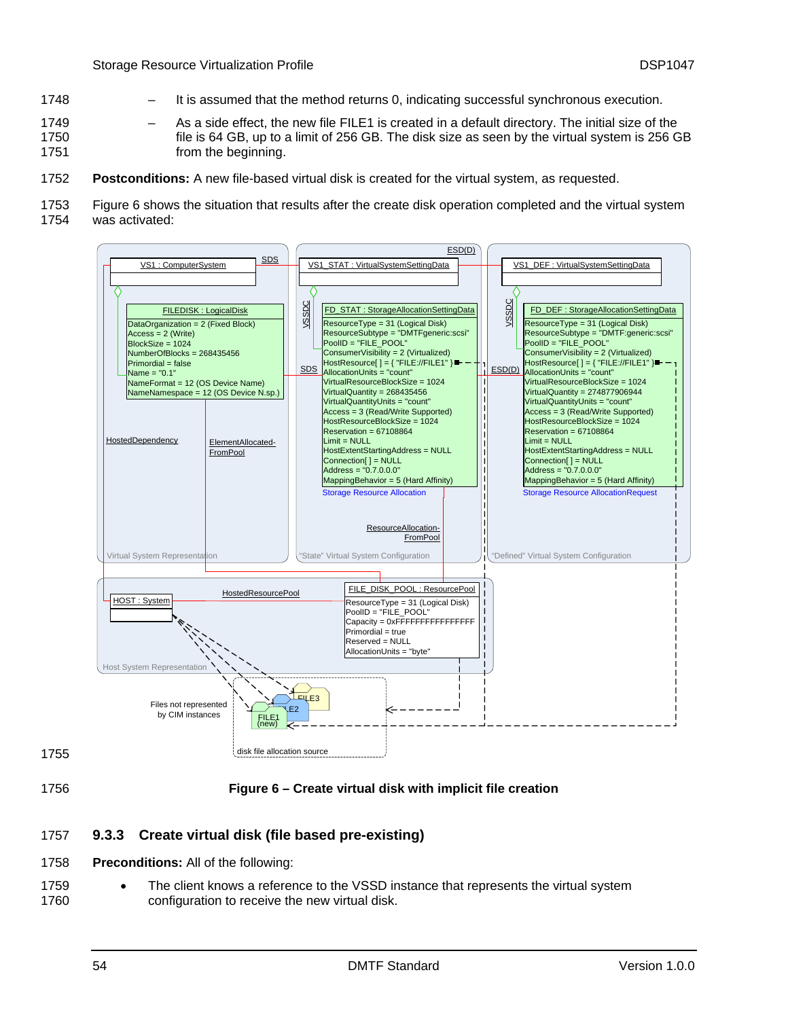- 1748 It is assumed that the method returns 0, indicating successful synchronous execution.
- 1749 As a side effect, the new file FILE1 is created in a default directory. The initial size of the 1750 file is 64 GB, up to a limit of 256 GB. The disk size as seen by the virtual system is 256 GB 1751 **from the beginning.**
- 1752 **Postconditions:** A new file-based virtual disk is created for the virtual system, as requested.
- 1753 [Figure 6 shows the si](#page-26-2)tuation that results after the create disk operation completed and the virtual system 1754 was activated:



<span id="page-53-1"></span>

### 1756 **Figure 6 – Create virtual disk with implicit file creation**

### <span id="page-53-0"></span>1757 **9.3.3 Create virtual disk (file based pre-existing)**

#### 1758 **Preconditions:** All of the following:

1759 • The client knows a reference to the VSSD instance that represents the virtual system 1760 configuration to receive the new virtual disk.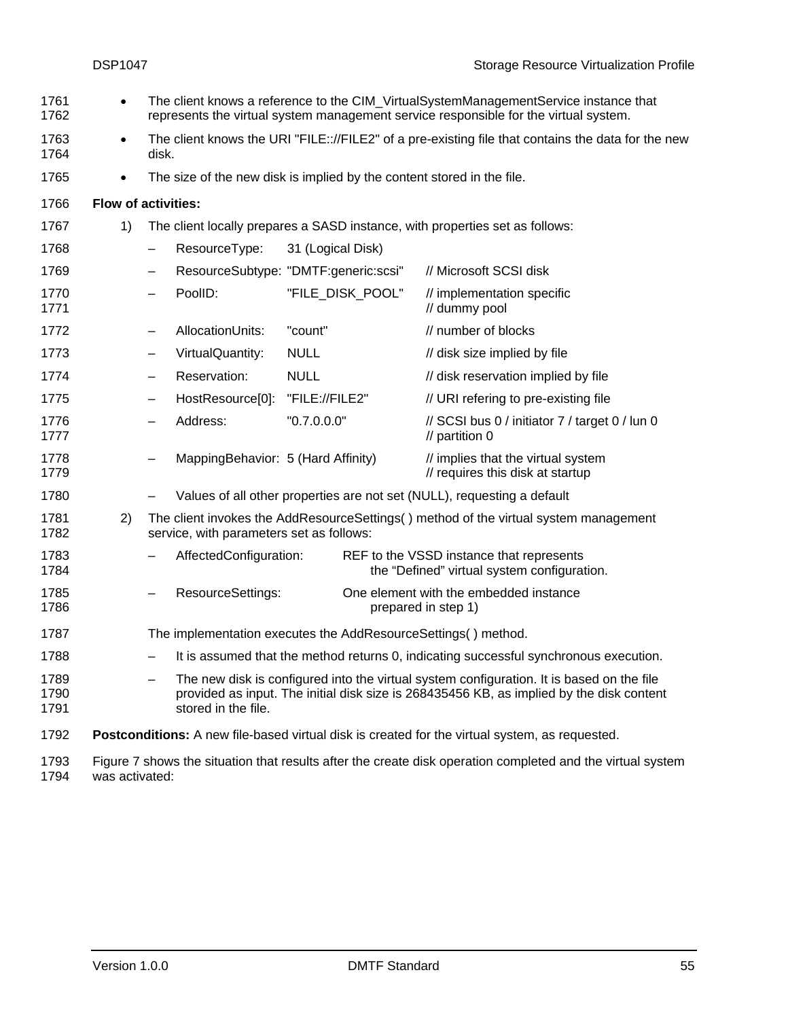| 1761<br>1762         | $\bullet$                                                                                                                    | The client knows a reference to the CIM_VirtualSystemManagementService instance that<br>represents the virtual system management service responsible for the virtual system. |                                                                                                                                                                                                              |                   |                  |                                                                                                |  |  |  |
|----------------------|------------------------------------------------------------------------------------------------------------------------------|------------------------------------------------------------------------------------------------------------------------------------------------------------------------------|--------------------------------------------------------------------------------------------------------------------------------------------------------------------------------------------------------------|-------------------|------------------|------------------------------------------------------------------------------------------------|--|--|--|
| 1763<br>1764         | $\bullet$                                                                                                                    | The client knows the URI "FILE:://FILE2" of a pre-existing file that contains the data for the new<br>disk.                                                                  |                                                                                                                                                                                                              |                   |                  |                                                                                                |  |  |  |
| 1765                 | $\bullet$                                                                                                                    |                                                                                                                                                                              | The size of the new disk is implied by the content stored in the file.                                                                                                                                       |                   |                  |                                                                                                |  |  |  |
| 1766                 |                                                                                                                              | <b>Flow of activities:</b>                                                                                                                                                   |                                                                                                                                                                                                              |                   |                  |                                                                                                |  |  |  |
| 1767                 | 1)                                                                                                                           |                                                                                                                                                                              |                                                                                                                                                                                                              |                   |                  | The client locally prepares a SASD instance, with properties set as follows:                   |  |  |  |
| 1768                 |                                                                                                                              |                                                                                                                                                                              | ResourceType:                                                                                                                                                                                                | 31 (Logical Disk) |                  |                                                                                                |  |  |  |
| 1769                 |                                                                                                                              |                                                                                                                                                                              | ResourceSubtype: "DMTF:generic:scsi"                                                                                                                                                                         |                   |                  | // Microsoft SCSI disk                                                                         |  |  |  |
| 1770<br>1771         |                                                                                                                              |                                                                                                                                                                              | PoolID:                                                                                                                                                                                                      |                   | "FILE_DISK_POOL" | // implementation specific<br>// dummy pool                                                    |  |  |  |
| 1772                 |                                                                                                                              |                                                                                                                                                                              | AllocationUnits:                                                                                                                                                                                             | "count"           |                  | // number of blocks                                                                            |  |  |  |
| 1773                 |                                                                                                                              |                                                                                                                                                                              | VirtualQuantity:                                                                                                                                                                                             | <b>NULL</b>       |                  | // disk size implied by file                                                                   |  |  |  |
| 1774                 |                                                                                                                              |                                                                                                                                                                              | Reservation:                                                                                                                                                                                                 | <b>NULL</b>       |                  | // disk reservation implied by file                                                            |  |  |  |
| 1775                 |                                                                                                                              |                                                                                                                                                                              | HostResource[0]:                                                                                                                                                                                             | "FILE://FILE2"    |                  | // URI refering to pre-existing file                                                           |  |  |  |
| 1776<br>1777         |                                                                                                                              |                                                                                                                                                                              | Address:                                                                                                                                                                                                     | "0.7.0.0.0"       |                  | // SCSI bus 0 / initiator 7 / target 0 / lun 0<br>$\frac{1}{2}$ partition 0                    |  |  |  |
| 1778<br>1779         |                                                                                                                              |                                                                                                                                                                              | MappingBehavior: 5 (Hard Affinity)                                                                                                                                                                           |                   |                  | // implies that the virtual system<br>// requires this disk at startup                         |  |  |  |
| 1780                 |                                                                                                                              |                                                                                                                                                                              |                                                                                                                                                                                                              |                   |                  | Values of all other properties are not set (NULL), requesting a default                        |  |  |  |
| 1781<br>1782         | 2)                                                                                                                           |                                                                                                                                                                              | service, with parameters set as follows:                                                                                                                                                                     |                   |                  | The client invokes the AddResourceSettings() method of the virtual system management           |  |  |  |
| 1783<br>1784         |                                                                                                                              |                                                                                                                                                                              | AffectedConfiguration:                                                                                                                                                                                       |                   |                  | REF to the VSSD instance that represents<br>the "Defined" virtual system configuration.        |  |  |  |
| 1785<br>1786         |                                                                                                                              |                                                                                                                                                                              | ResourceSettings:                                                                                                                                                                                            |                   |                  | One element with the embedded instance<br>prepared in step 1)                                  |  |  |  |
| 1787                 |                                                                                                                              |                                                                                                                                                                              | The implementation executes the AddResourceSettings() method.                                                                                                                                                |                   |                  |                                                                                                |  |  |  |
| 1788                 |                                                                                                                              |                                                                                                                                                                              | It is assumed that the method returns 0, indicating successful synchronous execution.                                                                                                                        |                   |                  |                                                                                                |  |  |  |
| 1789<br>1790<br>1791 |                                                                                                                              |                                                                                                                                                                              | The new disk is configured into the virtual system configuration. It is based on the file<br>provided as input. The initial disk size is 268435456 KB, as implied by the disk content<br>stored in the file. |                   |                  |                                                                                                |  |  |  |
| 1792                 |                                                                                                                              |                                                                                                                                                                              |                                                                                                                                                                                                              |                   |                  | Postconditions: A new file-based virtual disk is created for the virtual system, as requested. |  |  |  |
| 1793<br>1794         | Figure 7 shows the situation that results after the create disk operation completed and the virtual system<br>was activated: |                                                                                                                                                                              |                                                                                                                                                                                                              |                   |                  |                                                                                                |  |  |  |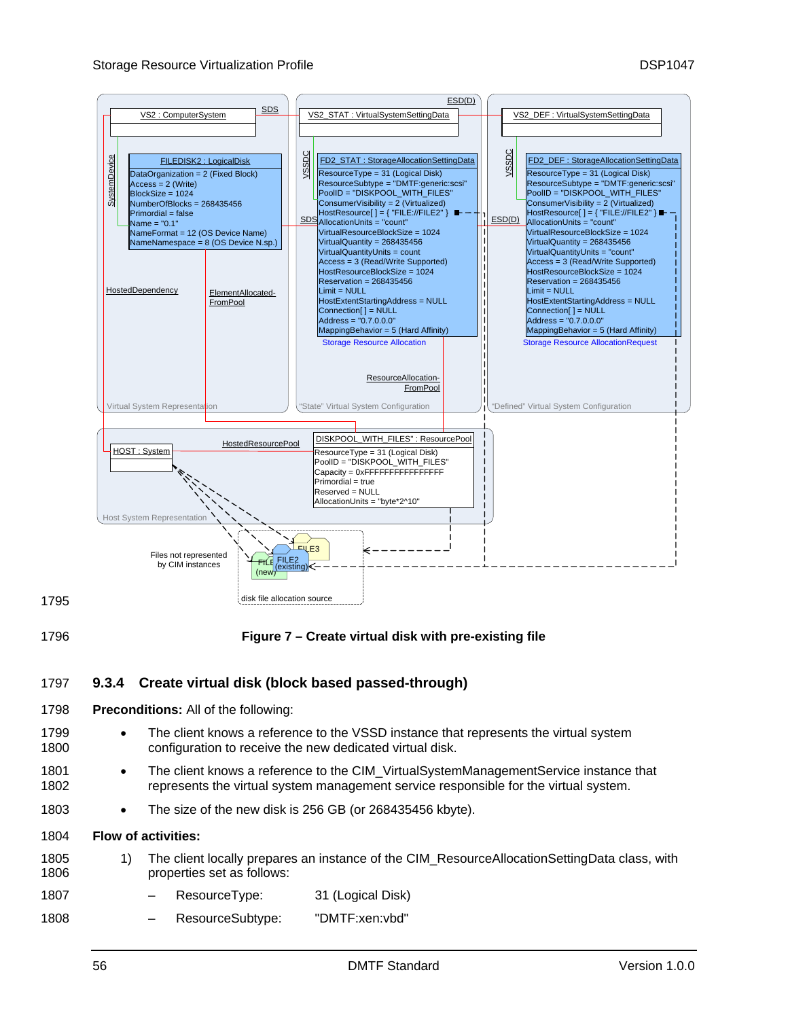#### Storage Resource Virtualization Profile **DSP1047** and DSP1047



<span id="page-55-1"></span>1796 **Figure 7 – Create virtual disk with pre-existing file** 

#### <span id="page-55-0"></span>1797 **9.3.4 Create virtual disk (block based passed-through)**

#### 1798 **Preconditions:** All of the following:

- 1799 The client knows a reference to the VSSD instance that represents the virtual system 1800 configuration to receive the new dedicated virtual disk.
- 1801 The client knows a reference to the CIM\_VirtualSystemManagementService instance that 1802 represents the virtual system management service responsible for the virtual system.
- 1803 The size of the new disk is 256 GB (or 268435456 kbyte).

#### 1804 **Flow of activities:**

- 1805 1905 1) The client locally prepares an instance of the CIM ResourceAllocationSettingData class, with 1806 properties set as follows:
- 1807 ResourceType: 31 (Logical Disk)
- 1808 ResourceSubtype: "DMTF:xen:vbd"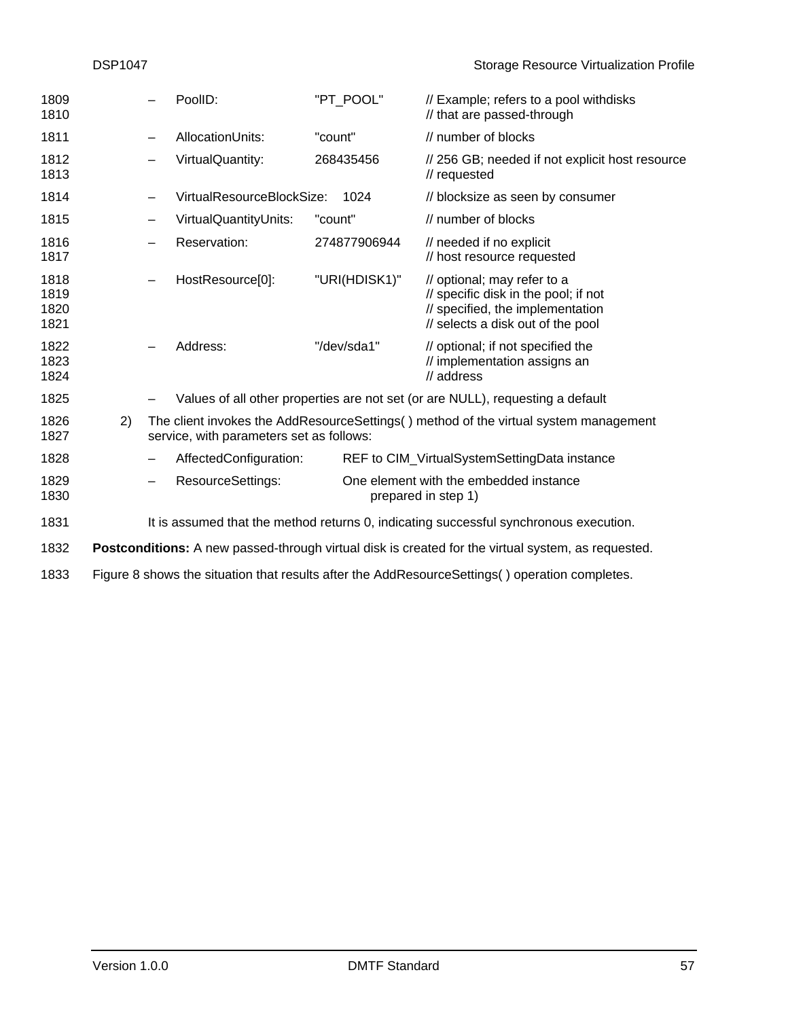| 1809<br>1810                 |    | PoolID:                                  | "PT POOL" |               | // Example; refers to a pool withdisks<br>// that are passed-through                                                                         |
|------------------------------|----|------------------------------------------|-----------|---------------|----------------------------------------------------------------------------------------------------------------------------------------------|
| 1811                         |    | AllocationUnits:                         | "count"   |               | // number of blocks                                                                                                                          |
| 1812<br>1813                 |    | VirtualQuantity:                         |           | 268435456     | // 256 GB; needed if not explicit host resource<br>// requested                                                                              |
| 1814                         |    | VirtualResourceBlockSize:                |           | 1024          | // blocksize as seen by consumer                                                                                                             |
| 1815                         |    | VirtualQuantityUnits:                    | "count"   |               | // number of blocks                                                                                                                          |
| 1816<br>1817                 |    | Reservation:                             |           | 274877906944  | // needed if no explicit<br>// host resource requested                                                                                       |
| 1818<br>1819<br>1820<br>1821 |    | HostResource[0]:                         |           | "URI(HDISK1)" | // optional; may refer to a<br>// specific disk in the pool; if not<br>// specified, the implementation<br>// selects a disk out of the pool |
| 1822<br>1823<br>1824         |    | Address:                                 |           | "/dev/sda1"   | // optional; if not specified the<br>// implementation assigns an<br>// address                                                              |
| 1825                         |    |                                          |           |               | Values of all other properties are not set (or are NULL), requesting a default                                                               |
| 1826<br>1827                 | 2) | service, with parameters set as follows: |           |               | The client invokes the AddResourceSettings() method of the virtual system management                                                         |
| 1828                         |    | AffectedConfiguration:                   |           |               | REF to CIM_VirtualSystemSettingData instance                                                                                                 |
| 1829<br>1830                 |    | ResourceSettings:                        |           |               | One element with the embedded instance<br>prepared in step 1)                                                                                |
| 1831                         |    |                                          |           |               | It is assumed that the method returns 0, indicating successful synchronous execution.                                                        |
| 1832                         |    |                                          |           |               | <b>Postconditions:</b> A new passed-through virtual disk is created for the virtual system, as requested.                                    |
|                              |    |                                          |           |               |                                                                                                                                              |

1833 [Figure 8 shows the si](#page-27-3)tuation that results after the AddResourceSettings() operation completes.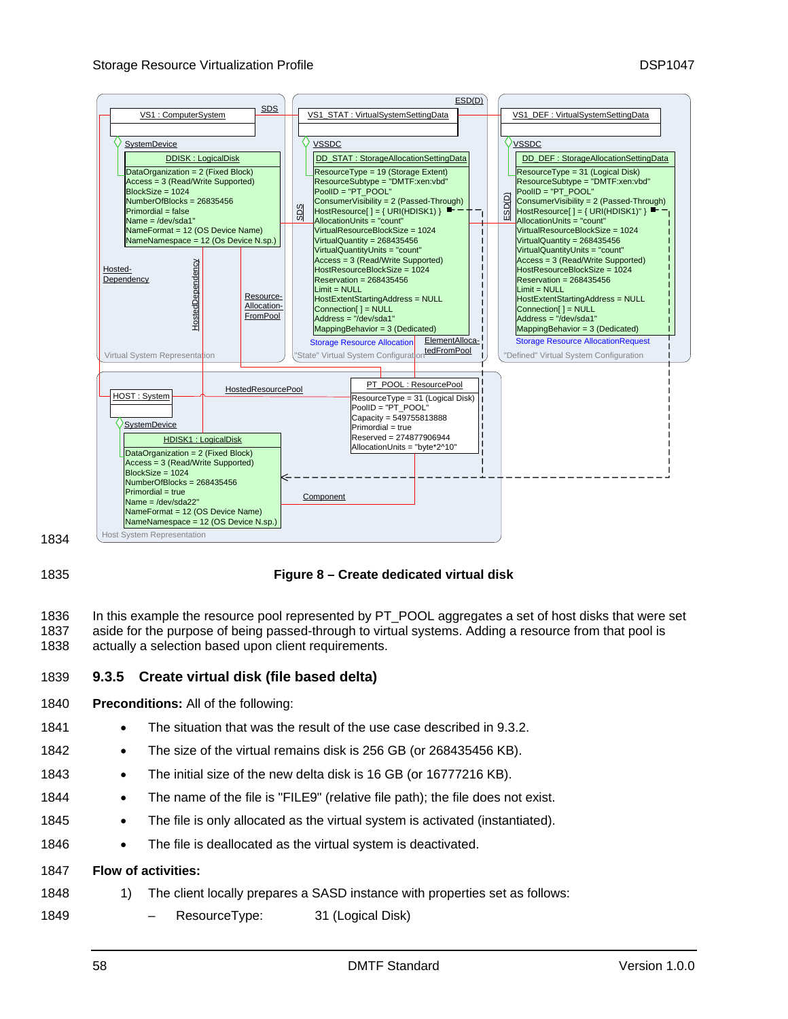#### Storage Resource Virtualization Profile **DSP1047** and DSP1047



1834

### <span id="page-57-1"></span>1835 **Figure 8 – Create dedicated virtual disk**

1836 In this example the resource pool represented by PT\_POOL aggregates a set of host disks that were set 1837 aside for the purpose of being passed-through to virtual systems. Adding a resource from that pool is 1838 actually a selection based upon client requirements.

### <span id="page-57-0"></span>1839 **9.3.5 Create virtual disk (file based delta)**

- 1840 **Preconditions:** All of the following:
- 1841 The situation that was the result of the use case described in [9.3.2.](#page-52-0)
- 1842 The size of the virtual remains disk is 256 GB (or 268435456 KB).
- 1843 The initial size of the new delta disk is 16 GB (or 16777216 KB).
- 1844 The name of the file is "FILE9" (relative file path); the file does not exist.
- 1845 The file is only allocated as the virtual system is activated (instantiated).
- 1846 The file is deallocated as the virtual system is deactivated.

#### 1847 **Flow of activities:**

- <span id="page-57-2"></span>1848 1) The client locally prepares a SASD instance with properties set as follows:
- 1849 ResourceType: 31 (Logical Disk)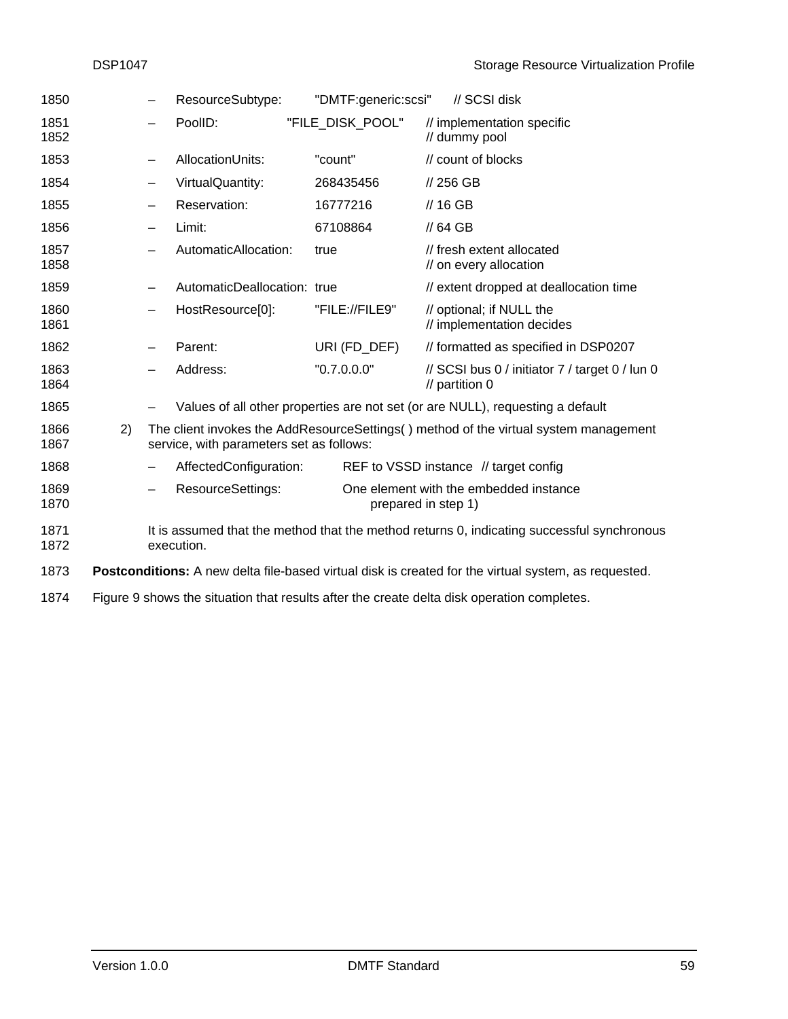| 1850                                                                                                                |    |   | ResourceSubtype:                                                               |         | "DMTF:generic:scsi" | // SCSI disk                                                  |                                                                                            |
|---------------------------------------------------------------------------------------------------------------------|----|---|--------------------------------------------------------------------------------|---------|---------------------|---------------------------------------------------------------|--------------------------------------------------------------------------------------------|
| 1851<br>1852                                                                                                        |    |   | PoolID:                                                                        |         | "FILE DISK POOL"    | // implementation specific<br>// dummy pool                   |                                                                                            |
| 1853                                                                                                                |    | — | AllocationUnits:                                                               | "count" |                     | // count of blocks                                            |                                                                                            |
| 1854                                                                                                                |    |   | VirtualQuantity:                                                               |         | 268435456           | // 256 GB                                                     |                                                                                            |
| 1855                                                                                                                |    | — | Reservation:                                                                   |         | 16777216            | // 16 GB                                                      |                                                                                            |
| 1856                                                                                                                |    | — | Limit:                                                                         |         | 67108864            | $\frac{\pi}{64}$ GB                                           |                                                                                            |
| 1857<br>1858                                                                                                        |    |   | AutomaticAllocation:                                                           | true    |                     | // fresh extent allocated<br>// on every allocation           |                                                                                            |
| 1859                                                                                                                |    |   | AutomaticDeallocation: true                                                    |         |                     | // extent dropped at deallocation time                        |                                                                                            |
| 1860<br>1861                                                                                                        |    |   | HostResource[0]:                                                               |         | "FILE://FILE9"      | // optional; if NULL the<br>// implementation decides         |                                                                                            |
| 1862                                                                                                                |    |   | Parent:                                                                        |         | URI (FD_DEF)        | // formatted as specified in DSP0207                          |                                                                                            |
| 1863<br>1864                                                                                                        |    |   | Address:                                                                       |         | "0.7.0.0.0"         | $\frac{1}{2}$ partition 0                                     | // SCSI bus 0 / initiator 7 / target 0 / lun 0                                             |
| 1865                                                                                                                |    |   | Values of all other properties are not set (or are NULL), requesting a default |         |                     |                                                               |                                                                                            |
| 1866<br>1867                                                                                                        | 2) |   | service, with parameters set as follows:                                       |         |                     |                                                               | The client invokes the AddResourceSettings() method of the virtual system management       |
| 1868                                                                                                                |    | — | AffectedConfiguration:                                                         |         |                     | REF to VSSD instance // target config                         |                                                                                            |
| 1869<br>1870                                                                                                        |    |   | ResourceSettings:                                                              |         |                     | One element with the embedded instance<br>prepared in step 1) |                                                                                            |
| 1871<br>1872                                                                                                        |    |   | execution.                                                                     |         |                     |                                                               | It is assumed that the method that the method returns 0, indicating successful synchronous |
| 1873<br><b>Postconditions:</b> A new delta file-based virtual disk is created for the virtual system, as requested. |    |   |                                                                                |         |                     |                                                               |                                                                                            |

1874 [Figure 9 shows the si](#page-28-0)tuation that results after the create delta disk operation completes.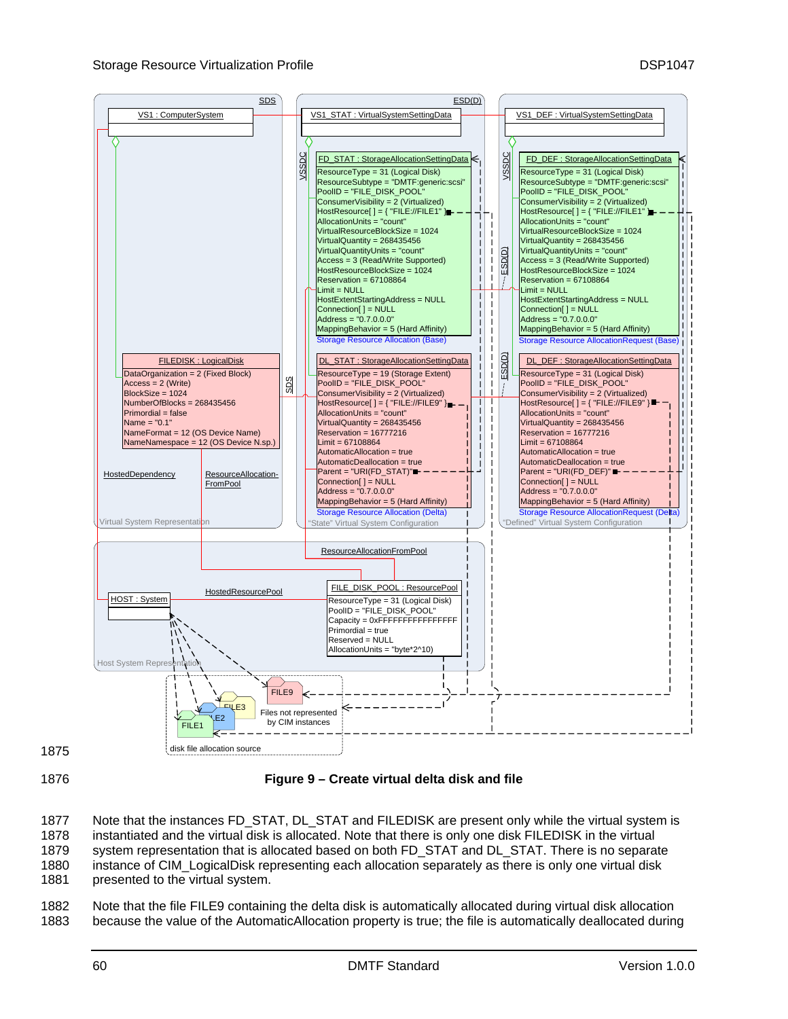#### Storage Resource Virtualization Profile **DSP1047** and DSP1047



<span id="page-59-0"></span>

1876 **Figure 9 – Create virtual delta disk and file** 

1877 Note that the instances FD\_STAT, DL\_STAT and FILEDISK are present only while the virtual system is 1878 instantiated and the virtual disk is allocated. Note that there is only one disk FILEDISK in the virtual 1879 system representation that is allocated based on both FD\_STAT and DL\_STAT. There is no separate 1880 instance of CIM\_LogicalDisk representing each allocation separately as there is only one virtual disk 1881 presented to the virtual system.

1882 Note that the file FILE9 containing the delta disk is automatically allocated during virtual disk allocation 1883 because the value of the AutomaticAllocation property is true; the file is automatically deallocated during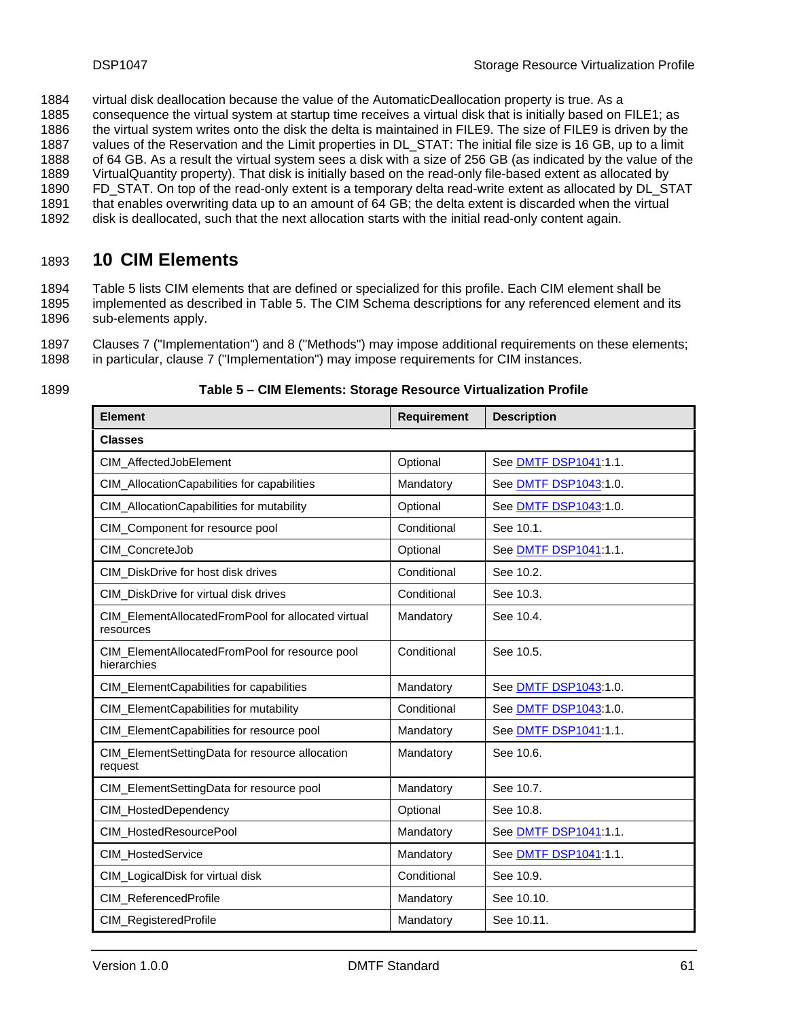- 1884 virtual disk deallocation because the value of the AutomaticDeallocation property is true. As a
- 1885 consequence the virtual system at startup time receives a virtual disk that is initially based on FILE1; as
- 1886 the virtual system writes onto the disk the delta is maintained in FILE9. The size of FILE9 is driven by the
- 1887 values of the Reservation and the Limit properties in DL\_STAT: The initial file size is 16 GB, up to a limit
- 1888 of 64 GB. As a result the virtual system sees a disk with a size of 256 GB (as indicated by the value of the 1889 VirtualQuantity property). That disk is initially based on the read-only file-based extent as allocated by
- 1890 FD\_STAT. On top of the read-only extent is a temporary delta read-write extent as allocated by DL\_STAT
- 1891 that enables overwriting data up to an amount of 64 GB; the delta extent is discarded when the virtual
- 1892 disk is deallocated, such that the next allocation starts with the initial read-only content again.

## <span id="page-60-0"></span>1893 **10 CIM Elements**

1894 [Table 5](#page-60-1) lists CIM elements that are defined or specialized for this profile. Each CIM element shall be 1895 implemented as described in [Table 5](#page-60-1). The CIM Schema descriptions for any referenced element and its 1896 sub-elements apply. sub-elements apply.

189[7](#page-26-0) Clauses 7 (["Implementation](#page-26-0)") and [8 \("](#page-29-1)[Methods](#page-43-0)") may impose additional requirements on these elements; 1898 in particular, clause [7](#page-26-0) (["Implementation"](#page-26-0)) may impose requirements for CIM instances.

<span id="page-60-1"></span>

| 1899 | Table 5 – CIM Elements: Storage Resource Virtualization Profile |
|------|-----------------------------------------------------------------|
|------|-----------------------------------------------------------------|

| <b>Element</b>                                                  | <b>Requirement</b> | <b>Description</b>           |
|-----------------------------------------------------------------|--------------------|------------------------------|
| <b>Classes</b>                                                  |                    |                              |
| CIM_AffectedJobElement                                          | Optional           | See DMTF DSP1041:1.1.        |
| CIM_AllocationCapabilities for capabilities                     | Mandatory          | See <b>DMTF DSP1043:1.0.</b> |
| CIM_AllocationCapabilities for mutability                       | Optional           | See <b>DMTF DSP1043:1.0.</b> |
| CIM_Component for resource pool                                 | Conditional        | See 10.1.                    |
| CIM ConcreteJob                                                 | Optional           | See <b>DMTF DSP1041:1.1.</b> |
| CIM_DiskDrive for host disk drives                              | Conditional        | See 10.2.                    |
| CIM_DiskDrive for virtual disk drives                           | Conditional        | See 10.3.                    |
| CIM ElementAllocatedFromPool for allocated virtual<br>resources | Mandatory          | See 10.4.                    |
| CIM_ElementAllocatedFromPool for resource pool<br>hierarchies   | Conditional        | See 10.5.                    |
| CIM_ElementCapabilities for capabilities                        | Mandatory          | See <b>DMTF DSP1043:1.0.</b> |
| CIM_ElementCapabilities for mutability                          | Conditional        | See <b>DMTF DSP1043:1.0.</b> |
| CIM_ElementCapabilities for resource pool                       | Mandatory          | See DMTF DSP1041:1.1.        |
| CIM_ElementSettingData for resource allocation<br>request       | Mandatory          | See 10.6.                    |
| CIM_ElementSettingData for resource pool                        | Mandatory          | See 10.7.                    |
| CIM_HostedDependency                                            | Optional           | See 10.8.                    |
| CIM_HostedResourcePool                                          | Mandatory          | See DMTF DSP1041:1.1.        |
| CIM_HostedService                                               | Mandatory          | See DMTF DSP1041:1.1.        |
| CIM_LogicalDisk for virtual disk                                | Conditional        | See 10.9.                    |
| CIM_ReferencedProfile                                           | Mandatory          | See 10.10.                   |
| CIM_RegisteredProfile                                           | Mandatory          | See 10.11.                   |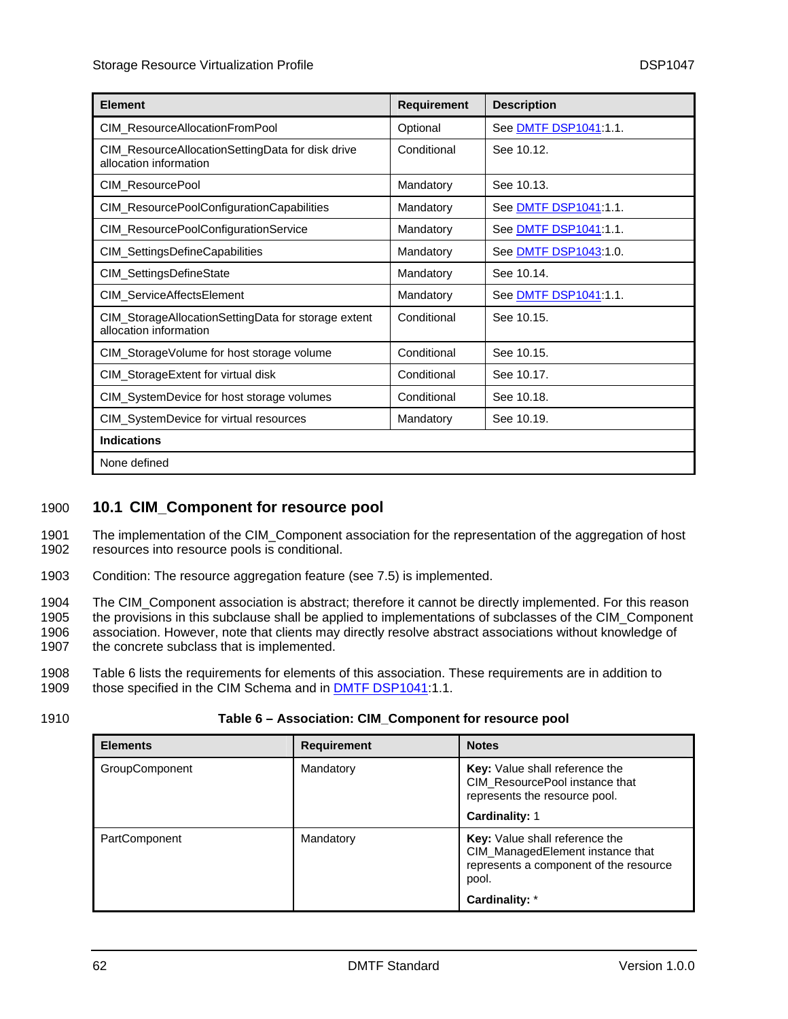| <b>Element</b>                                                                | <b>Requirement</b> | <b>Description</b>           |
|-------------------------------------------------------------------------------|--------------------|------------------------------|
| CIM ResourceAllocationFromPool                                                | Optional           | See <b>DMTF DSP1041:1.1.</b> |
| CIM_ResourceAllocationSettingData for disk drive<br>allocation information    | Conditional        | See 10.12.                   |
| CIM ResourcePool                                                              | Mandatory          | See 10.13.                   |
| CIM_ResourcePoolConfigurationCapabilities                                     | Mandatory          | See DMTF DSP1041:1.1.        |
| CIM_ResourcePoolConfigurationService                                          | Mandatory          | See <b>DMTF DSP1041:1.1.</b> |
| CIM_SettingsDefineCapabilities                                                | Mandatory          | See DMTF DSP1043.1.0.        |
| CIM_SettingsDefineState                                                       | Mandatory          | See 10.14.                   |
| <b>CIM ServiceAffectsElement</b>                                              | Mandatory          | See <b>DMTF DSP1041:1.1.</b> |
| CIM_StorageAllocationSettingData for storage extent<br>allocation information | Conditional        | See 10.15.                   |
| CIM_StorageVolume for host storage volume                                     | Conditional        | See 10.15.                   |
| CIM_StorageExtent for virtual disk                                            | Conditional        | See 10.17.                   |
| CIM_SystemDevice for host storage volumes                                     | Conditional        | See 10.18.                   |
| CIM_SystemDevice for virtual resources                                        | Mandatory          | See 10.19.                   |
| <b>Indications</b>                                                            |                    |                              |
| None defined                                                                  |                    |                              |

## <span id="page-61-0"></span>[190](#page-48-0)0 **[10.1 CIM\\_Component for resource pool](#page-48-0)**

1901 The implementation of the CIM\_Component association for the representation of the aggregation of host 1902 resources into resource pools is conditional.

1903 Condition: The resource aggregation feature (see [7.5](#page-31-3)) is implemented.

1904 The CIM\_Component association is abstract; therefore it cannot be directly implemented. For this reason<br>1905 the provisions in this subclause shall be applied to implementations of subclasses of the CIM Component the provisions in this subclause shall be applied to implementations of subclasses of the CIM\_Component 1906 association. However, note that clients may directly resolve abstract associations without knowledge of 1907 the concrete subclass that is implemented.

1908 [Table 6](#page-61-1) lists the requirements for elements of this association. These requirements are in addition to 1909 those specified in the CIM Schema and in [DMTF DSP1041:1.1](#page-8-4).

#### <span id="page-61-1"></span>1910 **Table 6 – Association: CIM\_Component for resource pool**

| <b>Elements</b>       | <b>Requirement</b> | <b>Notes</b>                                                                                                                 |
|-----------------------|--------------------|------------------------------------------------------------------------------------------------------------------------------|
| <b>GroupComponent</b> | Mandatory          | <b>Key:</b> Value shall reference the<br>CIM ResourcePool instance that<br>represents the resource pool.                     |
|                       |                    | <b>Cardinality: 1</b>                                                                                                        |
| PartComponent         | Mandatory          | <b>Key:</b> Value shall reference the<br>CIM_ManagedElement instance that<br>represents a component of the resource<br>pool. |
|                       |                    | Cardinality: *                                                                                                               |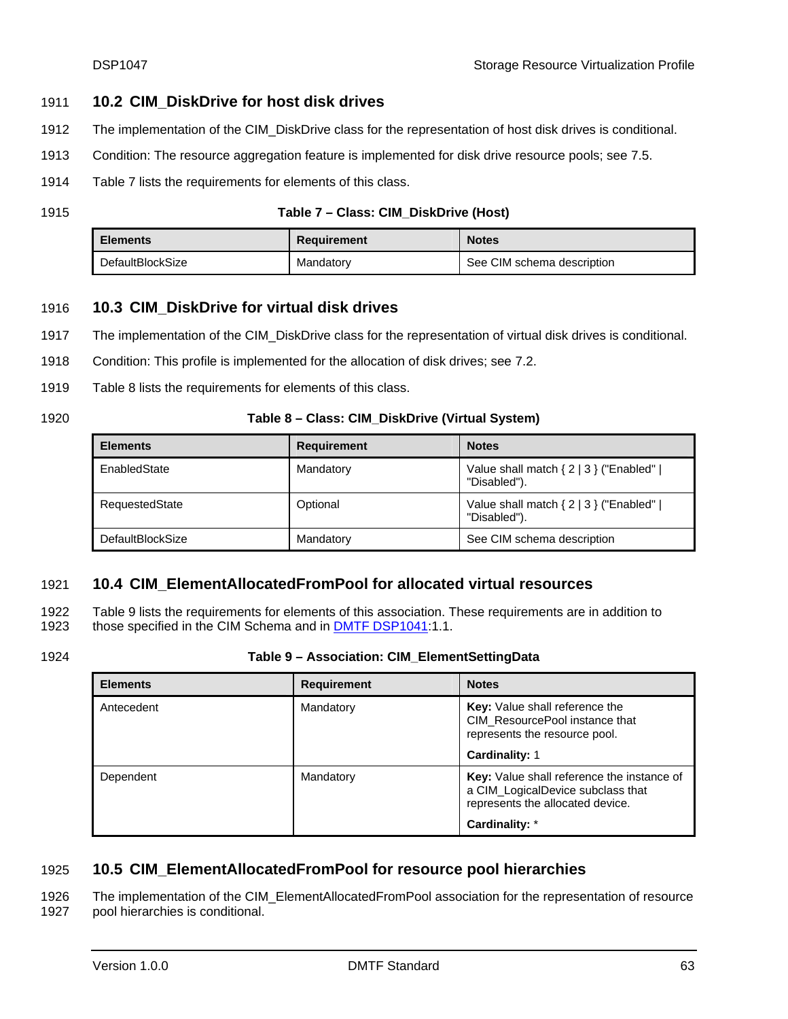### <span id="page-62-0"></span>1911 **10.2 CIM\_DiskDrive for host disk drives**

- 1912 The implementation of the CIM\_DiskDrive class for the representation of host disk drives is conditional.
- 1913 Condition: The resource aggregation feature is implemented for disk drive resource pools; see [7.5](#page-31-3).
- 1914 [Table 7](#page-62-4) lists the requirements for elements of this class.
- 

#### <span id="page-62-4"></span>1915 **Table 7 – Class: CIM\_DiskDrive (Host)**

| <b>Elements</b>  | Requirement | <b>Notes</b>               |
|------------------|-------------|----------------------------|
| DefaultBlockSize | Mandatory   | See CIM schema description |

### <span id="page-62-1"></span>1916 **10.3 CIM\_DiskDrive for virtual disk drives**

- 1917 The implementation of the CIM\_DiskDrive class for the representation of virtual disk drives is conditional.
- 1918 Condition: This profile is implemented for the allocation of disk drives; see [7.2](#page-26-2).
- 1919 [Table 8 lists the requirements for elements of this cl](#page-53-0)ass.
- 

#### <span id="page-62-5"></span>1920 **Table 8 – Class: CIM\_DiskDrive (Virtual System)**

| <b>Elements</b>         | <b>Requirement</b> | <b>Notes</b>                                             |
|-------------------------|--------------------|----------------------------------------------------------|
| EnabledState            | Mandatory          | Value shall match { 2   3 } ("Enabled"  <br>"Disabled"). |
| RequestedState          | Optional           | Value shall match { 2   3 } ("Enabled"  <br>"Disabled"). |
| <b>DefaultBlockSize</b> | Mandatory          | See CIM schema description                               |

## <span id="page-62-7"></span><span id="page-62-2"></span>1921 **10.4 CIM\_ElementAllocatedFromPool for allocated virtual resources**

1922 [Table 9](#page-62-6) lists the requirements for elements of this association. These requirements are in addition to 1923 those specified in the CIM Schema and in **DMTF DSP1041:1.1.** 

#### <span id="page-62-6"></span>1924 **Table 9 – Association: CIM\_ElementSettingData**

| <b>Elements</b> | <b>Requirement</b> | <b>Notes</b>                                                                                                               |
|-----------------|--------------------|----------------------------------------------------------------------------------------------------------------------------|
| Antecedent      | Mandatory          | <b>Key:</b> Value shall reference the<br>CIM ResourcePool instance that<br>represents the resource pool.                   |
|                 |                    | <b>Cardinality: 1</b>                                                                                                      |
| Dependent       | Mandatory          | <b>Key:</b> Value shall reference the instance of<br>a CIM_LogicalDevice subclass that<br>represents the allocated device. |
|                 |                    | Cardinality: *                                                                                                             |

## <span id="page-62-3"></span>1925 **10.5 CIM\_ElementAllocatedFromPool for resource pool hierarchies**

1926 The implementation of the CIM\_ElementAllocatedFromPool association for the representation of resource 1927 pool hierarchies is conditional.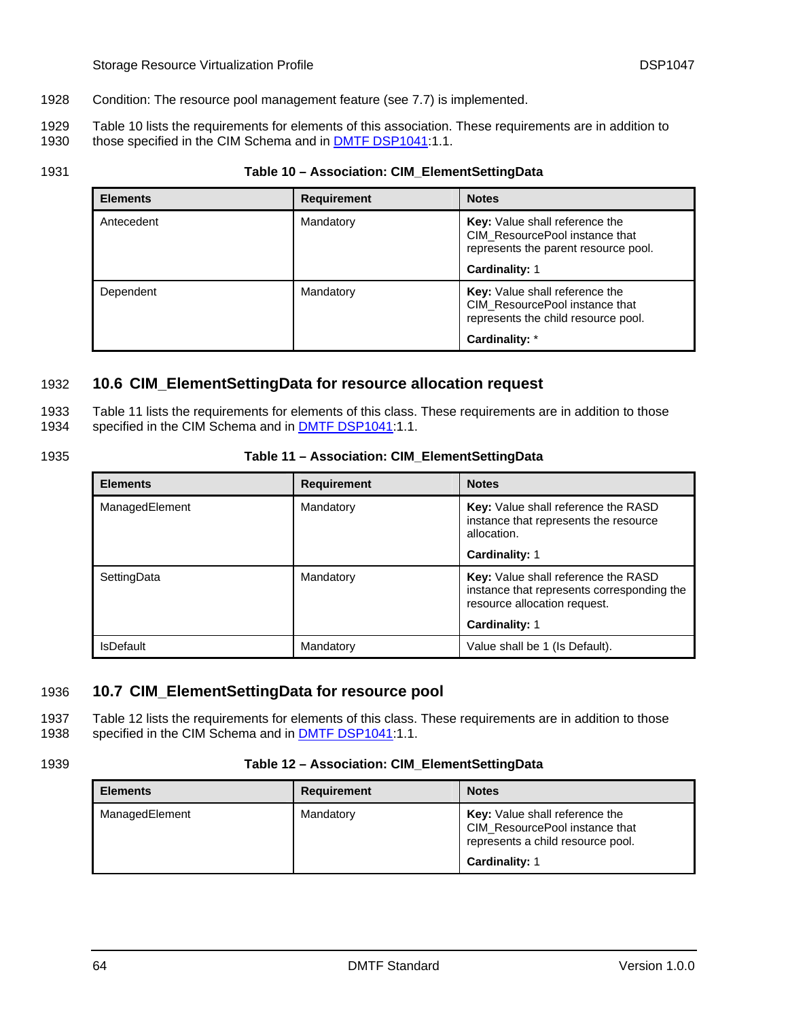- [1928 Condition: The resource pool management feature \(see](#page-9-1) [7.](#page-32-0)[7\) is implemented.](#page-9-1)
- 1929 [Table 10](#page-63-2) lists the requirements for elements of this association. These requirements are in addition to 1930 those specified in the CIM Schema and in DMTF DSP1041:1.1.
- those specified in the CIM Schema and in **DMTF DSP1041:1.1.**
- 

#### <span id="page-63-2"></span>1931 **Table 10 – Association: CIM\_ElementSettingData**

| <b>Elements</b> | <b>Requirement</b> | <b>Notes</b>                                                                                                                             |
|-----------------|--------------------|------------------------------------------------------------------------------------------------------------------------------------------|
| Antecedent      | Mandatory          | <b>Key:</b> Value shall reference the<br>CIM ResourcePool instance that<br>represents the parent resource pool.<br><b>Cardinality: 1</b> |
| Dependent       | Mandatory          | <b>Key:</b> Value shall reference the<br>CIM ResourcePool instance that<br>represents the child resource pool.<br>Cardinality: *         |

#### <span id="page-63-0"></span>1932 **10.6 CIM\_ElementSettingData for resource allocation request**

1933 [Table 11](#page-63-3) lists the requirements for elements of this class. These requirements are in addition to those 1934 specified in the CIM Schema and in [DMTF DSP1041:1.1](#page-8-4).

#### <span id="page-63-3"></span>1935 **Table 11 – Association: CIM\_ElementSettingData**

| <b>Elements</b>  | <b>Requirement</b> | <b>Notes</b>                                                                                                             |
|------------------|--------------------|--------------------------------------------------------------------------------------------------------------------------|
| ManagedElement   | Mandatory          | Key: Value shall reference the RASD<br>instance that represents the resource<br>allocation.                              |
|                  |                    | Cardinality: 1                                                                                                           |
| SettingData      | Mandatory          | <b>Key:</b> Value shall reference the RASD<br>instance that represents corresponding the<br>resource allocation request. |
|                  |                    | Cardinality: 1                                                                                                           |
| <b>IsDefault</b> | Mandatory          | Value shall be 1 (Is Default).                                                                                           |

### <span id="page-63-1"></span>1936 **10.7 CIM\_ElementSettingData for resource pool**

1937 [Table 12](#page-63-4) lists the requirements for elements of this class. These requirements are in addition to those 1938 specified in the CIM Schema and in [DMTF DSP1041:1.1](#page-8-4).

#### <span id="page-63-4"></span>1939 **Table 12 – Association: CIM\_ElementSettingData**

| <b>Elements</b> | Requirement | <b>Notes</b>                                                                                          |
|-----------------|-------------|-------------------------------------------------------------------------------------------------------|
| ManagedElement  | Mandatory   | Key: Value shall reference the<br>CIM ResourcePool instance that<br>represents a child resource pool. |
|                 |             | <b>Cardinality: 1</b>                                                                                 |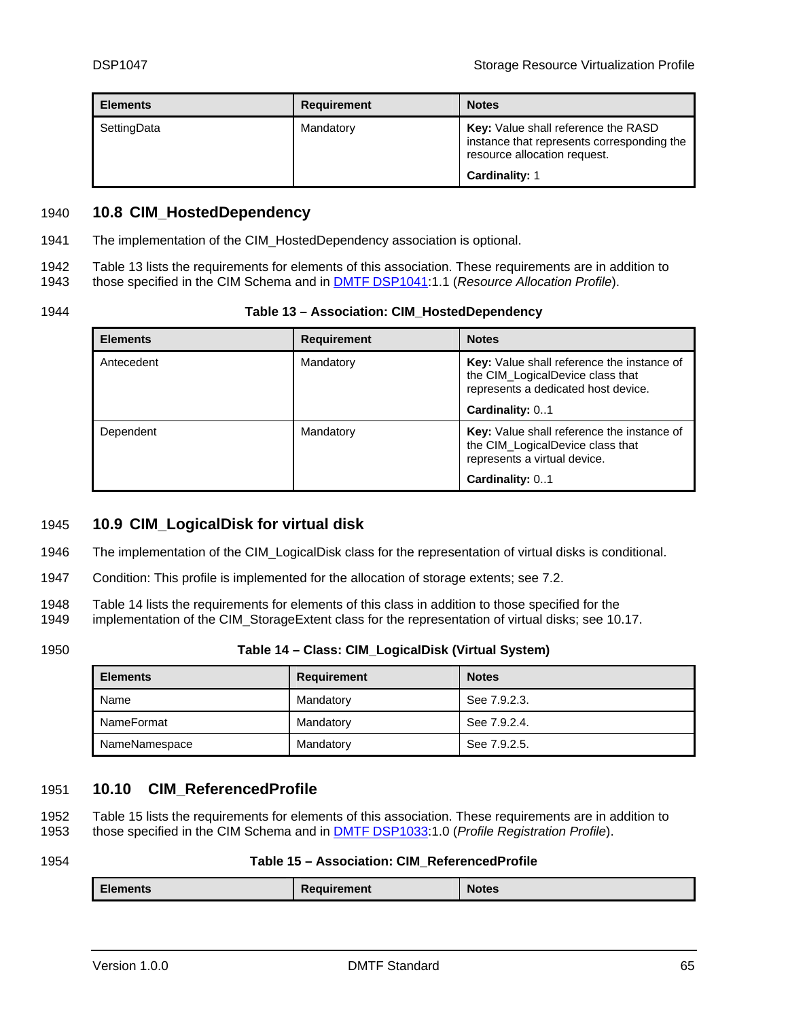| <b>Elements</b> | Requirement | <b>Notes</b>                                                                                                             |
|-----------------|-------------|--------------------------------------------------------------------------------------------------------------------------|
| SettingData     | Mandatory   | <b>Key:</b> Value shall reference the RASD<br>instance that represents corresponding the<br>resource allocation request. |
|                 |             | <b>Cardinality: 1</b>                                                                                                    |

#### <span id="page-64-0"></span>1940 **10.8 CIM\_HostedDependency**

1941 The implementation of the CIM\_HostedDependency association is optional.

1942 [Table 13](#page-64-3) lists the requirements for elements of this association. These requirements are in addition to

1943 those specified in the CIM Schema and in [DMTF DSP1041:1.1](#page-8-4) (*[Resource Allocation](#page-8-4) Profile*).

#### <span id="page-64-3"></span>1944 **Table 13 – Association: CIM\_HostedDependency**

| <b>Elements</b> | <b>Requirement</b> | <b>Notes</b>                                                                                                          |
|-----------------|--------------------|-----------------------------------------------------------------------------------------------------------------------|
| Antecedent      | Mandatory          | Key: Value shall reference the instance of<br>the CIM_LogicalDevice class that<br>represents a dedicated host device. |
|                 |                    | Cardinality: 01                                                                                                       |
| Dependent       | Mandatory          | <b>Key:</b> Value shall reference the instance of<br>the CIM_LogicalDevice class that<br>represents a virtual device. |
|                 |                    | Cardinality: 01                                                                                                       |

#### <span id="page-64-1"></span>1945 **10.9 CIM\_LogicalDisk for virtual disk**

1946 The implementation of the CIM\_LogicalDisk class for the representation of virtual disks is conditional.

[1947 Condition: This profile is implemented for the allocation of storage extents; see 7](#page-9-1)[.](#page-26-2)[2.](#page-9-1)

1948 [Table 14 lists the requirements for elements of thi](http://www.dmtf.org/about/policies/disclosures.php)s class in addition to those specified for the

[1949 implementation of the CIM\\_StorageExtent class for the representation of virtual disks; see](#page-6-0) 10.17.

#### <span id="page-64-4"></span>1950 **Table 14 – Class: CIM\_LogicalDisk (Virtual System)**

| <b>Elements</b> | Requirement | <b>Notes</b> |
|-----------------|-------------|--------------|
| Name            | Mandatory   | See 7.9.2.3. |
| NameFormat      | Mandatory   | See 7.9.2.4. |
| NameNamespace   | Mandatory   | See 7.9.2.5. |

#### <span id="page-64-2"></span>1951 **10.10 CIM\_ReferencedProfile**

1952 [Table 15](#page-64-5) lists the requirements for elements of this association. These requirements are in addition to 1953 those specified in the CIM Schema and in [DMTF DSP1033:1.0](#page-8-2) (*[Profile Registration](#page-8-2) Profile*).

#### <span id="page-64-5"></span>1954 **Table 15 – Association: CIM\_ReferencedProfile**

|  | <b>Elements</b> | Requirement | $\sim$ $\sim$<br><b>Notes</b> |
|--|-----------------|-------------|-------------------------------|
|--|-----------------|-------------|-------------------------------|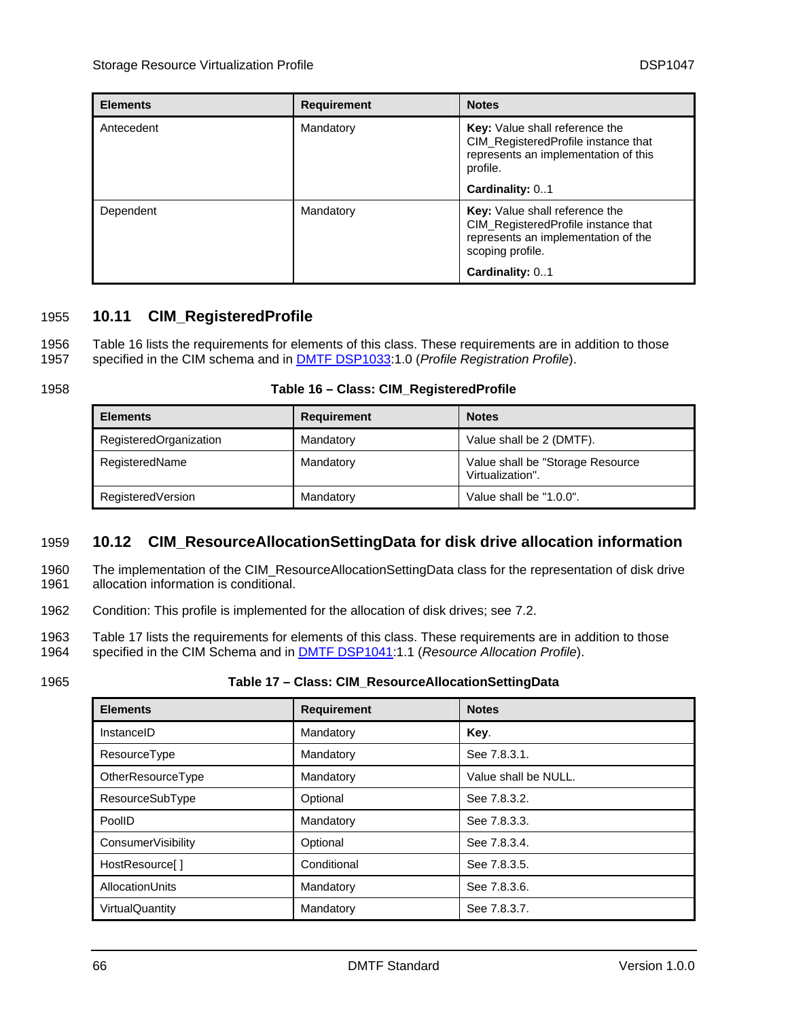| <b>Elements</b> | <b>Requirement</b> | <b>Notes</b>                                                                                                                     |
|-----------------|--------------------|----------------------------------------------------------------------------------------------------------------------------------|
| Antecedent      | Mandatory          | <b>Key:</b> Value shall reference the<br>CIM_RegisteredProfile instance that<br>represents an implementation of this<br>profile. |
|                 |                    | Cardinality: 01                                                                                                                  |
| Dependent       | Mandatory          | Key: Value shall reference the<br>CIM_RegisteredProfile instance that<br>represents an implementation of the<br>scoping profile. |
|                 |                    | Cardinality: 01                                                                                                                  |

## <span id="page-65-0"></span>1955 **10.11 CIM\_RegisteredProfile**

1956 [Table 16](#page-65-2) lists the requirements for elements of this class. These requirements are in addition to those 1957 specified in the CIM schema and in [DMTF DSP1033:1.0](#page-8-2) (*[Profile Registration](#page-8-2) Profile*).

<span id="page-65-2"></span>

| <b>Elements</b>        | <b>Requirement</b> | <b>Notes</b>                                          |
|------------------------|--------------------|-------------------------------------------------------|
| RegisteredOrganization | Mandatory          | Value shall be 2 (DMTF).                              |
| RegisteredName         | Mandatory          | Value shall be "Storage Resource"<br>Virtualization". |
| RegisteredVersion      | Mandatory          | Value shall be "1.0.0".                               |

## <span id="page-65-1"></span>1959 **10.12 CIM\_ResourceAllocationSettingData for disk drive allocation information**

- 1960 The implementation of the CIM\_ResourceAllocationSettingData class for the representation of disk drive 1961 allocation information is conditional.
- 1962 Condition: This profile is implemented for the allocation of disk drives; see [7.2](#page-26-2).
- 1963 [Table 17 lists t](#page-17-0)he requirements for elements of this class. These requirements are in addition to those 1964 specified in the CIM Schema and in [DMTF DSP1041:1.1](#page-8-4) (*[Resource Allocation](#page-8-4) Profile*).
- 

#### <span id="page-65-3"></span>1965 **Table 17 – Class: CIM\_ResourceAllocationSettingData**

| <b>Elements</b>        | <b>Requirement</b> | <b>Notes</b>         |
|------------------------|--------------------|----------------------|
| InstanceID             | Mandatory          | Key.                 |
| ResourceType           | Mandatory          | See 7.8.3.1.         |
| OtherResourceType      | Mandatory          | Value shall be NULL. |
| <b>ResourceSubType</b> | Optional           | See 7.8.3.2.         |
| PoolID                 | Mandatory          | See 7.8.3.3.         |
| ConsumerVisibility     | Optional           | See 7.8.3.4.         |
| HostResourcel 1        | Conditional        | See 7.8.3.5.         |
| AllocationUnits        | Mandatory          | See 7.8.3.6.         |
| VirtualQuantity        | Mandatory          | See 7.8.3.7.         |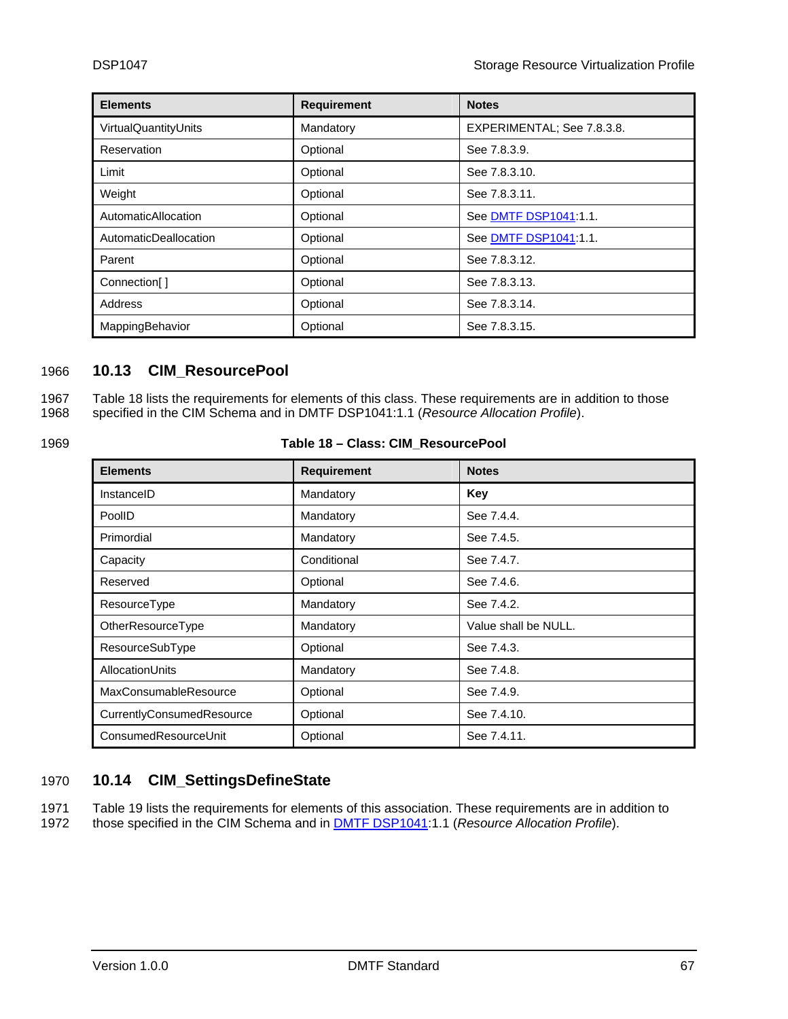| <b>Elements</b>       | <b>Requirement</b> | <b>Notes</b>                 |
|-----------------------|--------------------|------------------------------|
| VirtualQuantityUnits  | Mandatory          | EXPERIMENTAL; See 7.8.3.8.   |
| Reservation           | Optional           | See 7.8.3.9.                 |
| Limit                 | Optional           | See 7.8.3.10.                |
| Weight                | Optional           | See 7.8.3.11.                |
| AutomaticAllocation   | Optional           | See DMTF DSP1041:1.1.        |
| AutomaticDeallocation | Optional           | See <b>DMTF DSP1041:1.1.</b> |
| Parent                | Optional           | See 7.8.3.12.                |
| Connection[]          | Optional           | See 7.8.3.13.                |
| Address               | Optional           | See 7.8.3.14.                |
| MappingBehavior       | Optional           | See 7.8.3.15.                |

## <span id="page-66-0"></span>1966 **[10.13 CIM\\_R](#page-26-2)esourcePool**

1967 [Table 18 lists t](#page-27-0)he requirements for elements of this class. These requirements are in addition to those<br>1968 specified in the CIM Schema and in DMTF DSP1041:1.1 (Resource Allocation Profile). 1968 specified in the CIM Schema and in [DMTF DSP1041:1.1](#page-8-4) (*[Resource Allocation](#page-8-4) Profile*).

#### <span id="page-66-2"></span>1969 **Table 18 – Class: CIM\_ResourcePool**

| <b>Elements</b>           | <b>Requirement</b> | <b>Notes</b>         |
|---------------------------|--------------------|----------------------|
| InstanceID                | Mandatory          | Key                  |
| PoolID                    | Mandatory          | See 7.4.4.           |
| Primordial                | Mandatory          | See 7.4.5.           |
| Capacity                  | Conditional        | See 7.4.7.           |
| Reserved                  | Optional           | See 7.4.6.           |
| ResourceType              | Mandatory          | See 7.4.2.           |
| OtherResourceType         | Mandatory          | Value shall be NULL. |
| ResourceSubType           | Optional           | See 7.4.3.           |
| AllocationUnits           | Mandatory          | See 7.4.8.           |
| MaxConsumableResource     | Optional           | See 7.4.9.           |
| CurrentlyConsumedResource | Optional           | See 7.4.10.          |
| ConsumedResourceUnit      | Optional           | See 7.4.11.          |

## <span id="page-66-1"></span>1970 **10.14 CIM\_SettingsDefineState**

1971 [Table 19 lists the requirem](#page-30-0)ents for elements of this association. These requirements are in addition to 1972 those specified in the CIM Schema and in [DMTF DSP1041:1.1](#page-8-4) (*[Resource Allocation](#page-8-4) Profile*).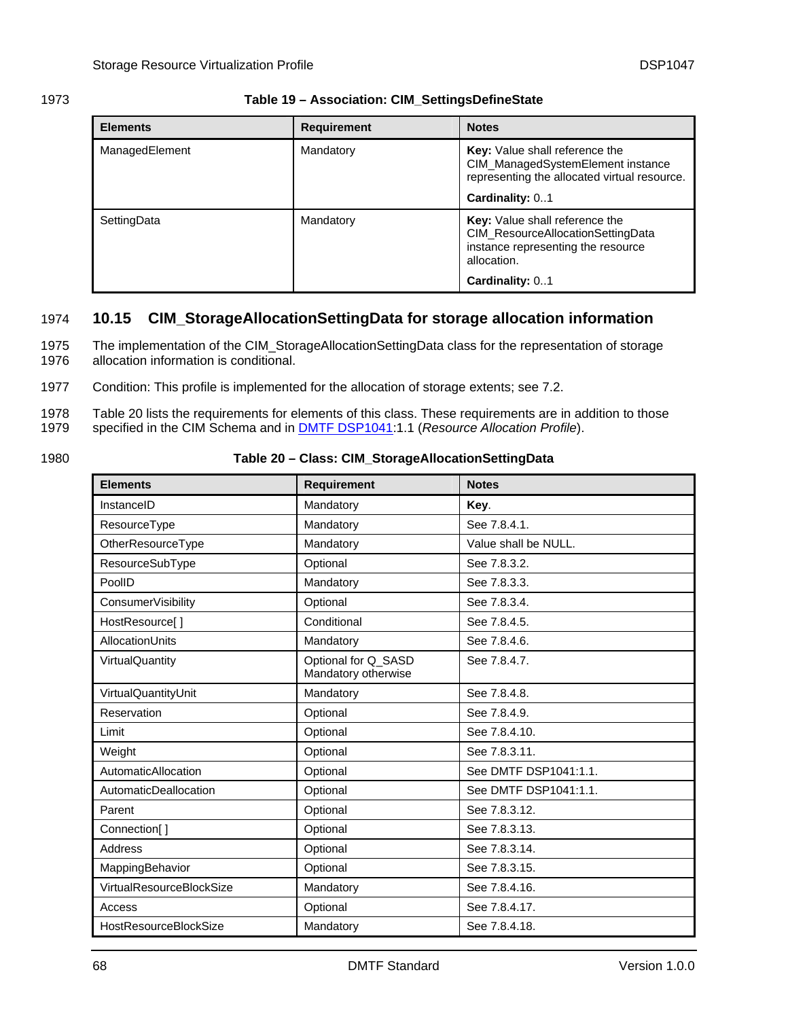#### <span id="page-67-1"></span>1973 **Table 19 – Association: CIM\_SettingsDefineState**

| <b>Elements</b> | <b>Requirement</b> | <b>Notes</b>                                                                                                               |
|-----------------|--------------------|----------------------------------------------------------------------------------------------------------------------------|
| ManagedElement  | Mandatory          | <b>Key:</b> Value shall reference the<br>CIM_ManagedSystemElement instance<br>representing the allocated virtual resource. |
|                 |                    | Cardinality: 01                                                                                                            |
| SettingData     | Mandatory          | Key: Value shall reference the<br>CIM ResourceAllocationSettingData<br>instance representing the resource<br>allocation.   |
|                 |                    | Cardinality: 01                                                                                                            |

## <span id="page-67-0"></span>1974 **10.15 CIM\_StorageAllocationSettingData for storage allocation information**

1975 The implementation of the CIM\_StorageAllocationSettingData class for the representation of storage 1976 allocation information is conditional.

1977 Condition: This profile is implemented for the allocation of storage extents; see [7.2](#page-26-2).

1978 [Table 20 lists the requirements for ele](#page-31-1)ments of this class. These requirements are in addition to those 1979 specified in the CIM Schema and in [DMTF DSP1041:1.1](#page-8-4) (*[Resource Allocation](#page-8-4) Profile*).

#### <span id="page-67-2"></span>1980 **Table 20 – Class: CIM\_StorageAllocationSettingData**

| <b>Elements</b>                 | <b>Requirement</b>                         | <b>Notes</b>          |
|---------------------------------|--------------------------------------------|-----------------------|
| InstanceID                      | Mandatory                                  | Key.                  |
| ResourceType                    | Mandatory                                  | See 7.8.4.1.          |
| OtherResourceType               | Mandatory                                  | Value shall be NULL.  |
| ResourceSubType                 | Optional                                   | See 7.8.3.2.          |
| PoolID                          | Mandatory                                  | See 7.8.3.3.          |
| ConsumerVisibility              | Optional                                   | See 7.8.3.4.          |
| HostResource[]                  | Conditional                                | See 7.8.4.5.          |
| AllocationUnits                 | Mandatory                                  | See 7.8.4.6.          |
| VirtualQuantity                 | Optional for Q_SASD<br>Mandatory otherwise | See 7.8.4.7.          |
| VirtualQuantityUnit             | Mandatory                                  | See 7.8.4.8.          |
| Reservation                     | Optional                                   | See 7.8.4.9.          |
| Limit                           | Optional                                   | See 7.8.4.10.         |
| Weight                          | Optional                                   | See 7.8.3.11.         |
| AutomaticAllocation             | Optional                                   | See DMTF DSP1041:1.1. |
| AutomaticDeallocation           | Optional                                   | See DMTF DSP1041:1.1. |
| Parent                          | Optional                                   | See 7.8.3.12.         |
| Connection[]                    | Optional                                   | See 7.8.3.13.         |
| <b>Address</b>                  | Optional                                   | See 7.8.3.14.         |
| MappingBehavior                 | Optional                                   | See 7.8.3.15.         |
| <b>VirtualResourceBlockSize</b> | Mandatory                                  | See 7.8.4.16.         |
| Access                          | Optional                                   | See 7.8.4.17.         |
| <b>HostResourceBlockSize</b>    | Mandatory                                  | See 7.8.4.18.         |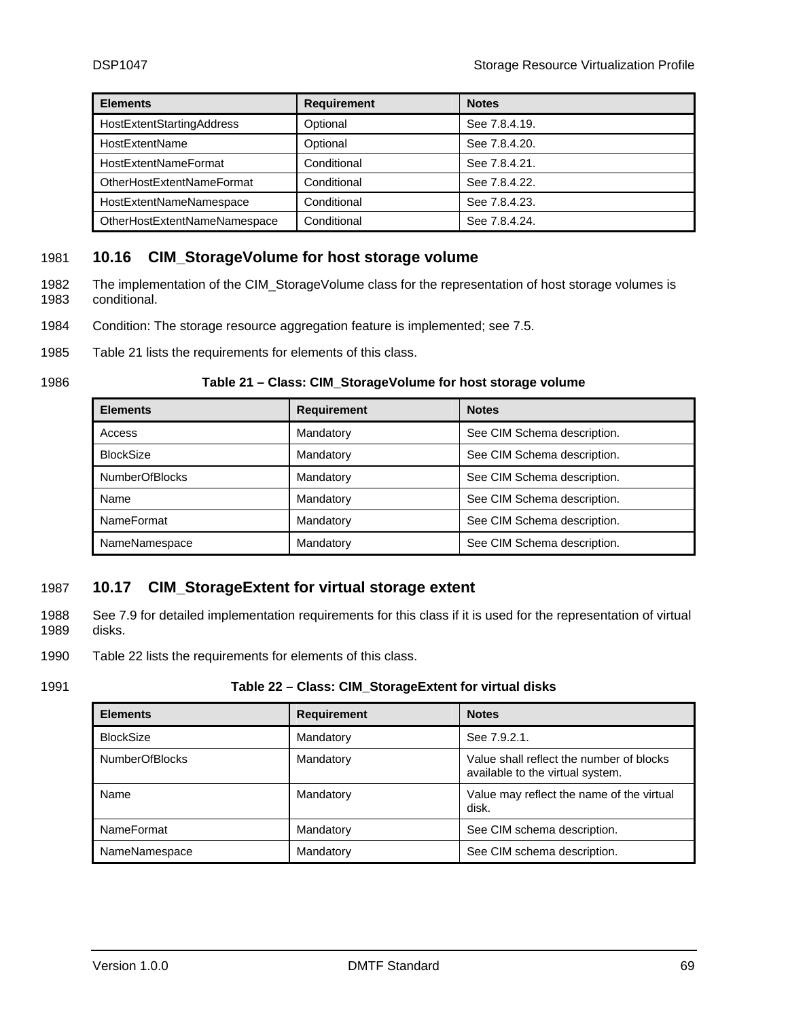| <b>Elements</b>              | <b>Requirement</b> | <b>Notes</b>  |
|------------------------------|--------------------|---------------|
| HostExtentStartingAddress    | Optional           | See 7.8.4.19. |
| HostExtentName               | Optional           | See 7.8.4.20. |
| HostExtentNameFormat         | Conditional        | See 7.8.4.21. |
| OtherHostExtentNameFormat    | Conditional        | See 7.8.4.22. |
| HostExtentNameNamespace      | Conditional        | See 7.8.4.23. |
| OtherHostExtentNameNamespace | Conditional        | See 7.8.4.24. |

### <span id="page-68-0"></span>1981 **10.16 CIM\_StorageVolume for host storage volume**

- 1982 The implementation of the CIM\_StorageVolume class for the representation of host storage volumes is 1983 conditional.
- <span id="page-68-4"></span>1984 Condition: The storage resource aggregation feature is implemented; see [7.5.](#page-31-3)
- 1985 [Table 21](#page-68-2) lists the requirements for elements of this class.
- 

#### <span id="page-68-2"></span>1986 **Table 21 – Class: CIM\_StorageVolume for host storage volume**

| <b>Elements</b>       | <b>Requirement</b> | <b>Notes</b>                |
|-----------------------|--------------------|-----------------------------|
| Access                | Mandatory          | See CIM Schema description. |
| <b>BlockSize</b>      | Mandatory          | See CIM Schema description. |
| <b>NumberOfBlocks</b> | Mandatory          | See CIM Schema description. |
| Name                  | Mandatory          | See CIM Schema description. |
| NameFormat            | Mandatory          | See CIM Schema description. |
| NameNamespace         | Mandatory          | See CIM Schema description. |

#### <span id="page-68-1"></span>1987 **10.17 CIM\_StorageExtent for virtual storage extent**

- 1988 See [7.9 for detailed implementation requirements for this class if](#page-48-1) it is used for the representation of virtual 1989 disks.
- 1990 [Table 22 lists the requirements for elements](#page-49-0) of this class.
- 

#### <span id="page-68-3"></span>1991 **Table 22 – Class: CIM\_StorageExtent for virtual disks**

| <b>Elements</b>  | <b>Requirement</b> | <b>Notes</b>                                                                 |
|------------------|--------------------|------------------------------------------------------------------------------|
| <b>BlockSize</b> | Mandatory          | See 7.9.2.1.                                                                 |
| NumberOfBlocks   | Mandatory          | Value shall reflect the number of blocks<br>available to the virtual system. |
| Name             | Mandatory          | Value may reflect the name of the virtual<br>disk.                           |
| NameFormat       | Mandatory          | See CIM schema description.                                                  |
| NameNamespace    | Mandatory          | See CIM schema description.                                                  |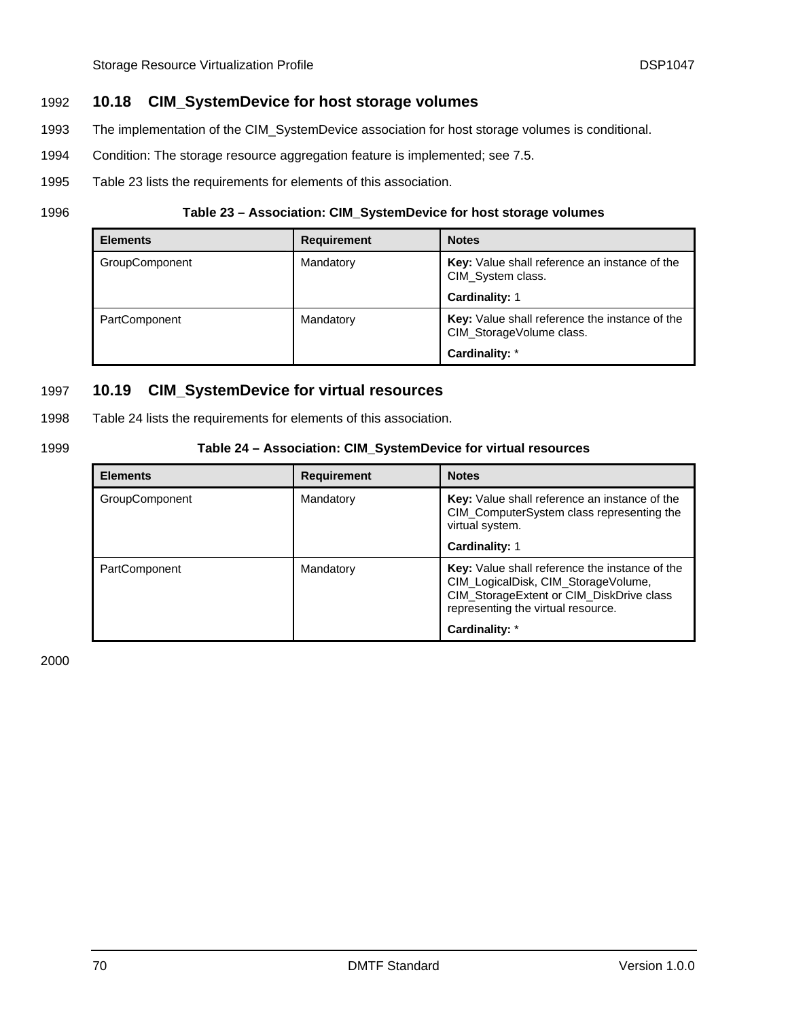### <span id="page-69-0"></span>1992 **10.18 CIM\_SystemDevice for host storage volumes**

- 1993 The implementation of the CIM\_SystemDevice association for host storage volumes is conditional.
- 1994 Condition: The storage resource aggregation feature is implemented; see [7.5.](#page-31-3)
- 1995 [Table 23 lists the requirements for element](#page-51-1)s of this association.
- 

#### <span id="page-69-2"></span>1996 **Table 23 – Association: CIM\_SystemDevice for host storage volumes**

| <b>Elements</b>       | <b>Requirement</b> | <b>Notes</b>                                                               |
|-----------------------|--------------------|----------------------------------------------------------------------------|
| <b>GroupComponent</b> | Mandatory          | Key: Value shall reference an instance of the<br>CIM_System class.         |
|                       |                    | Cardinality: 1                                                             |
| PartComponent         | Mandatory          | Key: Value shall reference the instance of the<br>CIM_StorageVolume class. |
|                       |                    | Cardinality: *                                                             |

## <span id="page-69-1"></span>1997 **10.19 CIM\_SystemDevice for virtual resources**

1998 [Table 24](#page-69-3) lists the requirements for elements of this association.

#### <span id="page-69-3"></span>1999 **Table 24 – Association: CIM\_SystemDevice for virtual resources**

| <b>Elements</b>       | <b>Requirement</b> | <b>Notes</b>                                                                                                                                                                   |
|-----------------------|--------------------|--------------------------------------------------------------------------------------------------------------------------------------------------------------------------------|
| <b>GroupComponent</b> | Mandatory          | <b>Key:</b> Value shall reference an instance of the<br>CIM_ComputerSystem class representing the<br>virtual system.                                                           |
|                       |                    | <b>Cardinality: 1</b>                                                                                                                                                          |
| PartComponent         | Mandatory          | <b>Key:</b> Value shall reference the instance of the<br>CIM_LogicalDisk, CIM_StorageVolume,<br>CIM_StorageExtent or CIM_DiskDrive class<br>representing the virtual resource. |
|                       |                    | Cardinality: *                                                                                                                                                                 |